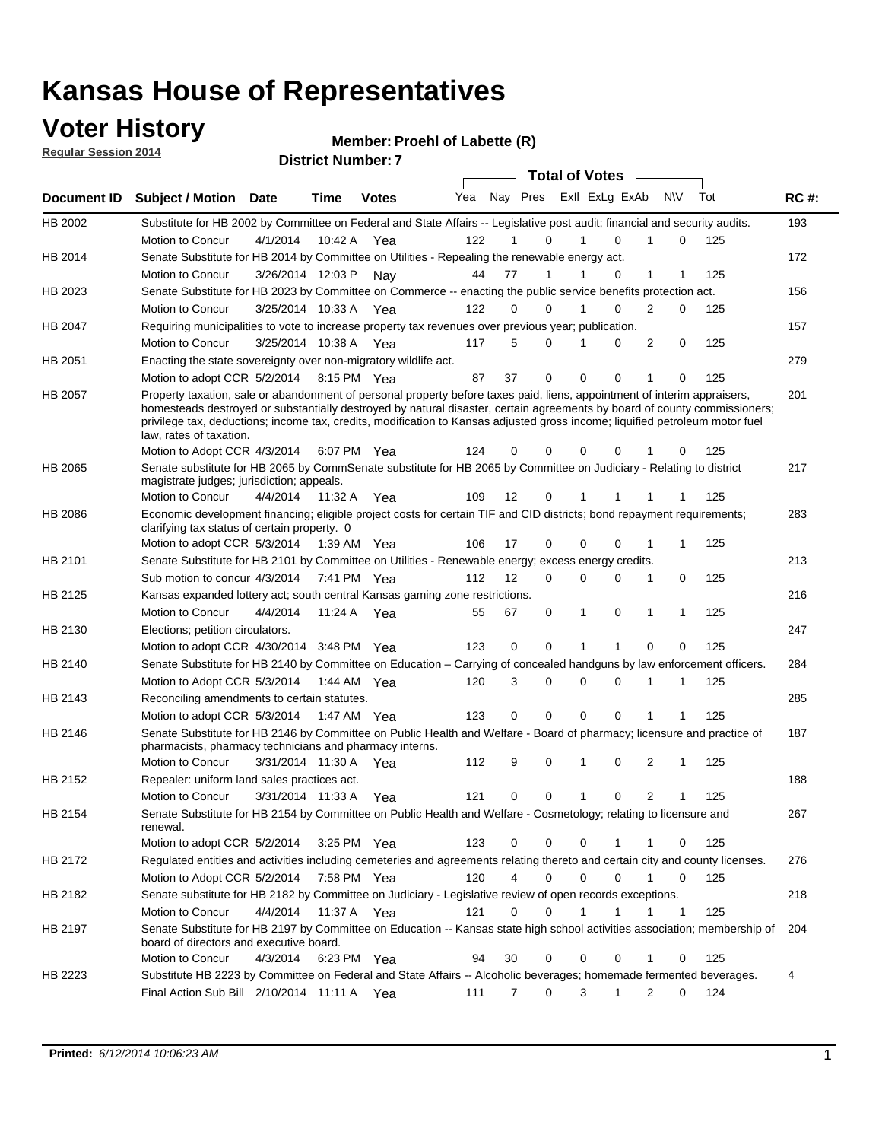### **Voter History**

**Regular Session 2014**

#### **Member: Proehl of Labette (R)**

|                | <b>DISTING MAILINGL.</b><br><b>Total of Votes</b>                                                                                                                                                                                                                                                                                                                                                                |                       |             |              |     |                |                               |  |             |              |                |             |     |             |
|----------------|------------------------------------------------------------------------------------------------------------------------------------------------------------------------------------------------------------------------------------------------------------------------------------------------------------------------------------------------------------------------------------------------------------------|-----------------------|-------------|--------------|-----|----------------|-------------------------------|--|-------------|--------------|----------------|-------------|-----|-------------|
| Document ID    | <b>Subject / Motion Date</b>                                                                                                                                                                                                                                                                                                                                                                                     |                       | Time        | <b>Votes</b> | Yea |                | Nay Pres Exll ExLg ExAb       |  |             |              | <b>NV</b>      |             | Tot | <b>RC#:</b> |
| HB 2002        | Substitute for HB 2002 by Committee on Federal and State Affairs -- Legislative post audit; financial and security audits.                                                                                                                                                                                                                                                                                       |                       |             |              |     |                |                               |  |             |              |                |             |     | 193         |
|                | <b>Motion to Concur</b>                                                                                                                                                                                                                                                                                                                                                                                          | 4/1/2014              | 10:42 A     | Yea          | 122 |                | 0                             |  |             | $\Omega$     | 1              | 0           | 125 |             |
| HB 2014        | Senate Substitute for HB 2014 by Committee on Utilities - Repealing the renewable energy act.                                                                                                                                                                                                                                                                                                                    |                       |             |              |     |                |                               |  |             |              |                |             |     | 172         |
|                | Motion to Concur                                                                                                                                                                                                                                                                                                                                                                                                 | 3/26/2014 12:03 P Nay |             |              | 44  | 77             | 1                             |  |             | $\Omega$     | 1              | 1           | 125 |             |
| HB 2023        | Senate Substitute for HB 2023 by Committee on Commerce -- enacting the public service benefits protection act.                                                                                                                                                                                                                                                                                                   |                       |             |              |     |                |                               |  |             |              |                |             |     | 156         |
|                | Motion to Concur                                                                                                                                                                                                                                                                                                                                                                                                 | 3/25/2014 10:33 A Yea |             |              | 122 | 0              | 0                             |  |             | 0            | 2              | 0           | 125 |             |
| HB 2047        | Requiring municipalities to vote to increase property tax revenues over previous year; publication.                                                                                                                                                                                                                                                                                                              |                       |             |              |     |                |                               |  |             |              |                |             |     | 157         |
|                | Motion to Concur                                                                                                                                                                                                                                                                                                                                                                                                 | 3/25/2014 10:38 A Yea |             |              | 117 | 5              | 0                             |  |             | 0            | 2              | 0           | 125 |             |
| HB 2051        | Enacting the state sovereignty over non-migratory wildlife act.                                                                                                                                                                                                                                                                                                                                                  |                       |             |              |     |                |                               |  |             |              |                |             |     | 279         |
|                | Motion to adopt CCR 5/2/2014 8:15 PM Yea                                                                                                                                                                                                                                                                                                                                                                         |                       |             |              | 87  | 37             | 0                             |  | $\mathbf 0$ | 0            | 1              | 0           | 125 |             |
| HB 2057        | Property taxation, sale or abandonment of personal property before taxes paid, liens, appointment of interim appraisers,<br>homesteads destroyed or substantially destroyed by natural disaster, certain agreements by board of county commissioners;<br>privilege tax, deductions; income tax, credits, modification to Kansas adjusted gross income; liquified petroleum motor fuel<br>law, rates of taxation. |                       |             |              |     |                |                               |  | 0           | 0            |                |             | 125 | 201         |
|                | Motion to Adopt CCR 4/3/2014                                                                                                                                                                                                                                                                                                                                                                                     |                       |             | 6:07 PM Yea  | 124 | 0              | 0                             |  |             |              |                | 0           |     |             |
| HB 2065        | Senate substitute for HB 2065 by CommSenate substitute for HB 2065 by Committee on Judiciary - Relating to district<br>magistrate judges; jurisdiction; appeals.                                                                                                                                                                                                                                                 |                       |             |              |     |                |                               |  |             |              |                |             |     | 217         |
|                | Motion to Concur                                                                                                                                                                                                                                                                                                                                                                                                 | 4/4/2014              | 11:32 A     | Yea          | 109 | 12             | 0                             |  | 1           | 1            |                |             | 125 |             |
| <b>HB 2086</b> | Economic development financing; eligible project costs for certain TIF and CID districts; bond repayment requirements;<br>clarifying tax status of certain property. 0                                                                                                                                                                                                                                           |                       |             |              |     |                |                               |  |             |              |                |             |     | 283         |
|                | Motion to adopt CCR 5/3/2014                                                                                                                                                                                                                                                                                                                                                                                     |                       | 1:39 AM Yea |              | 106 | 17             | 0                             |  | $\mathbf 0$ | $\Omega$     | 1              | 1           | 125 |             |
| HB 2101        | Senate Substitute for HB 2101 by Committee on Utilities - Renewable energy; excess energy credits.                                                                                                                                                                                                                                                                                                               |                       |             |              |     |                |                               |  |             |              |                |             |     | 213         |
|                | Sub motion to concur 4/3/2014                                                                                                                                                                                                                                                                                                                                                                                    |                       |             | 7:41 PM Yea  | 112 | 12             | 0                             |  | $\mathbf 0$ | 0            | 1              | 0           | 125 |             |
| HB 2125        | Kansas expanded lottery act; south central Kansas gaming zone restrictions.                                                                                                                                                                                                                                                                                                                                      |                       |             |              |     |                |                               |  |             |              |                |             |     | 216         |
|                | Motion to Concur                                                                                                                                                                                                                                                                                                                                                                                                 | 4/4/2014              | 11:24 A     | Yea          | 55  | 67             | 0                             |  | 1           | 0            | $\mathbf{1}$   | 1           | 125 |             |
| HB 2130        | Elections; petition circulators.                                                                                                                                                                                                                                                                                                                                                                                 |                       |             |              |     |                |                               |  |             |              |                |             |     | 247         |
|                | Motion to adopt CCR 4/30/2014 3:48 PM Yea                                                                                                                                                                                                                                                                                                                                                                        |                       |             |              | 123 | 0              | 0                             |  |             | 1            | 0              | 0           | 125 |             |
| HB 2140        | Senate Substitute for HB 2140 by Committee on Education – Carrying of concealed handguns by law enforcement officers.                                                                                                                                                                                                                                                                                            |                       |             |              |     |                |                               |  |             |              |                |             |     | 284         |
|                | Motion to Adopt CCR 5/3/2014                                                                                                                                                                                                                                                                                                                                                                                     |                       |             | 1:44 AM Yea  | 120 | 3              | 0                             |  | $\mathbf 0$ | 0            | 1              | 1           | 125 |             |
| HB 2143        | Reconciling amendments to certain statutes.                                                                                                                                                                                                                                                                                                                                                                      |                       |             |              |     |                |                               |  |             |              |                |             |     | 285         |
|                | Motion to adopt CCR 5/3/2014                                                                                                                                                                                                                                                                                                                                                                                     |                       | 1:47 AM Yea |              | 123 | 0              | 0                             |  | $\mathbf 0$ | 0            | 1              | 1           | 125 |             |
| HB 2146        | Senate Substitute for HB 2146 by Committee on Public Health and Welfare - Board of pharmacy; licensure and practice of<br>pharmacists, pharmacy technicians and pharmacy interns.                                                                                                                                                                                                                                |                       |             |              |     |                |                               |  |             |              |                |             |     | 187         |
|                | Motion to Concur                                                                                                                                                                                                                                                                                                                                                                                                 | 3/31/2014 11:30 A     |             | Yea          | 112 | 9              | 0                             |  | 1           | 0            | 2              | 1           | 125 |             |
| HB 2152        | Repealer: uniform land sales practices act.                                                                                                                                                                                                                                                                                                                                                                      |                       |             |              |     |                |                               |  |             |              |                |             |     | 188         |
|                | Motion to Concur                                                                                                                                                                                                                                                                                                                                                                                                 | 3/31/2014 11:33 A     |             | Yea          | 121 | 0              | 0                             |  | 1           | 0            | $\overline{2}$ | 1           | 125 |             |
| HB 2154        | Senate Substitute for HB 2154 by Committee on Public Health and Welfare - Cosmetology; relating to licensure and<br>renewal.                                                                                                                                                                                                                                                                                     |                       |             |              |     |                |                               |  |             |              |                |             |     | 267         |
|                | Motion to adopt CCR 5/2/2014                                                                                                                                                                                                                                                                                                                                                                                     |                       |             | 3:25 PM Yea  | 123 | 0              | 0                             |  | 0           | 1            | 1              | 0           | 125 |             |
| HB 2172        | Regulated entities and activities including cemeteries and agreements relating thereto and certain city and county licenses.                                                                                                                                                                                                                                                                                     |                       |             |              |     |                |                               |  |             |              |                |             |     | 276         |
|                | Motion to Adopt CCR 5/2/2014                                                                                                                                                                                                                                                                                                                                                                                     |                       |             | 7:58 PM Yea  | 120 |                | $\overline{4}$<br>$\mathbf 0$ |  | $\mathbf 0$ | $\Omega$     | $\mathbf{1}$   | $\mathbf 0$ | 125 |             |
| HB 2182        | Senate substitute for HB 2182 by Committee on Judiciary - Legislative review of open records exceptions.                                                                                                                                                                                                                                                                                                         |                       |             |              |     |                |                               |  |             |              |                |             |     | 218         |
|                | Motion to Concur                                                                                                                                                                                                                                                                                                                                                                                                 | 4/4/2014              | 11:37 A Yea |              | 121 | $\mathbf 0$    | 0                             |  | 1           | $\mathbf{1}$ | 1              | 1           | 125 |             |
| HB 2197        | Senate Substitute for HB 2197 by Committee on Education -- Kansas state high school activities association; membership of                                                                                                                                                                                                                                                                                        |                       |             |              |     |                |                               |  |             |              |                |             |     | 204         |
|                | board of directors and executive board.                                                                                                                                                                                                                                                                                                                                                                          |                       |             |              |     |                |                               |  |             |              |                |             |     |             |
|                | Motion to Concur                                                                                                                                                                                                                                                                                                                                                                                                 | 4/3/2014              |             | 6:23 PM Yea  | 94  | 30             | 0                             |  | 0           | 0            | 1              | 0           | 125 |             |
| HB 2223        | Substitute HB 2223 by Committee on Federal and State Affairs -- Alcoholic beverages; homemade fermented beverages.                                                                                                                                                                                                                                                                                               |                       |             |              |     |                |                               |  |             |              |                |             |     | 4           |
|                | Final Action Sub Bill 2/10/2014 11:11 A Yea                                                                                                                                                                                                                                                                                                                                                                      |                       |             |              | 111 | $\overline{7}$ | 0                             |  | 3           | 1            | 2              | 0           | 124 |             |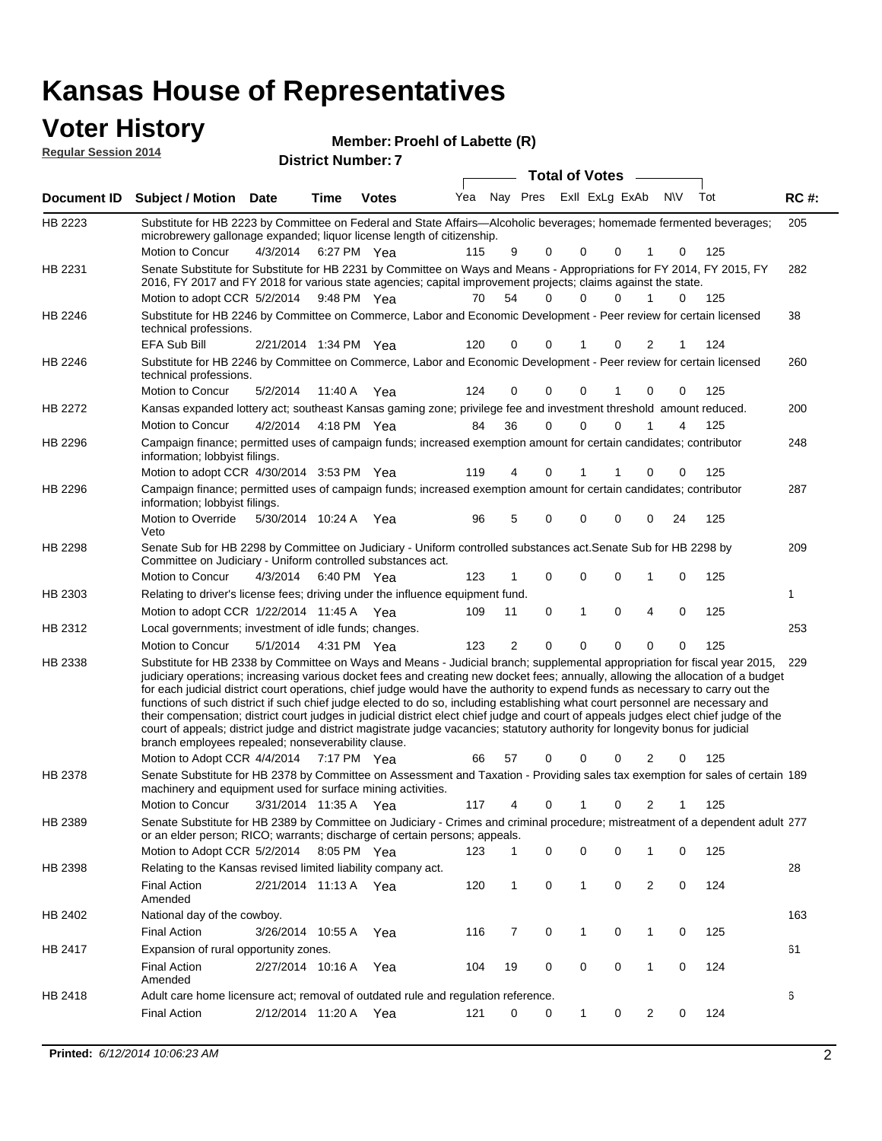| <b>Voter History</b><br><b>Regular Session 2014</b> |                                                                                                                                                                                                                                                                                                                                                                                                                                                                                                                                                                                                                                                                                                                                                                                                                                                                                                     |                       |         | Member: Proehl of Labette (R)<br><b>District Number: 7</b> |     |                |             |                       |                |              |                |             |     |             |
|-----------------------------------------------------|-----------------------------------------------------------------------------------------------------------------------------------------------------------------------------------------------------------------------------------------------------------------------------------------------------------------------------------------------------------------------------------------------------------------------------------------------------------------------------------------------------------------------------------------------------------------------------------------------------------------------------------------------------------------------------------------------------------------------------------------------------------------------------------------------------------------------------------------------------------------------------------------------------|-----------------------|---------|------------------------------------------------------------|-----|----------------|-------------|-----------------------|----------------|--------------|----------------|-------------|-----|-------------|
|                                                     |                                                                                                                                                                                                                                                                                                                                                                                                                                                                                                                                                                                                                                                                                                                                                                                                                                                                                                     |                       |         |                                                            |     |                |             | <b>Total of Votes</b> |                |              |                |             |     |             |
| Document ID                                         | <b>Subject / Motion Date</b>                                                                                                                                                                                                                                                                                                                                                                                                                                                                                                                                                                                                                                                                                                                                                                                                                                                                        |                       | Time    | <b>Votes</b>                                               | Yea |                | Nay Pres    |                       | Exll ExLg ExAb |              |                | <b>NV</b>   | Tot | <b>RC#:</b> |
| HB 2223                                             | Substitute for HB 2223 by Committee on Federal and State Affairs-Alcoholic beverages; homemade fermented beverages;<br>microbrewery gallonage expanded; liquor license length of citizenship.                                                                                                                                                                                                                                                                                                                                                                                                                                                                                                                                                                                                                                                                                                       |                       |         |                                                            |     |                |             |                       |                |              |                |             |     | 205         |
| HB 2231                                             | Motion to Concur<br>Senate Substitute for Substitute for HB 2231 by Committee on Ways and Means - Appropriations for FY 2014, FY 2015, FY<br>2016, FY 2017 and FY 2018 for various state agencies; capital improvement projects; claims against the state.                                                                                                                                                                                                                                                                                                                                                                                                                                                                                                                                                                                                                                          | 4/3/2014              |         | 6:27 PM Yea                                                | 115 | 9              | $\Omega$    |                       | 0              | $\Omega$     | 1              | 0           | 125 | 282         |
|                                                     | Motion to adopt CCR 5/2/2014                                                                                                                                                                                                                                                                                                                                                                                                                                                                                                                                                                                                                                                                                                                                                                                                                                                                        |                       |         | 9:48 PM Yea                                                | 70  | 54             | $\Omega$    |                       | 0              | 0            |                | $\Omega$    | 125 |             |
| HB 2246                                             | Substitute for HB 2246 by Committee on Commerce, Labor and Economic Development - Peer review for certain licensed<br>technical professions.                                                                                                                                                                                                                                                                                                                                                                                                                                                                                                                                                                                                                                                                                                                                                        |                       |         |                                                            |     |                |             |                       |                |              |                |             |     | 38          |
|                                                     | <b>EFA Sub Bill</b>                                                                                                                                                                                                                                                                                                                                                                                                                                                                                                                                                                                                                                                                                                                                                                                                                                                                                 | 2/21/2014 1:34 PM Yea |         |                                                            | 120 | $\Omega$       | 0           |                       | 1              | $\Omega$     | $\overline{2}$ | 1           | 124 |             |
| HB 2246                                             | Substitute for HB 2246 by Committee on Commerce, Labor and Economic Development - Peer review for certain licensed<br>technical professions.                                                                                                                                                                                                                                                                                                                                                                                                                                                                                                                                                                                                                                                                                                                                                        |                       |         |                                                            |     |                |             |                       |                |              |                |             |     | 260         |
|                                                     | <b>Motion to Concur</b>                                                                                                                                                                                                                                                                                                                                                                                                                                                                                                                                                                                                                                                                                                                                                                                                                                                                             | 5/2/2014              | 11:40 A | Yea                                                        | 124 | $\Omega$       | $\Omega$    |                       | 0              | 1            | $\Omega$       | 0           | 125 |             |
| HB 2272                                             | Kansas expanded lottery act; southeast Kansas gaming zone; privilege fee and investment threshold amount reduced.                                                                                                                                                                                                                                                                                                                                                                                                                                                                                                                                                                                                                                                                                                                                                                                   |                       |         |                                                            |     |                |             |                       |                |              |                |             |     | 200         |
|                                                     | Motion to Concur                                                                                                                                                                                                                                                                                                                                                                                                                                                                                                                                                                                                                                                                                                                                                                                                                                                                                    | 4/2/2014              |         | 4:18 PM Yea                                                | 84  | 36             | $\Omega$    |                       | $\Omega$       | $\mathbf{0}$ | 1              | 4           | 125 |             |
| HB 2296                                             | Campaign finance; permitted uses of campaign funds; increased exemption amount for certain candidates; contributor<br>information; lobbyist filings.                                                                                                                                                                                                                                                                                                                                                                                                                                                                                                                                                                                                                                                                                                                                                |                       |         |                                                            |     |                |             |                       |                |              |                |             |     | 248         |
|                                                     | Motion to adopt CCR 4/30/2014 3:53 PM Yea                                                                                                                                                                                                                                                                                                                                                                                                                                                                                                                                                                                                                                                                                                                                                                                                                                                           |                       |         |                                                            | 119 | 4              | $\Omega$    |                       | 1              |              | $\Omega$       | 0           | 125 |             |
| HB 2296                                             | Campaign finance; permitted uses of campaign funds; increased exemption amount for certain candidates; contributor<br>information; lobbyist filings.                                                                                                                                                                                                                                                                                                                                                                                                                                                                                                                                                                                                                                                                                                                                                |                       |         |                                                            |     |                |             |                       |                |              |                |             |     | 287         |
|                                                     | Motion to Override<br>Veto                                                                                                                                                                                                                                                                                                                                                                                                                                                                                                                                                                                                                                                                                                                                                                                                                                                                          | 5/30/2014 10:24 A     |         | Yea                                                        | 96  | 5              | $\Omega$    |                       | 0              | $\mathbf 0$  | $\mathbf 0$    | 24          | 125 |             |
| HB 2298                                             | Senate Sub for HB 2298 by Committee on Judiciary - Uniform controlled substances act. Senate Sub for HB 2298 by<br>Committee on Judiciary - Uniform controlled substances act.                                                                                                                                                                                                                                                                                                                                                                                                                                                                                                                                                                                                                                                                                                                      |                       |         |                                                            |     |                |             |                       |                |              |                |             |     | 209         |
|                                                     | <b>Motion to Concur</b>                                                                                                                                                                                                                                                                                                                                                                                                                                                                                                                                                                                                                                                                                                                                                                                                                                                                             | 4/3/2014              |         | 6:40 PM Yea                                                | 123 | 1              | 0           |                       | 0              | $\mathbf 0$  | 1              | $\mathbf 0$ | 125 |             |
| HB 2303                                             | Relating to driver's license fees; driving under the influence equipment fund.                                                                                                                                                                                                                                                                                                                                                                                                                                                                                                                                                                                                                                                                                                                                                                                                                      |                       |         |                                                            |     |                |             |                       |                |              |                |             |     | 1           |
|                                                     | Motion to adopt CCR 1/22/2014 11:45 A Yea                                                                                                                                                                                                                                                                                                                                                                                                                                                                                                                                                                                                                                                                                                                                                                                                                                                           |                       |         |                                                            | 109 | 11             | $\mathbf 0$ |                       | $\mathbf{1}$   | $\mathbf 0$  | $\overline{4}$ | $\mathbf 0$ | 125 |             |
| HB 2312                                             | Local governments; investment of idle funds; changes.                                                                                                                                                                                                                                                                                                                                                                                                                                                                                                                                                                                                                                                                                                                                                                                                                                               |                       |         |                                                            |     |                |             |                       |                |              |                |             |     | 253         |
|                                                     | <b>Motion to Concur</b>                                                                                                                                                                                                                                                                                                                                                                                                                                                                                                                                                                                                                                                                                                                                                                                                                                                                             | 5/1/2014              |         | 4:31 PM Yea                                                | 123 | $\overline{2}$ | $\Omega$    |                       | $\Omega$       | $\Omega$     | $\Omega$       | 0           | 125 |             |
| HB 2338                                             | Substitute for HB 2338 by Committee on Ways and Means - Judicial branch; supplemental appropriation for fiscal year 2015,<br>judiciary operations; increasing various docket fees and creating new docket fees; annually, allowing the allocation of a budget<br>for each judicial district court operations, chief judge would have the authority to expend funds as necessary to carry out the<br>functions of such district if such chief judge elected to do so, including establishing what court personnel are necessary and<br>their compensation; district court judges in judicial district elect chief judge and court of appeals judges elect chief judge of the<br>court of appeals; district judge and district magistrate judge vacancies; statutory authority for longevity bonus for judicial<br>branch employees repealed; nonseverability clause.<br>Motion to Adopt CCR 4/4/2014 |                       |         | 7:17 PM Yea                                                | 66  | 57             |             |                       | 0              | 0            | 2              |             | 125 | 229         |
| HB 2378                                             | Senate Substitute for HB 2378 by Committee on Assessment and Taxation - Providing sales tax exemption for sales of certain 189                                                                                                                                                                                                                                                                                                                                                                                                                                                                                                                                                                                                                                                                                                                                                                      |                       |         |                                                            |     |                |             |                       |                |              |                |             |     |             |
|                                                     | machinery and equipment used for surface mining activities.                                                                                                                                                                                                                                                                                                                                                                                                                                                                                                                                                                                                                                                                                                                                                                                                                                         |                       |         |                                                            |     |                |             |                       |                |              |                |             |     |             |

3/31/2014 Motion to Concur Yea 125 117 4 0 1 0 2 1 125 Senate Substitute for HB 2389 by Committee on Judiciary - Crimes and criminal procedure; mistreatment of a dependent adult 277 HB 2389 or an elder person; RICO; warrants; discharge of certain persons; appeals.

|                                |           | 8:05 PM                                                     | Yea                                   | 123 |                                                               | $\Omega$ |                                                                                   | $\Omega$ |   | 125 |     |
|--------------------------------|-----------|-------------------------------------------------------------|---------------------------------------|-----|---------------------------------------------------------------|----------|-----------------------------------------------------------------------------------|----------|---|-----|-----|
|                                |           |                                                             |                                       |     |                                                               |          |                                                                                   |          |   |     | 28  |
| <b>Final Action</b><br>Amended | 2/21/2014 | 11:13A                                                      | Yea                                   | 120 |                                                               |          |                                                                                   |          | 2 | 124 |     |
|                                |           |                                                             |                                       |     |                                                               |          |                                                                                   |          |   |     | 163 |
| <b>Final Action</b>            | 3/26/2014 | 10:55 A                                                     | Yea                                   | 116 |                                                               |          |                                                                                   |          |   | 125 |     |
|                                |           |                                                             |                                       |     |                                                               |          |                                                                                   |          |   |     | 61  |
| <b>Final Action</b><br>Amended | 2/27/2014 | 10:16 A                                                     | Yea                                   | 104 | 19                                                            | $\Omega$ |                                                                                   | $\Omega$ |   | 124 |     |
|                                |           |                                                             |                                       |     |                                                               |          |                                                                                   |          |   |     | 6   |
| <b>Final Action</b>            | 2/12/2014 | 11:20 A                                                     | Yea                                   | 121 | 0                                                             | 0        |                                                                                   |          |   | 124 |     |
|                                |           | Motion to Adopt CCR 5/2/2014<br>National day of the cowboy. | Expansion of rural opportunity zones. |     | Relating to the Kansas revised limited liability company act. |          | Adult care home licensure act; removal of outdated rule and regulation reference. |          |   |     |     |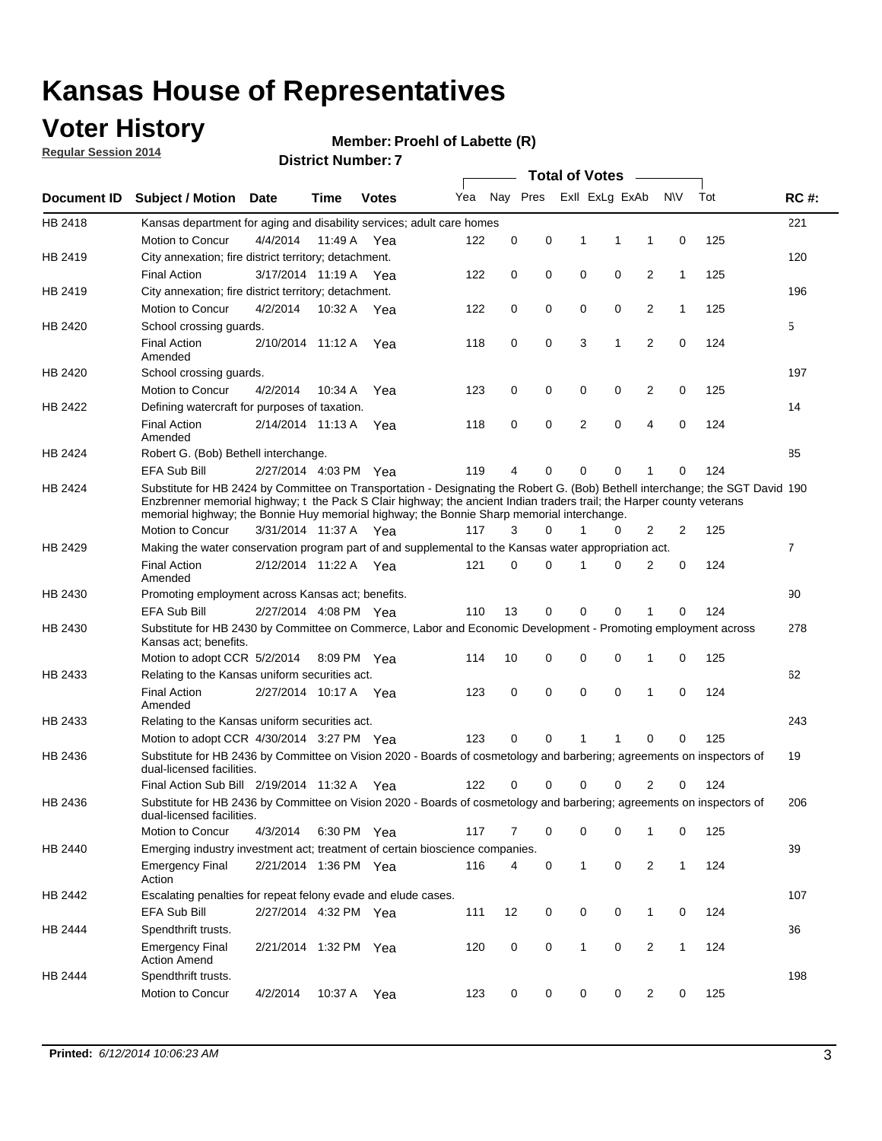### **Voter History**

**Regular Session 2014**

#### **Member: Proehl of Labette (R)**

|                |                                                                                                                                                                                                                                                                                                                                                      |                       | <b>DISUILLINUIIIDEL.</b> |              |     |             |          | <b>Total of Votes</b> |                |                |              |     |                |
|----------------|------------------------------------------------------------------------------------------------------------------------------------------------------------------------------------------------------------------------------------------------------------------------------------------------------------------------------------------------------|-----------------------|--------------------------|--------------|-----|-------------|----------|-----------------------|----------------|----------------|--------------|-----|----------------|
| Document ID    | <b>Subject / Motion Date</b>                                                                                                                                                                                                                                                                                                                         |                       | Time                     | <b>Votes</b> | Yea |             | Nay Pres |                       | Exll ExLg ExAb |                | <b>NV</b>    | Tot | <b>RC#:</b>    |
| HB 2418        | Kansas department for aging and disability services; adult care homes                                                                                                                                                                                                                                                                                |                       |                          |              |     |             |          |                       |                |                |              |     | 221            |
|                | Motion to Concur                                                                                                                                                                                                                                                                                                                                     | 4/4/2014              | 11:49 A                  | Yea          | 122 | 0           | 0        | 1                     | 1              | 1              | 0            | 125 |                |
| HB 2419        | City annexation; fire district territory; detachment.                                                                                                                                                                                                                                                                                                |                       |                          |              |     |             |          |                       |                |                |              |     | 120            |
|                | <b>Final Action</b>                                                                                                                                                                                                                                                                                                                                  | 3/17/2014 11:19 A     |                          | Yea          | 122 | 0           | 0        | $\mathbf 0$           | 0              | 2              | $\mathbf{1}$ | 125 |                |
| HB 2419        | City annexation; fire district territory; detachment.                                                                                                                                                                                                                                                                                                |                       |                          |              |     |             |          |                       |                |                |              |     | 196            |
|                | Motion to Concur                                                                                                                                                                                                                                                                                                                                     | 4/2/2014              | 10:32 A                  | Yea          | 122 | 0           | 0        | $\mathbf 0$           | 0              | 2              | $\mathbf{1}$ | 125 |                |
| HB 2420        | School crossing quards.                                                                                                                                                                                                                                                                                                                              |                       |                          |              |     |             |          |                       |                |                |              |     | 5              |
|                | <b>Final Action</b><br>Amended                                                                                                                                                                                                                                                                                                                       | 2/10/2014 11:12 A     |                          | Yea          | 118 | 0           | 0        | 3                     | 1              | 2              | 0            | 124 |                |
| HB 2420        | School crossing guards.                                                                                                                                                                                                                                                                                                                              |                       |                          |              |     |             |          |                       |                |                |              |     | 197            |
|                | Motion to Concur                                                                                                                                                                                                                                                                                                                                     | 4/2/2014              | 10:34 A                  | Yea          | 123 | 0           | 0        | 0                     | 0              | 2              | 0            | 125 |                |
| HB 2422        | Defining watercraft for purposes of taxation.                                                                                                                                                                                                                                                                                                        |                       |                          |              |     |             |          |                       |                |                |              |     | 14             |
|                | <b>Final Action</b><br>Amended                                                                                                                                                                                                                                                                                                                       | 2/14/2014 11:13 A     |                          | Yea          | 118 | 0           | 0        | 2                     | $\mathbf 0$    | 4              | 0            | 124 |                |
| HB 2424        | Robert G. (Bob) Bethell interchange.                                                                                                                                                                                                                                                                                                                 |                       |                          |              |     |             |          |                       |                |                |              |     | 85             |
|                | <b>EFA Sub Bill</b>                                                                                                                                                                                                                                                                                                                                  | 2/27/2014 4:03 PM Yea |                          |              | 119 | 4           | 0        | 0                     | $\mathbf 0$    | 1              | $\Omega$     | 124 |                |
| HB 2424        | Substitute for HB 2424 by Committee on Transportation - Designating the Robert G. (Bob) Bethell interchange; the SGT David 190<br>Enzbrenner memorial highway; t the Pack S Clair highway; the ancient Indian traders trail; the Harper county veterans<br>memorial highway; the Bonnie Huy memorial highway; the Bonnie Sharp memorial interchange. |                       |                          |              |     |             |          |                       |                |                |              |     |                |
|                | Motion to Concur                                                                                                                                                                                                                                                                                                                                     | 3/31/2014 11:37 A Yea |                          |              | 117 | 3           | 0        | 1                     | 0              | 2              | 2            | 125 |                |
| HB 2429        | Making the water conservation program part of and supplemental to the Kansas water appropriation act.                                                                                                                                                                                                                                                |                       |                          |              |     |             |          |                       |                |                |              |     | $\overline{7}$ |
|                | <b>Final Action</b><br>Amended                                                                                                                                                                                                                                                                                                                       | 2/12/2014 11:22 A     |                          | Yea          | 121 | $\mathbf 0$ | 0        | 1                     | $\Omega$       | $\overline{2}$ | 0            | 124 |                |
| HB 2430        | Promoting employment across Kansas act; benefits.                                                                                                                                                                                                                                                                                                    |                       |                          |              |     |             |          |                       |                |                |              |     | 90             |
|                | EFA Sub Bill                                                                                                                                                                                                                                                                                                                                         | 2/27/2014 4:08 PM Yea |                          |              | 110 | 13          | 0        | 0                     | 0              | 1              | $\Omega$     | 124 |                |
| HB 2430        | Substitute for HB 2430 by Committee on Commerce, Labor and Economic Development - Promoting employment across<br>Kansas act; benefits.                                                                                                                                                                                                               |                       |                          |              |     |             |          |                       |                |                |              |     | 278            |
|                | Motion to adopt CCR 5/2/2014                                                                                                                                                                                                                                                                                                                         |                       | 8:09 PM Yea              |              | 114 | 10          | 0        | 0                     | $\mathbf 0$    | 1              | 0            | 125 |                |
| HB 2433        | Relating to the Kansas uniform securities act.                                                                                                                                                                                                                                                                                                       |                       |                          |              |     |             |          |                       |                |                |              |     | 62             |
|                | <b>Final Action</b><br>Amended                                                                                                                                                                                                                                                                                                                       | 2/27/2014 10:17 A Yea |                          |              | 123 | 0           | 0        | $\mathbf 0$           | $\mathbf 0$    | 1              | 0            | 124 |                |
| HB 2433        | Relating to the Kansas uniform securities act.                                                                                                                                                                                                                                                                                                       |                       |                          |              |     |             |          |                       |                |                |              |     | 243            |
|                | Motion to adopt CCR 4/30/2014 3:27 PM Yea                                                                                                                                                                                                                                                                                                            |                       |                          |              | 123 | 0           | 0        | 1                     | 1              | 0              | 0            | 125 |                |
| HB 2436        | Substitute for HB 2436 by Committee on Vision 2020 - Boards of cosmetology and barbering; agreements on inspectors of<br>dual-licensed facilities.                                                                                                                                                                                                   |                       |                          |              |     |             |          |                       |                |                |              |     | 19             |
|                | Final Action Sub Bill 2/19/2014 11:32 A                                                                                                                                                                                                                                                                                                              |                       |                          | Yea          | 122 | 0           | 0        | 0                     | $\Omega$       | 2              | 0            | 124 |                |
| HB 2436        | Substitute for HB 2436 by Committee on Vision 2020 - Boards of cosmetology and barbering; agreements on inspectors of<br>dual-licensed facilities.                                                                                                                                                                                                   |                       |                          |              |     |             |          |                       |                |                |              |     | 206            |
|                | Motion to Concur                                                                                                                                                                                                                                                                                                                                     | 4/3/2014              | 6:30 PM Yea              |              | 117 | 7           | 0        | 0                     | 0              | 1              | 0            | 125 |                |
| <b>HB 2440</b> | Emerging industry investment act; treatment of certain bioscience companies.                                                                                                                                                                                                                                                                         |                       |                          |              |     |             |          |                       |                |                |              |     | 39             |
|                | <b>Emergency Final</b><br>Action                                                                                                                                                                                                                                                                                                                     | 2/21/2014 1:36 PM Yea |                          |              | 116 | 4           | 0        | 1                     | 0              | 2              | $\mathbf{1}$ | 124 |                |
| HB 2442        | Escalating penalties for repeat felony evade and elude cases.                                                                                                                                                                                                                                                                                        |                       |                          |              |     |             |          |                       |                |                |              |     | 107            |
|                | EFA Sub Bill                                                                                                                                                                                                                                                                                                                                         | 2/27/2014 4:32 PM Yea |                          |              | 111 | 12          | 0        | 0                     | 0              | $\mathbf{1}$   | 0            | 124 |                |
| HB 2444        | Spendthrift trusts.                                                                                                                                                                                                                                                                                                                                  |                       |                          |              |     |             |          |                       |                |                |              |     | 36             |
|                | <b>Emergency Final</b><br><b>Action Amend</b>                                                                                                                                                                                                                                                                                                        | 2/21/2014 1:32 PM Yea |                          |              | 120 | 0           | 0        | 1                     | 0              | 2              | $\mathbf{1}$ | 124 |                |
| HB 2444        | Spendthrift trusts.                                                                                                                                                                                                                                                                                                                                  |                       |                          |              |     |             |          |                       |                |                |              |     | 198            |
|                | Motion to Concur                                                                                                                                                                                                                                                                                                                                     | 4/2/2014              | 10:37 A                  | Yea          | 123 | 0           | 0        | 0                     | 0              | 2              | 0            | 125 |                |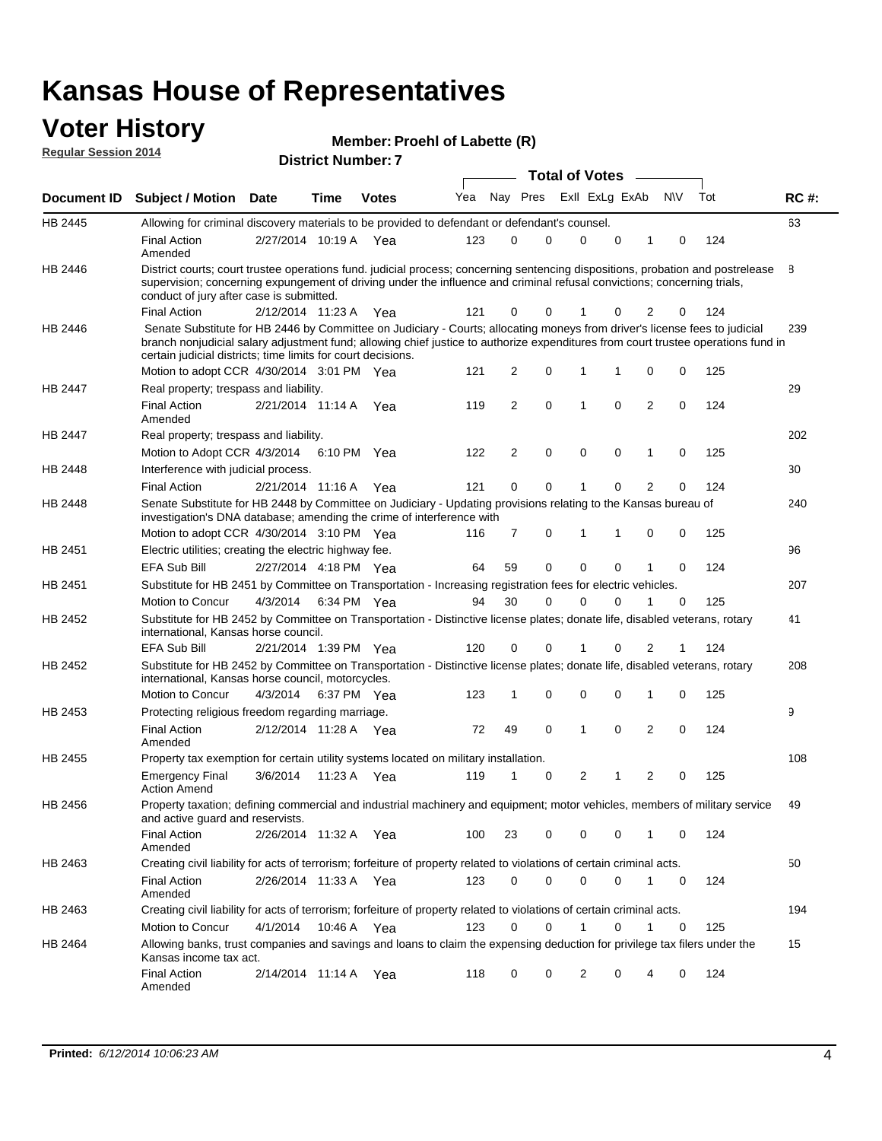### **Voter History**

| Member: Proehl of Labette (R) |
|-------------------------------|
|-------------------------------|

| <b>Regular Session 2014</b> |                                                                                                                                                                                                                                                                                                                                 |                       |      | <b>Member: Proem or Labette (R)</b> |     |                |                         |                       |             |                |             |     |             |
|-----------------------------|---------------------------------------------------------------------------------------------------------------------------------------------------------------------------------------------------------------------------------------------------------------------------------------------------------------------------------|-----------------------|------|-------------------------------------|-----|----------------|-------------------------|-----------------------|-------------|----------------|-------------|-----|-------------|
|                             |                                                                                                                                                                                                                                                                                                                                 |                       |      | <b>District Number: 7</b>           |     |                |                         | <b>Total of Votes</b> |             |                |             |     |             |
| <b>Document ID</b>          | <b>Subject / Motion</b>                                                                                                                                                                                                                                                                                                         | <b>Date</b>           | Time | <b>Votes</b>                        | Yea |                | Nay Pres ExII ExLg ExAb |                       |             |                | <b>NV</b>   | Tot | <b>RC#:</b> |
| HB 2445                     | Allowing for criminal discovery materials to be provided to defendant or defendant's counsel.                                                                                                                                                                                                                                   |                       |      |                                     |     |                |                         |                       |             |                |             |     | 63          |
|                             | <b>Final Action</b><br>Amended                                                                                                                                                                                                                                                                                                  | 2/27/2014 10:19 A Yea |      |                                     | 123 | 0              | 0                       | 0                     | $\mathbf 0$ | 1              | 0           | 124 |             |
| HB 2446                     | District courts; court trustee operations fund. judicial process; concerning sentencing dispositions, probation and postrelease<br>supervision; concerning expungement of driving under the influence and criminal refusal convictions; concerning trials,<br>conduct of jury after case is submitted.                          |                       |      |                                     |     |                |                         |                       |             |                |             |     | 8           |
|                             | <b>Final Action</b>                                                                                                                                                                                                                                                                                                             | 2/12/2014 11:23 A Yea |      |                                     | 121 | 0              | 0                       |                       | 0           | 2              | 0           | 124 |             |
| HB 2446                     | Senate Substitute for HB 2446 by Committee on Judiciary - Courts; allocating moneys from driver's license fees to judicial<br>branch nonjudicial salary adjustment fund; allowing chief justice to authorize expenditures from court trustee operations fund in<br>certain judicial districts; time limits for court decisions. |                       |      |                                     |     |                |                         |                       |             |                |             |     | 239         |
|                             | Motion to adopt CCR 4/30/2014 3:01 PM Yea                                                                                                                                                                                                                                                                                       |                       |      |                                     | 121 | 2              | 0                       | 1                     | 1           | 0              | 0           | 125 |             |
| HB 2447                     | Real property; trespass and liability.<br><b>Final Action</b>                                                                                                                                                                                                                                                                   | 2/21/2014 11:14 A     |      | Yea                                 | 119 | 2              | 0                       | $\mathbf{1}$          | $\mathbf 0$ | $\overline{2}$ | $\mathbf 0$ | 124 | 29          |
|                             | Amended                                                                                                                                                                                                                                                                                                                         |                       |      |                                     |     |                |                         |                       |             |                |             |     |             |
| HB 2447                     | Real property; trespass and liability.                                                                                                                                                                                                                                                                                          |                       |      |                                     |     |                |                         |                       |             |                |             |     | 202         |
|                             | Motion to Adopt CCR 4/3/2014 6:10 PM Yea                                                                                                                                                                                                                                                                                        |                       |      |                                     | 122 | 2              | 0                       | 0                     | 0           | 1              | 0           | 125 |             |
| HB 2448                     | Interference with judicial process.                                                                                                                                                                                                                                                                                             |                       |      |                                     |     |                |                         |                       |             |                |             |     | 30          |
|                             | <b>Final Action</b>                                                                                                                                                                                                                                                                                                             | 2/21/2014 11:16 A     |      | Yea                                 | 121 | 0              | 0                       | 1                     | 0           | $\overline{2}$ | 0           | 124 |             |
| HB 2448                     | Senate Substitute for HB 2448 by Committee on Judiciary - Updating provisions relating to the Kansas bureau of<br>investigation's DNA database; amending the crime of interference with<br>Motion to adopt CCR 4/30/2014 3:10 PM Yea                                                                                            |                       |      |                                     | 116 | $\overline{7}$ | 0                       | 1                     | 1           | 0              | 0           | 125 | 240         |
| HB 2451                     | Electric utilities; creating the electric highway fee.                                                                                                                                                                                                                                                                          |                       |      |                                     |     |                |                         |                       |             |                |             |     | 96          |
|                             | <b>EFA Sub Bill</b>                                                                                                                                                                                                                                                                                                             | 2/27/2014 4:18 PM Yea |      |                                     | 64  | 59             | 0                       | 0                     | 0           | 1              | $\Omega$    | 124 |             |
| HB 2451                     | Substitute for HB 2451 by Committee on Transportation - Increasing registration fees for electric vehicles.                                                                                                                                                                                                                     |                       |      |                                     |     |                |                         |                       |             |                |             |     | 207         |
|                             | <b>Motion to Concur</b>                                                                                                                                                                                                                                                                                                         | 4/3/2014              |      | 6:34 PM Yea                         | 94  | 30             | 0                       | $\Omega$              | 0           | 1              | 0           | 125 |             |
|                             |                                                                                                                                                                                                                                                                                                                                 |                       |      |                                     |     |                |                         |                       |             |                |             |     | 41          |
| HB 2452                     | Substitute for HB 2452 by Committee on Transportation - Distinctive license plates; donate life, disabled veterans, rotary<br>international, Kansas horse council.                                                                                                                                                              |                       |      |                                     |     |                |                         |                       |             |                |             |     |             |
|                             | <b>EFA Sub Bill</b>                                                                                                                                                                                                                                                                                                             | 2/21/2014 1:39 PM Yea |      |                                     | 120 | 0              | 0                       | 1                     | $\mathbf 0$ | $\overline{2}$ | 1           | 124 |             |
| HB 2452                     | Substitute for HB 2452 by Committee on Transportation - Distinctive license plates; donate life, disabled veterans, rotary<br>international, Kansas horse council, motorcycles.                                                                                                                                                 |                       |      |                                     |     |                |                         |                       |             |                |             |     | 208         |
|                             | Motion to Concur                                                                                                                                                                                                                                                                                                                | 4/3/2014              |      | 6:37 PM Yea                         | 123 | 1              | 0                       | 0                     | 0           | 1              | 0           | 125 |             |
| HB 2453                     | Protecting religious freedom regarding marriage.<br><b>Final Action</b><br>Amended                                                                                                                                                                                                                                              | 2/12/2014 11:28 A Yea |      |                                     | 72  | 49             | 0                       | 1                     | 0           | 2              | 0           | 124 | 9           |
| HB 2455                     | Property tax exemption for certain utility systems located on military installation.                                                                                                                                                                                                                                            |                       |      |                                     |     |                |                         |                       |             |                |             |     | 108         |
|                             | <b>Emergency Final</b><br>Action Amend                                                                                                                                                                                                                                                                                          | 3/6/2014              |      | 11:23 A Yea                         | 119 | 1              | 0                       | $\overline{2}$        | 1           | 2              | 0           | 125 |             |
| HB 2456                     | Property taxation; defining commercial and industrial machinery and equipment; motor vehicles, members of military service<br>and active guard and reservists.                                                                                                                                                                  |                       |      |                                     |     |                |                         |                       |             |                |             |     | 49          |
|                             | <b>Final Action</b><br>Amended                                                                                                                                                                                                                                                                                                  | 2/26/2014 11:32 A Yea |      |                                     | 100 | 23             | 0                       | 0                     | $\mathbf 0$ | 1              | 0           | 124 |             |
| HB 2463                     | Creating civil liability for acts of terrorism; forfeiture of property related to violations of certain criminal acts.                                                                                                                                                                                                          |                       |      |                                     |     |                |                         |                       |             |                |             |     | 50          |
|                             | <b>Final Action</b><br>Amended                                                                                                                                                                                                                                                                                                  | 2/26/2014 11:33 A     |      | Yea                                 | 123 | 0              | 0                       | 0                     | 0           | 1              | 0           | 124 |             |
| HB 2463                     | Creating civil liability for acts of terrorism; forfeiture of property related to violations of certain criminal acts.                                                                                                                                                                                                          |                       |      |                                     |     |                |                         |                       |             |                |             |     | 194         |
|                             | Motion to Concur                                                                                                                                                                                                                                                                                                                | 4/1/2014              |      | 10:46 A Yea                         | 123 | 0              | 0                       | 1                     | 0           | 1              | 0           | 125 |             |
| HB 2464                     | Allowing banks, trust companies and savings and loans to claim the expensing deduction for privilege tax filers under the<br>Kansas income tax act.                                                                                                                                                                             |                       |      |                                     |     |                |                         |                       |             |                |             |     | 15          |
|                             | <b>Final Action</b><br>Amended                                                                                                                                                                                                                                                                                                  | 2/14/2014 11:14 A Yea |      |                                     | 118 | 0              | 0                       | 2                     | 0           | 4              | 0           | 124 |             |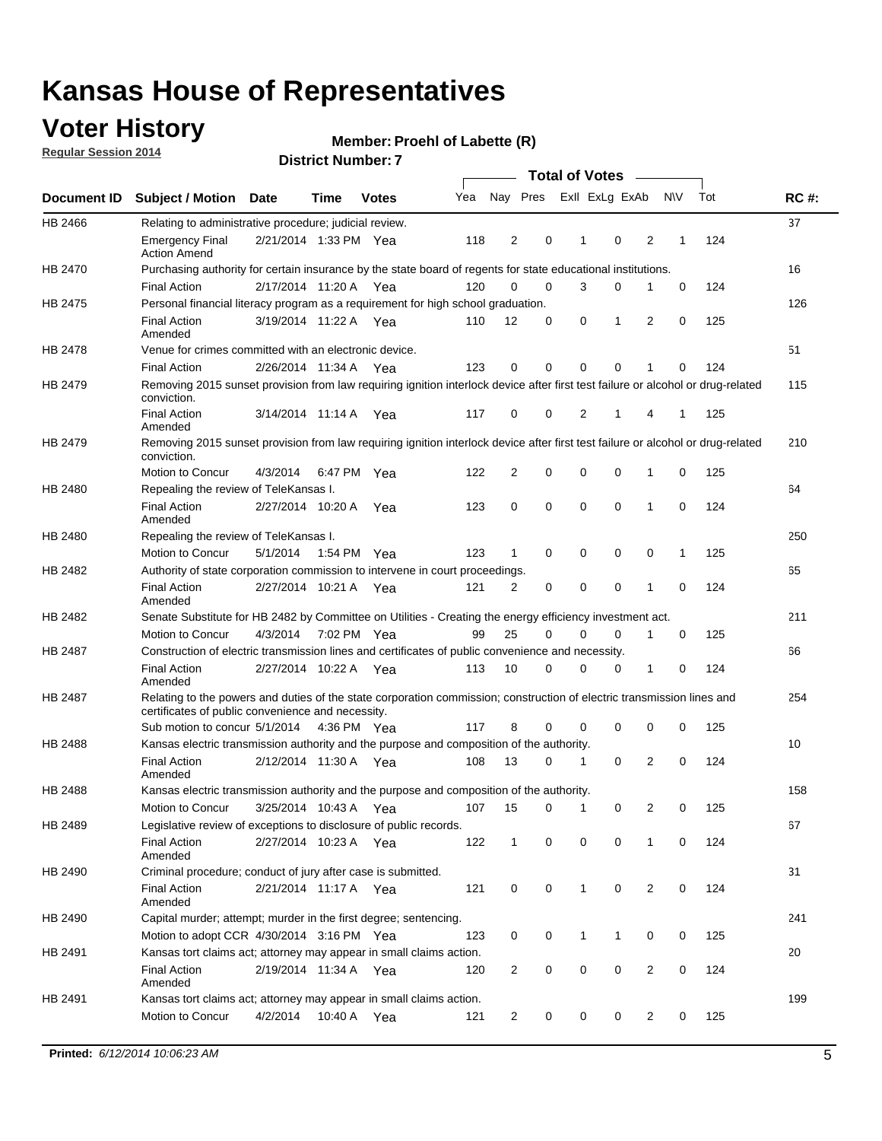### **Voter History**

**Regular Session 2014**

#### **Member: Proehl of Labette (R)**

|                |                                                                                                                                                                             |                       |                   |              |     |                |             | <b>Total of Votes</b> |             |   |           |     |             |
|----------------|-----------------------------------------------------------------------------------------------------------------------------------------------------------------------------|-----------------------|-------------------|--------------|-----|----------------|-------------|-----------------------|-------------|---|-----------|-----|-------------|
|                | Document ID Subject / Motion                                                                                                                                                | <b>Date</b>           | Time              | <b>Votes</b> | Yea | Nay Pres       |             | Exll ExLg ExAb        |             |   | <b>NV</b> | Tot | <b>RC#:</b> |
| HB 2466        | Relating to administrative procedure; judicial review.                                                                                                                      |                       |                   |              |     |                |             |                       |             |   |           |     | 37          |
|                | <b>Emergency Final</b><br><b>Action Amend</b>                                                                                                                               | 2/21/2014 1:33 PM Yea |                   |              | 118 | 2              | 0           | 1                     | $\mathbf 0$ | 2 | 1         | 124 |             |
| HB 2470        | Purchasing authority for certain insurance by the state board of regents for state educational institutions.                                                                |                       |                   |              |     |                |             |                       |             |   |           |     | 16          |
|                | <b>Final Action</b>                                                                                                                                                         | 2/17/2014 11:20 A Yea |                   |              | 120 | $\mathbf 0$    | $\mathbf 0$ | 3                     | 0           | 1 | 0         | 124 |             |
| HB 2475        | Personal financial literacy program as a requirement for high school graduation.                                                                                            |                       |                   |              |     |                |             |                       |             |   |           |     | 126         |
|                | <b>Final Action</b><br>Amended                                                                                                                                              | 3/19/2014 11:22 A Yea |                   |              | 110 | 12             | 0           | 0                     | 1           | 2 | 0         | 125 |             |
| HB 2478        | Venue for crimes committed with an electronic device.                                                                                                                       |                       |                   |              |     |                |             |                       |             |   |           |     | 51          |
|                | <b>Final Action</b>                                                                                                                                                         | 2/26/2014 11:34 A     |                   | Yea          | 123 | 0              | 0           | $\mathbf 0$           | $\mathbf 0$ | 1 | 0         | 124 |             |
| HB 2479        | Removing 2015 sunset provision from law requiring ignition interlock device after first test failure or alcohol or drug-related<br>conviction.                              |                       |                   |              |     |                |             |                       |             |   |           |     | 115         |
|                | <b>Final Action</b><br>Amended                                                                                                                                              | 3/14/2014 11:14 A     |                   | Yea          | 117 | $\mathbf 0$    | 0           | 2                     | 1           | 4 | 1         | 125 |             |
| HB 2479        | Removing 2015 sunset provision from law requiring ignition interlock device after first test failure or alcohol or drug-related<br>conviction.                              |                       |                   |              |     |                |             |                       |             |   |           |     | 210         |
|                | Motion to Concur                                                                                                                                                            | 4/3/2014              |                   | 6:47 PM Yea  | 122 | $\overline{2}$ | 0           | 0                     | $\mathbf 0$ | 1 | 0         | 125 |             |
| HB 2480        | Repealing the review of TeleKansas I.                                                                                                                                       |                       |                   |              |     |                |             |                       |             |   |           |     | 64          |
|                | <b>Final Action</b><br>Amended                                                                                                                                              | 2/27/2014 10:20 A     |                   | Yea          | 123 | 0              | $\mathbf 0$ | $\mathbf 0$           | $\mathbf 0$ | 1 | 0         | 124 |             |
| HB 2480        | Repealing the review of TeleKansas I.                                                                                                                                       |                       |                   |              |     |                |             |                       |             |   |           |     | 250         |
|                | Motion to Concur                                                                                                                                                            | 5/1/2014              |                   | 1:54 PM Yea  | 123 | 1              | 0           | 0                     | 0           | 0 | 1         | 125 |             |
| HB 2482        | Authority of state corporation commission to intervene in court proceedings.                                                                                                |                       |                   |              |     |                |             |                       |             |   |           |     | 65          |
|                | <b>Final Action</b><br>Amended                                                                                                                                              | 2/27/2014 10:21 A     |                   | Yea          | 121 | 2              | 0           | $\mathbf 0$           | $\mathbf 0$ | 1 | 0         | 124 |             |
| HB 2482        | Senate Substitute for HB 2482 by Committee on Utilities - Creating the energy efficiency investment act.                                                                    |                       |                   |              |     |                |             |                       |             |   |           |     | 211         |
|                | Motion to Concur                                                                                                                                                            | 4/3/2014 7:02 PM Yea  |                   |              | 99  | 25             | $\Omega$    | 0                     | $\mathbf 0$ | 1 | 0         | 125 |             |
| <b>HB 2487</b> | Construction of electric transmission lines and certificates of public convenience and necessity.                                                                           |                       |                   |              |     |                |             |                       |             |   |           |     | 66          |
|                | <b>Final Action</b><br>Amended                                                                                                                                              | 2/27/2014 10:22 A Yea |                   |              | 113 | 10             | 0           | $\mathbf 0$           | 0           | 1 | 0         | 124 |             |
| HB 2487        | Relating to the powers and duties of the state corporation commission; construction of electric transmission lines and<br>certificates of public convenience and necessity. |                       |                   |              |     |                |             |                       |             |   |           |     | 254         |
|                | Sub motion to concur 5/1/2014                                                                                                                                               |                       |                   | 4:36 PM Yea  | 117 | 8              | 0           | 0                     | 0           | 0 | 0         | 125 |             |
| <b>HB 2488</b> | Kansas electric transmission authority and the purpose and composition of the authority.                                                                                    |                       |                   |              |     |                |             |                       |             |   |           |     | 10          |
|                | <b>Final Action</b><br>Amended                                                                                                                                              | 2/12/2014 11:30 A     |                   | Yea          | 108 | 13             | 0           | 1                     | $\mathbf 0$ | 2 | 0         | 124 |             |
| <b>HB 2488</b> | Kansas electric transmission authority and the purpose and composition of the authority.                                                                                    |                       |                   |              |     |                |             |                       |             |   |           |     | 158         |
|                | Motion to Concur                                                                                                                                                            |                       | 3/25/2014 10:43 A | Yea          | 107 | 15             | 0           | $\mathbf{1}$          | 0           | 2 | 0         | 125 |             |
| HB 2489        | Legislative review of exceptions to disclosure of public records.                                                                                                           |                       |                   |              |     |                |             |                       |             |   |           |     | 67          |
|                | <b>Final Action</b><br>Amended                                                                                                                                              | 2/27/2014 10:23 A Yea |                   |              | 122 | $\mathbf{1}$   | 0           | 0                     | 0           | 1 | 0         | 124 |             |
| HB 2490        | Criminal procedure; conduct of jury after case is submitted.                                                                                                                |                       |                   |              |     |                |             |                       |             |   |           |     | 31          |
|                | <b>Final Action</b><br>Amended                                                                                                                                              | 2/21/2014 11:17 A Yea |                   |              | 121 | 0              | 0           | $\mathbf{1}$          | $\mathbf 0$ | 2 | 0         | 124 |             |
| HB 2490        | Capital murder; attempt; murder in the first degree; sentencing.                                                                                                            |                       |                   |              |     |                |             |                       |             |   |           |     | 241         |
|                | Motion to adopt CCR 4/30/2014 3:16 PM Yea                                                                                                                                   |                       |                   |              | 123 | 0              | 0           | 1                     | 1           | 0 | 0         | 125 |             |
| HB 2491        | Kansas tort claims act; attorney may appear in small claims action.                                                                                                         |                       |                   |              |     |                |             |                       |             |   |           |     | 20          |
|                | <b>Final Action</b><br>Amended                                                                                                                                              | 2/19/2014 11:34 A Yea |                   |              | 120 | $\overline{c}$ | 0           | 0                     | $\pmb{0}$   | 2 | 0         | 124 |             |
| HB 2491        | Kansas tort claims act; attorney may appear in small claims action.                                                                                                         |                       |                   |              |     |                |             |                       |             |   |           |     | 199         |
|                | Motion to Concur                                                                                                                                                            | 4/2/2014              | 10:40 A           | Yea          | 121 | 2              | 0           | 0                     | 0           | 2 | 0         | 125 |             |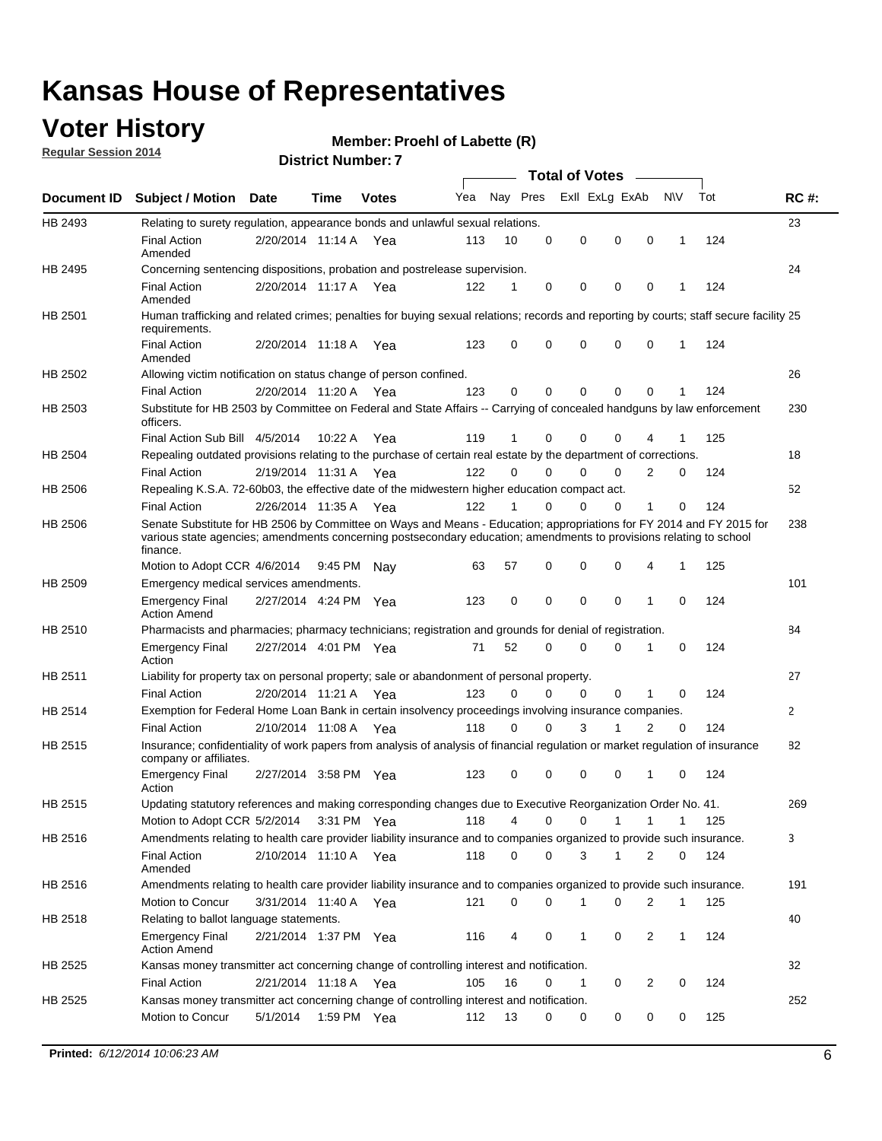### **Voter History**

**Regular Session 2014**

#### **Member: Proehl of Labette (R)**

|                    |                                                                                                                                                                                                                                                        |                       |             |              |     |          |          | <b>Total of Votes</b> |              |                |              |     |              |
|--------------------|--------------------------------------------------------------------------------------------------------------------------------------------------------------------------------------------------------------------------------------------------------|-----------------------|-------------|--------------|-----|----------|----------|-----------------------|--------------|----------------|--------------|-----|--------------|
| <b>Document ID</b> | <b>Subject / Motion Date</b>                                                                                                                                                                                                                           |                       | Time        | <b>Votes</b> | Yea | Nay Pres |          | Exll ExLg ExAb        |              |                | <b>NV</b>    | Tot | <b>RC#:</b>  |
| HB 2493            | Relating to surety regulation, appearance bonds and unlawful sexual relations.                                                                                                                                                                         |                       |             |              |     |          |          |                       |              |                |              |     | 23           |
|                    | <b>Final Action</b><br>Amended                                                                                                                                                                                                                         | 2/20/2014 11:14 A     |             | Yea          | 113 | 10       | 0        | 0                     | $\mathbf 0$  | 0              | $\mathbf 1$  | 124 |              |
| HB 2495            | Concerning sentencing dispositions, probation and postrelease supervision.                                                                                                                                                                             |                       |             |              |     |          |          |                       |              |                |              |     | 24           |
|                    | <b>Final Action</b><br>Amended                                                                                                                                                                                                                         | 2/20/2014 11:17 A Yea |             |              | 122 | 1        | 0        | 0                     | $\mathbf 0$  | $\mathbf 0$    | -1           | 124 |              |
| HB 2501            | Human trafficking and related crimes; penalties for buying sexual relations; records and reporting by courts; staff secure facility 25<br>requirements.                                                                                                |                       |             |              |     |          |          |                       |              |                |              |     |              |
|                    | <b>Final Action</b><br>Amended                                                                                                                                                                                                                         | 2/20/2014 11:18 A Yea |             |              | 123 | $\Omega$ | 0        | 0                     | $\Omega$     | $\mathbf 0$    | 1            | 124 |              |
| HB 2502            | Allowing victim notification on status change of person confined.                                                                                                                                                                                      |                       |             |              |     |          |          |                       |              |                |              |     | 26           |
|                    | <b>Final Action</b>                                                                                                                                                                                                                                    | 2/20/2014 11:20 A Yea |             |              | 123 | $\Omega$ | 0        | $\mathbf{0}$          | $\Omega$     | $\Omega$       |              | 124 |              |
| HB 2503            | Substitute for HB 2503 by Committee on Federal and State Affairs -- Carrying of concealed handguns by law enforcement<br>officers.                                                                                                                     |                       |             |              |     |          |          |                       |              |                |              |     | 230          |
|                    | Final Action Sub Bill 4/5/2014                                                                                                                                                                                                                         |                       | 10:22 A     | Yea          | 119 |          | 0        | 0                     | 0            | 4              |              | 125 |              |
| HB 2504            | Repealing outdated provisions relating to the purchase of certain real estate by the department of corrections.                                                                                                                                        |                       |             |              |     |          |          |                       |              |                |              |     | 18           |
|                    | <b>Final Action</b>                                                                                                                                                                                                                                    | 2/19/2014 11:31 A Yea |             |              | 122 | $\Omega$ | $\Omega$ | 0                     | $\mathbf{0}$ | $\overline{2}$ | 0            | 124 |              |
| HB 2506            | Repealing K.S.A. 72-60b03, the effective date of the midwestern higher education compact act.                                                                                                                                                          |                       |             |              |     |          |          |                       |              |                |              |     | 52           |
|                    | <b>Final Action</b>                                                                                                                                                                                                                                    | 2/26/2014 11:35 A Yea |             |              | 122 |          | $\Omega$ | 0                     | 0            | 1              | 0            | 124 |              |
| HB 2506            | Senate Substitute for HB 2506 by Committee on Ways and Means - Education; appropriations for FY 2014 and FY 2015 for<br>various state agencies; amendments concerning postsecondary education; amendments to provisions relating to school<br>finance. |                       |             |              |     |          |          |                       |              |                |              |     | 238          |
|                    | Motion to Adopt CCR 4/6/2014                                                                                                                                                                                                                           |                       | 9:45 PM Nav |              | 63  | 57       | 0        | 0                     | 0            | 4              | -1           | 125 |              |
| HB 2509            | Emergency medical services amendments.                                                                                                                                                                                                                 |                       |             |              |     |          |          |                       |              |                |              |     | 101          |
|                    | Emergency Final<br><b>Action Amend</b>                                                                                                                                                                                                                 | 2/27/2014 4:24 PM Yea |             |              | 123 | 0        | 0        | $\mathbf 0$           | 0            | $\mathbf{1}$   | 0            | 124 |              |
| HB 2510            | Pharmacists and pharmacies; pharmacy technicians; registration and grounds for denial of registration.                                                                                                                                                 |                       |             |              |     |          |          |                       |              |                |              |     | 84           |
|                    | <b>Emergency Final</b><br>Action                                                                                                                                                                                                                       | 2/27/2014 4:01 PM Yea |             |              | 71  | 52       | 0        | 0                     | 0            | 1              | 0            | 124 |              |
| HB 2511            | Liability for property tax on personal property; sale or abandonment of personal property.                                                                                                                                                             |                       |             |              |     |          |          |                       |              |                |              |     | 27           |
|                    | <b>Final Action</b>                                                                                                                                                                                                                                    | 2/20/2014 11:21 A     |             | Yea          | 123 | $\Omega$ | $\Omega$ | 0                     | 0            | 1              | 0            | 124 |              |
| HB 2514            | Exemption for Federal Home Loan Bank in certain insolvency proceedings involving insurance companies.                                                                                                                                                  |                       |             |              |     |          |          |                       |              |                |              |     | $\mathbf{2}$ |
|                    | <b>Final Action</b>                                                                                                                                                                                                                                    | 2/10/2014 11:08 A     |             | Yea          | 118 | $\Omega$ | $\Omega$ | 3                     | 1            | 2              | $\mathbf 0$  | 124 |              |
| HB 2515            | Insurance; confidentiality of work papers from analysis of analysis of financial regulation or market regulation of insurance<br>company or affiliates.                                                                                                |                       |             |              |     |          |          |                       |              |                |              |     | 82           |
|                    | <b>Emergency Final</b><br>Action                                                                                                                                                                                                                       | 2/27/2014 3:58 PM Yea |             |              | 123 | 0        | 0        | 0                     | 0            | 1              | 0            | 124 |              |
| HB 2515            | Updating statutory references and making corresponding changes due to Executive Reorganization Order No. 41.                                                                                                                                           |                       |             |              |     |          |          |                       |              |                |              |     | 269          |
|                    | Motion to Adopt CCR 5/2/2014 3:31 PM Yea                                                                                                                                                                                                               |                       |             |              | 118 | 4        | 0        | 0                     | $\mathbf{1}$ | $\mathbf{1}$   | $\mathbf{1}$ | 125 |              |
| HB 2516            | Amendments relating to health care provider liability insurance and to companies organized to provide such insurance.                                                                                                                                  |                       |             |              |     |          |          |                       |              |                |              |     | 3            |
|                    | <b>Final Action</b><br>Amended                                                                                                                                                                                                                         | 2/10/2014 11:10 A Yea |             |              | 118 | 0        | 0        | 3                     | 1            | 2              | 0            | 124 |              |
| HB 2516            | Amendments relating to health care provider liability insurance and to companies organized to provide such insurance.                                                                                                                                  |                       |             |              |     |          |          |                       |              |                |              |     | 191          |
|                    | Motion to Concur                                                                                                                                                                                                                                       | 3/31/2014 11:40 A Yea |             |              | 121 | 0        | 0        | 1                     | 0            | 2              | $\mathbf{1}$ | 125 |              |
| HB 2518            | Relating to ballot language statements.                                                                                                                                                                                                                |                       |             |              |     |          |          |                       |              |                |              |     | 40           |
|                    | Emergency Final<br><b>Action Amend</b>                                                                                                                                                                                                                 | 2/21/2014 1:37 PM Yea |             |              | 116 | 4        | 0        | 1                     | 0            | 2              | 1            | 124 |              |
| HB 2525            | Kansas money transmitter act concerning change of controlling interest and notification.                                                                                                                                                               |                       |             |              |     |          |          |                       |              |                |              |     | 32           |
|                    | <b>Final Action</b>                                                                                                                                                                                                                                    | 2/21/2014 11:18 A Yea |             |              | 105 | 16       | 0        | 1                     | 0            | 2              | 0            | 124 |              |
| HB 2525            | Kansas money transmitter act concerning change of controlling interest and notification.                                                                                                                                                               |                       |             |              |     |          |          |                       |              |                |              |     | 252          |
|                    | Motion to Concur                                                                                                                                                                                                                                       | 5/1/2014              |             | 1:59 PM Yea  | 112 | 13       | 0        | 0                     | 0            | 0              | 0            | 125 |              |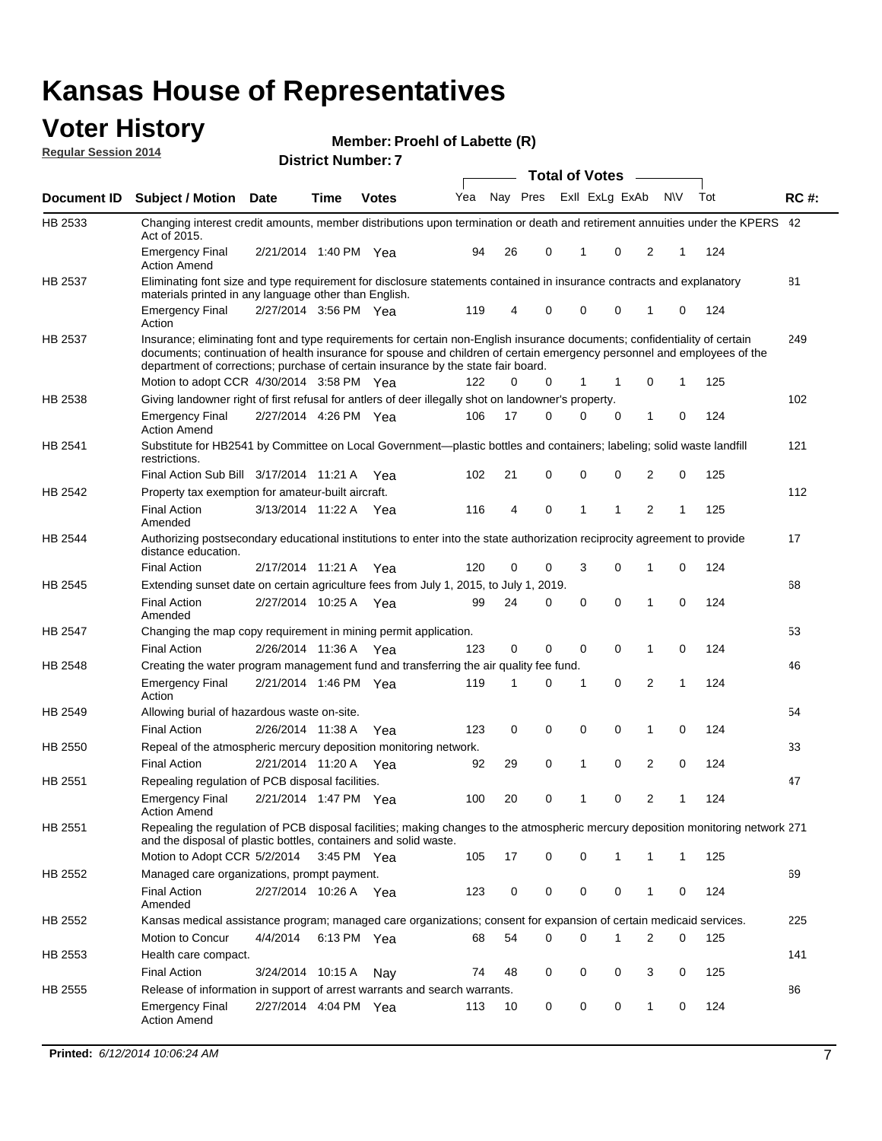#### **Voter History Regular Session 2014**

| Member: Proehl of Labette (R) |  |  |
|-------------------------------|--|--|
|-------------------------------|--|--|

|                | ו וסעוווטנו ואוווטפו                                                                                                                                                                                                                                                                                                                      |                       |             |              |     |    | <b>Total of Votes</b><br>$\sim$ |  |              |                |   |     |     |             |
|----------------|-------------------------------------------------------------------------------------------------------------------------------------------------------------------------------------------------------------------------------------------------------------------------------------------------------------------------------------------|-----------------------|-------------|--------------|-----|----|---------------------------------|--|--------------|----------------|---|-----|-----|-------------|
| Document ID    | <b>Subject / Motion Date</b>                                                                                                                                                                                                                                                                                                              |                       | Time        | <b>Votes</b> | Yea |    | Nay Pres                        |  |              | Exll ExLg ExAb |   | N\V | Tot | <b>RC#:</b> |
| HB 2533        | Changing interest credit amounts, member distributions upon termination or death and retirement annuities under the KPERS 42<br>Act of 2015.                                                                                                                                                                                              |                       |             |              |     |    |                                 |  |              |                |   |     |     |             |
|                | <b>Emergency Final</b><br><b>Action Amend</b>                                                                                                                                                                                                                                                                                             | 2/21/2014 1:40 PM Yea |             |              | 94  | 26 | 0                               |  | 1            | 0              | 2 | 1   | 124 |             |
| HB 2537        | Eliminating font size and type requirement for disclosure statements contained in insurance contracts and explanatory<br>materials printed in any language other than English.                                                                                                                                                            |                       |             |              |     |    |                                 |  |              |                |   |     |     | 81          |
|                | <b>Emergency Final</b><br>Action                                                                                                                                                                                                                                                                                                          | 2/27/2014 3:56 PM Yea |             |              | 119 | 4  | 0                               |  | 0            | 0              | 1 | 0   | 124 |             |
| HB 2537        | Insurance; eliminating font and type requirements for certain non-English insurance documents; confidentiality of certain<br>documents; continuation of health insurance for spouse and children of certain emergency personnel and employees of the<br>department of corrections; purchase of certain insurance by the state fair board. |                       |             |              |     |    |                                 |  |              |                |   |     |     | 249         |
|                | Motion to adopt CCR 4/30/2014 3:58 PM Yea                                                                                                                                                                                                                                                                                                 |                       |             |              | 122 | 0  | 0                               |  | 1            | 1              | 0 | 1   | 125 |             |
| HB 2538        | Giving landowner right of first refusal for antlers of deer illegally shot on landowner's property.                                                                                                                                                                                                                                       |                       |             |              |     |    |                                 |  |              |                |   |     |     | 102         |
|                | <b>Emergency Final</b><br><b>Action Amend</b>                                                                                                                                                                                                                                                                                             | 2/27/2014 4:26 PM Yea |             |              | 106 | 17 | 0                               |  | 0            | 0              | 1 | 0   | 124 |             |
| HB 2541        | Substitute for HB2541 by Committee on Local Government—plastic bottles and containers; labeling; solid waste landfill<br>restrictions.                                                                                                                                                                                                    |                       |             |              |     |    |                                 |  |              |                |   |     |     | 121         |
|                | Final Action Sub Bill 3/17/2014 11:21 A Yea                                                                                                                                                                                                                                                                                               |                       |             |              | 102 | 21 | 0                               |  | 0            | 0              | 2 | 0   | 125 |             |
| HB 2542        | Property tax exemption for amateur-built aircraft.<br><b>Final Action</b>                                                                                                                                                                                                                                                                 | 3/13/2014 11:22 A Yea |             |              | 116 | 4  | 0                               |  | $\mathbf{1}$ | 1              | 2 | 1   | 125 | 112         |
|                | Amended                                                                                                                                                                                                                                                                                                                                   |                       |             |              |     |    |                                 |  |              |                |   |     |     |             |
| HB 2544        | Authorizing postsecondary educational institutions to enter into the state authorization reciprocity agreement to provide<br>distance education.                                                                                                                                                                                          |                       |             |              |     |    |                                 |  |              |                |   |     |     | 17          |
|                | <b>Final Action</b>                                                                                                                                                                                                                                                                                                                       | 2/17/2014 11:21 A Yea |             |              | 120 | 0  | 0                               |  | 3            | 0              | 1 | 0   | 124 |             |
| HB 2545        | Extending sunset date on certain agriculture fees from July 1, 2015, to July 1, 2019.                                                                                                                                                                                                                                                     |                       |             |              |     |    |                                 |  |              |                |   |     |     | 68          |
|                | <b>Final Action</b><br>Amended                                                                                                                                                                                                                                                                                                            | 2/27/2014 10:25 A Yea |             |              | 99  | 24 | 0                               |  | $\mathbf 0$  | $\mathbf{0}$   | 1 | 0   | 124 |             |
| <b>HB 2547</b> | Changing the map copy requirement in mining permit application.                                                                                                                                                                                                                                                                           |                       |             |              |     |    |                                 |  |              |                |   |     |     | 53          |
|                | <b>Final Action</b>                                                                                                                                                                                                                                                                                                                       | 2/26/2014 11:36 A     |             | Yea          | 123 | 0  | 0                               |  | 0            | 0              | 1 | 0   | 124 |             |
| HB 2548        | Creating the water program management fund and transferring the air quality fee fund.                                                                                                                                                                                                                                                     |                       |             |              |     |    |                                 |  |              |                |   |     |     | 46          |
|                | <b>Emergency Final</b><br>Action                                                                                                                                                                                                                                                                                                          | 2/21/2014 1:46 PM Yea |             |              | 119 | 1  | 0                               |  | 1            | $\mathbf 0$    | 2 | 1   | 124 |             |
| HB 2549        | Allowing burial of hazardous waste on-site.                                                                                                                                                                                                                                                                                               |                       |             |              |     |    |                                 |  |              |                |   |     |     | 54          |
|                | <b>Final Action</b>                                                                                                                                                                                                                                                                                                                       | 2/26/2014 11:38 A     |             | Yea          | 123 | 0  | 0                               |  | 0            | 0              | 1 | 0   | 124 |             |
| HB 2550        | Repeal of the atmospheric mercury deposition monitoring network.                                                                                                                                                                                                                                                                          |                       |             |              |     |    |                                 |  |              |                |   |     |     | 33          |
|                | <b>Final Action</b>                                                                                                                                                                                                                                                                                                                       | 2/21/2014 11:20 A     |             | Yea          | 92  | 29 | 0                               |  | $\mathbf{1}$ | 0              | 2 | 0   | 124 |             |
| HB 2551        | Repealing regulation of PCB disposal facilities.                                                                                                                                                                                                                                                                                          |                       |             |              |     |    |                                 |  |              |                |   |     |     | 47          |
|                | <b>Emergency Final</b><br>Action Amend                                                                                                                                                                                                                                                                                                    | 2/21/2014 1:47 PM Yea |             |              | 100 | 20 | 0                               |  | $\mathbf{1}$ | 0              | 2 | 1   | 124 |             |
| HB 2551        | Repealing the regulation of PCB disposal facilities; making changes to the atmospheric mercury deposition monitoring network 271<br>and the disposal of plastic bottles, containers and solid waste.                                                                                                                                      |                       |             |              |     |    |                                 |  |              |                |   |     |     |             |
|                | Motion to Adopt CCR 5/2/2014 3:45 PM Yea                                                                                                                                                                                                                                                                                                  |                       |             |              | 105 | 17 | $\mathbf 0$                     |  | 0            | 1              | 1 | 1   | 125 |             |
| HB 2552        | Managed care organizations, prompt payment.                                                                                                                                                                                                                                                                                               |                       |             |              |     |    |                                 |  |              |                |   |     |     | 69          |
|                | <b>Final Action</b><br>Amended                                                                                                                                                                                                                                                                                                            | 2/27/2014 10:26 A Yea |             |              | 123 | 0  | 0                               |  | 0            | 0              | 1 | 0   | 124 |             |
| HB 2552        | Kansas medical assistance program; managed care organizations; consent for expansion of certain medicaid services.                                                                                                                                                                                                                        |                       |             |              |     |    |                                 |  |              |                |   |     |     | 225         |
|                | Motion to Concur                                                                                                                                                                                                                                                                                                                          | 4/4/2014              | 6:13 PM Yea |              | 68  | 54 | 0                               |  | 0            | 1              | 2 | 0   | 125 |             |
| HB 2553        | Health care compact.                                                                                                                                                                                                                                                                                                                      |                       |             |              |     |    |                                 |  |              |                |   |     |     | 141         |
|                | <b>Final Action</b>                                                                                                                                                                                                                                                                                                                       | 3/24/2014 10:15 A     |             | Nay          | 74  | 48 | 0                               |  | 0            | 0              | 3 | 0   | 125 |             |
| HB 2555        | Release of information in support of arrest warrants and search warrants.                                                                                                                                                                                                                                                                 |                       |             |              |     |    |                                 |  |              |                |   |     |     | 86          |
|                | <b>Emergency Final</b><br><b>Action Amend</b>                                                                                                                                                                                                                                                                                             | 2/27/2014 4:04 PM Yea |             |              | 113 | 10 | 0                               |  | 0            | 0              | 1 | 0   | 124 |             |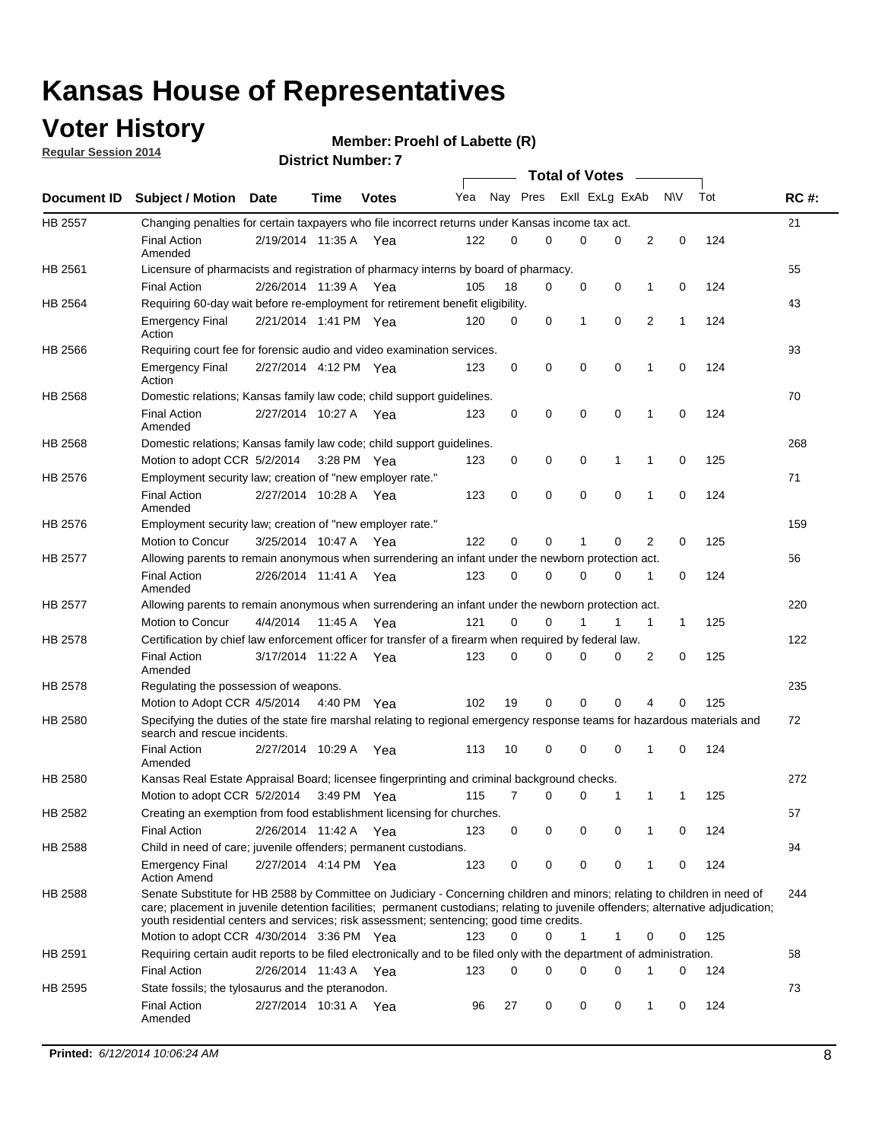### **Voter History**

**Regular Session 2014**

#### **Member: Proehl of Labette (R)**

|                |                                                                                                                                                                                                                                                                                                                                                           |                       |             |              |     |          |   | <b>Total of Votes</b> |             |              |             |     |             |
|----------------|-----------------------------------------------------------------------------------------------------------------------------------------------------------------------------------------------------------------------------------------------------------------------------------------------------------------------------------------------------------|-----------------------|-------------|--------------|-----|----------|---|-----------------------|-------------|--------------|-------------|-----|-------------|
|                | Document ID Subject / Motion Date                                                                                                                                                                                                                                                                                                                         |                       | Time        | <b>Votes</b> | Yea | Nay Pres |   | Exll ExLg ExAb        |             |              | N\V         | Tot | <b>RC#:</b> |
| <b>HB 2557</b> | Changing penalties for certain taxpayers who file incorrect returns under Kansas income tax act.                                                                                                                                                                                                                                                          |                       |             |              |     |          |   |                       |             |              |             |     | 21          |
|                | <b>Final Action</b><br>Amended                                                                                                                                                                                                                                                                                                                            | 2/19/2014 11:35 A     |             | Yea          | 122 | 0        | 0 | 0                     | 0           | 2            | $\mathbf 0$ | 124 |             |
| HB 2561        | Licensure of pharmacists and registration of pharmacy interns by board of pharmacy.                                                                                                                                                                                                                                                                       |                       |             |              |     |          |   |                       |             |              |             |     | 55          |
|                | <b>Final Action</b>                                                                                                                                                                                                                                                                                                                                       | 2/26/2014 11:39 A Yea |             |              | 105 | 18       | 0 | 0                     | 0           | 1            | 0           | 124 |             |
| HB 2564        | Requiring 60-day wait before re-employment for retirement benefit eligibility.                                                                                                                                                                                                                                                                            |                       |             |              |     |          |   |                       |             |              |             |     | 43          |
|                | <b>Emergency Final</b><br>Action                                                                                                                                                                                                                                                                                                                          | 2/21/2014 1:41 PM Yea |             |              | 120 | 0        | 0 | 1                     | 0           | 2            | 1           | 124 |             |
| HB 2566        | Requiring court fee for forensic audio and video examination services.                                                                                                                                                                                                                                                                                    |                       |             |              |     |          |   |                       |             |              |             |     | 93          |
|                | <b>Emergency Final</b><br>Action                                                                                                                                                                                                                                                                                                                          | 2/27/2014 4:12 PM Yea |             |              | 123 | 0        | 0 | 0                     | $\mathbf 0$ | $\mathbf{1}$ | 0           | 124 |             |
| HB 2568        | Domestic relations; Kansas family law code; child support guidelines.                                                                                                                                                                                                                                                                                     |                       |             |              |     |          |   |                       |             |              |             |     | 70          |
|                | <b>Final Action</b><br>Amended                                                                                                                                                                                                                                                                                                                            | 2/27/2014 10:27 A     |             | Yea          | 123 | 0        | 0 | 0                     | $\mathbf 0$ | 1            | 0           | 124 |             |
| HB 2568        | Domestic relations; Kansas family law code; child support guidelines.                                                                                                                                                                                                                                                                                     |                       |             |              |     |          |   |                       |             |              |             |     | 268         |
|                | Motion to adopt CCR 5/2/2014                                                                                                                                                                                                                                                                                                                              |                       | 3:28 PM Yea |              | 123 | 0        | 0 | 0                     | 1           | 1            | $\mathbf 0$ | 125 |             |
| HB 2576        | Employment security law; creation of "new employer rate."                                                                                                                                                                                                                                                                                                 |                       |             |              |     |          |   |                       |             |              |             |     | 71          |
|                | <b>Final Action</b><br>Amended                                                                                                                                                                                                                                                                                                                            | 2/27/2014 10:28 A Yea |             |              | 123 | 0        | 0 | 0                     | 0           | 1            | 0           | 124 |             |
| HB 2576        | Employment security law; creation of "new employer rate."                                                                                                                                                                                                                                                                                                 |                       |             |              |     |          |   |                       |             |              |             |     | 159         |
|                | Motion to Concur                                                                                                                                                                                                                                                                                                                                          | 3/25/2014 10:47 A     |             | Yea          | 122 | 0        | 0 | 1                     | 0           | 2            | 0           | 125 |             |
| HB 2577        | Allowing parents to remain anonymous when surrendering an infant under the newborn protection act.                                                                                                                                                                                                                                                        |                       |             |              |     |          |   |                       |             |              |             |     | 56          |
|                | <b>Final Action</b><br>Amended                                                                                                                                                                                                                                                                                                                            | 2/26/2014 11:41 A Yea |             |              | 123 | $\Omega$ | 0 | 0                     | $\Omega$    | 1            | 0           | 124 |             |
| HB 2577        | Allowing parents to remain anonymous when surrendering an infant under the newborn protection act.                                                                                                                                                                                                                                                        |                       |             |              |     |          |   |                       |             |              |             |     | 220         |
|                | Motion to Concur                                                                                                                                                                                                                                                                                                                                          | 4/4/2014              | 11:45 A     | Yea          | 121 | $\Omega$ | 0 | 1                     | 1           | 1            | 1           | 125 |             |
| HB 2578        | Certification by chief law enforcement officer for transfer of a firearm when required by federal law.                                                                                                                                                                                                                                                    |                       |             |              |     |          |   |                       |             |              |             |     | 122         |
|                | <b>Final Action</b><br>Amended                                                                                                                                                                                                                                                                                                                            | 3/17/2014 11:22 A     |             | Yea          | 123 | $\Omega$ | 0 | 0                     | 0           | 2            | 0           | 125 |             |
| HB 2578        | Regulating the possession of weapons.                                                                                                                                                                                                                                                                                                                     |                       |             |              |     |          |   |                       |             |              |             |     | 235         |
|                | Motion to Adopt CCR 4/5/2014 4:40 PM Yea                                                                                                                                                                                                                                                                                                                  |                       |             |              | 102 | 19       | 0 | 0                     | 0           | 4            | 0           | 125 |             |
| HB 2580        | Specifying the duties of the state fire marshal relating to regional emergency response teams for hazardous materials and<br>search and rescue incidents.                                                                                                                                                                                                 |                       |             |              |     |          |   |                       |             |              |             |     | 72          |
|                | <b>Final Action</b><br>Amended                                                                                                                                                                                                                                                                                                                            | 2/27/2014 10:29 A     |             | Yea          | 113 | 10       | 0 | 0                     | $\mathbf 0$ | 1            | 0           | 124 |             |
| HB 2580        | Kansas Real Estate Appraisal Board; licensee fingerprinting and criminal background checks.                                                                                                                                                                                                                                                               |                       |             |              |     |          |   |                       |             |              |             |     | 272         |
|                | Motion to adopt CCR 5/2/2014                                                                                                                                                                                                                                                                                                                              |                       |             | 3:49 PM Yea  | 115 | 7        | 0 | 0                     | 1           | 1            | 1           | 125 |             |
| HB 2582        | Creating an exemption from food establishment licensing for churches.                                                                                                                                                                                                                                                                                     |                       |             |              |     |          |   |                       |             |              |             |     | 57          |
|                | <b>Final Action</b>                                                                                                                                                                                                                                                                                                                                       | 2/26/2014 11:42 A Yea |             |              | 123 | 0        | 0 | 0                     | 0           |              | 0           | 124 |             |
| HB 2588        | Child in need of care; juvenile offenders; permanent custodians.                                                                                                                                                                                                                                                                                          |                       |             |              |     |          |   |                       |             |              |             |     | 94          |
|                | <b>Emergency Final</b><br><b>Action Amend</b>                                                                                                                                                                                                                                                                                                             | 2/27/2014 4:14 PM Yea |             |              | 123 | 0        | 0 | 0                     | 0           | 1            | 0           | 124 |             |
| HB 2588        | Senate Substitute for HB 2588 by Committee on Judiciary - Concerning children and minors; relating to children in need of<br>care; placement in juvenile detention facilities; permanent custodians; relating to juvenile offenders; alternative adjudication;<br>youth residential centers and services; risk assessment; sentencing; good time credits. |                       |             |              |     |          |   |                       |             |              |             |     | 244         |
|                | Motion to adopt CCR 4/30/2014 3:36 PM Yea                                                                                                                                                                                                                                                                                                                 |                       |             |              | 123 | 0        | 0 | 1                     | 1           | 0            | 0           | 125 |             |
| HB 2591        | Requiring certain audit reports to be filed electronically and to be filed only with the department of administration.                                                                                                                                                                                                                                    |                       |             |              |     |          |   |                       |             |              |             |     | 58          |
|                | <b>Final Action</b>                                                                                                                                                                                                                                                                                                                                       | 2/26/2014 11:43 A Yea |             |              | 123 | 0        | 0 | 0                     | 0           | 1            | 0           | 124 |             |
| HB 2595        | State fossils; the tylosaurus and the pteranodon.                                                                                                                                                                                                                                                                                                         |                       |             |              |     |          |   |                       |             |              |             |     | 73          |
|                | <b>Final Action</b><br>Amended                                                                                                                                                                                                                                                                                                                            | 2/27/2014 10:31 A Yea |             |              | 96  | 27       | 0 | 0                     | 0           | 1            | 0           | 124 |             |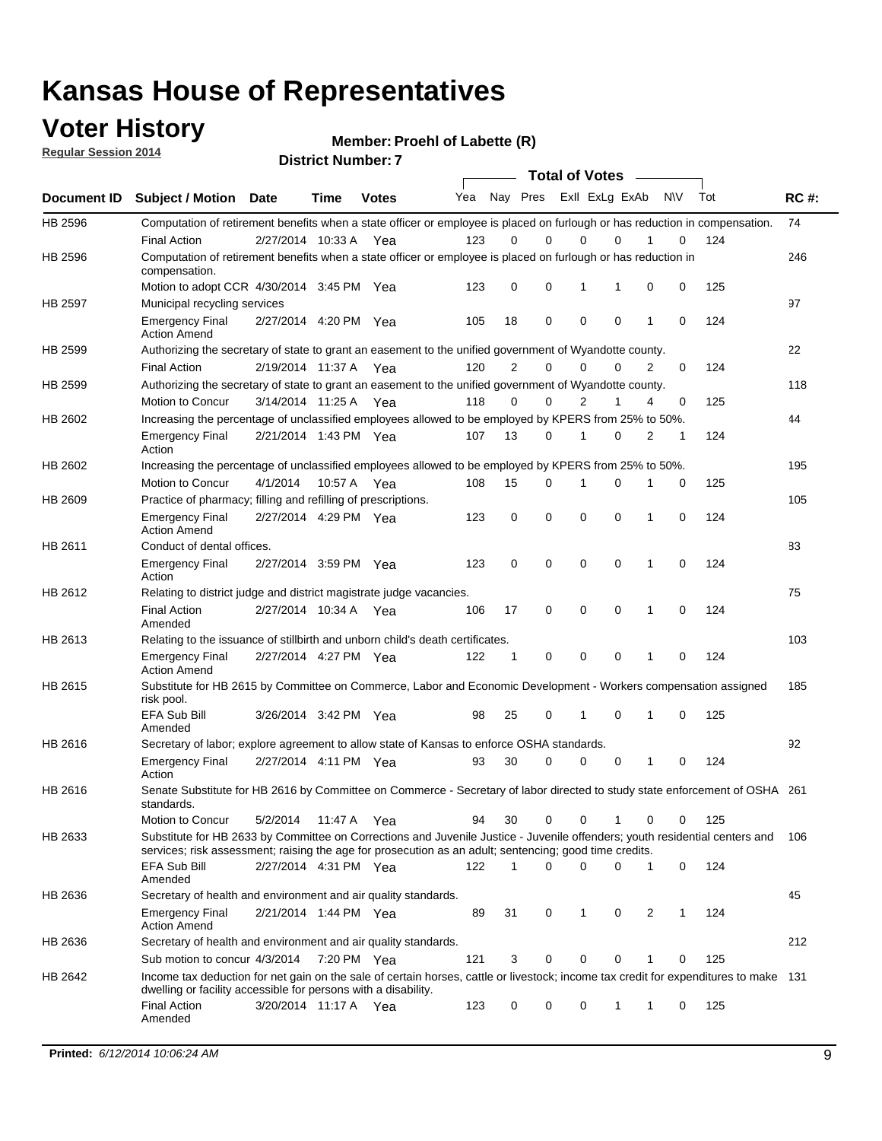### **Voter History**

**Regular Session 2014**

**Member: Proehl of Labette (R)** 

| <b>District Number: 7</b> |  |
|---------------------------|--|
|                           |  |

|         |                                                                                                                                                                                                                                       |                       |             |              |     |                | <b>Total of Votes</b>   |             |             |              |            |     |             |
|---------|---------------------------------------------------------------------------------------------------------------------------------------------------------------------------------------------------------------------------------------|-----------------------|-------------|--------------|-----|----------------|-------------------------|-------------|-------------|--------------|------------|-----|-------------|
|         | Document ID Subject / Motion Date                                                                                                                                                                                                     |                       | <b>Time</b> | <b>Votes</b> | Yea |                | Nay Pres Exll ExLg ExAb |             |             |              | <b>NIV</b> | Tot | <b>RC#:</b> |
| HB 2596 | Computation of retirement benefits when a state officer or employee is placed on furlough or has reduction in compensation.<br><b>Final Action</b>                                                                                    | 2/27/2014 10:33 A     |             | Yea          | 123 | 0              | 0                       | $\mathbf 0$ | $\Omega$    |              | 0          | 124 | 74          |
| HB 2596 | Computation of retirement benefits when a state officer or employee is placed on furlough or has reduction in<br>compensation.                                                                                                        |                       |             |              |     |                |                         |             |             |              |            |     | 246         |
|         | Motion to adopt CCR 4/30/2014 3:45 PM Yea                                                                                                                                                                                             |                       |             |              | 123 | 0              | 0                       | 1           | 1           | 0            | 0          | 125 |             |
| HB 2597 | Municipal recycling services                                                                                                                                                                                                          |                       |             |              |     |                |                         |             |             |              |            |     | 97          |
|         | <b>Emergency Final</b><br><b>Action Amend</b>                                                                                                                                                                                         | 2/27/2014 4:20 PM Yea |             |              | 105 | 18             | 0                       | $\mathbf 0$ | 0           | 1            | 0          | 124 |             |
| HB 2599 | Authorizing the secretary of state to grant an easement to the unified government of Wyandotte county.                                                                                                                                |                       |             |              |     |                |                         |             |             |              |            |     | 22          |
|         | <b>Final Action</b>                                                                                                                                                                                                                   | 2/19/2014 11:37 A     |             | Yea          | 120 | $\overline{2}$ | 0                       | 0           | $\Omega$    | 2            | $\Omega$   | 124 |             |
| HB 2599 | Authorizing the secretary of state to grant an easement to the unified government of Wyandotte county.                                                                                                                                |                       |             |              |     |                |                         |             |             |              |            |     | 118         |
|         | Motion to Concur                                                                                                                                                                                                                      | 3/14/2014 11:25 A Yea |             |              | 118 | 0              | 0                       | 2           | 1           | 4            | 0          | 125 |             |
| HB 2602 | Increasing the percentage of unclassified employees allowed to be employed by KPERS from 25% to 50%.                                                                                                                                  |                       |             |              |     |                |                         |             |             |              |            |     | 44          |
|         | <b>Emergency Final</b><br>Action                                                                                                                                                                                                      | 2/21/2014 1:43 PM Yea |             |              | 107 | 13             | 0                       | 1           | 0           | 2            | 1          | 124 |             |
| HB 2602 | Increasing the percentage of unclassified employees allowed to be employed by KPERS from 25% to 50%.                                                                                                                                  |                       |             |              |     |                |                         |             |             |              |            |     | 195         |
|         | Motion to Concur                                                                                                                                                                                                                      | 4/1/2014              | 10:57 A     | Yea          | 108 | 15             | 0                       | 1           | $\mathbf 0$ | 1            | 0          | 125 |             |
| HB 2609 | Practice of pharmacy; filling and refilling of prescriptions.                                                                                                                                                                         |                       |             |              |     |                |                         |             |             |              |            |     | 105         |
|         | <b>Emergency Final</b><br><b>Action Amend</b>                                                                                                                                                                                         | 2/27/2014 4:29 PM Yea |             |              | 123 | 0              | $\mathbf 0$             | $\mathbf 0$ | $\mathbf 0$ | 1            | 0          | 124 |             |
| HB 2611 | Conduct of dental offices.                                                                                                                                                                                                            |                       |             |              |     |                |                         |             |             |              |            |     | 83          |
|         | <b>Emergency Final</b><br>Action                                                                                                                                                                                                      | 2/27/2014 3:59 PM Yea |             |              | 123 | 0              | $\mathbf 0$             | $\mathbf 0$ | 0           | 1            | 0          | 124 |             |
| HB 2612 | Relating to district judge and district magistrate judge vacancies.                                                                                                                                                                   |                       |             |              |     |                |                         |             |             |              |            |     | 75          |
|         | <b>Final Action</b><br>Amended                                                                                                                                                                                                        | 2/27/2014 10:34 A     |             | Yea          | 106 | 17             | $\mathbf 0$             | $\mathbf 0$ | $\mathbf 0$ | 1            | 0          | 124 |             |
| HB 2613 | Relating to the issuance of stillbirth and unborn child's death certificates.                                                                                                                                                         |                       |             |              |     |                |                         |             |             |              |            |     | 103         |
|         | <b>Emergency Final</b><br><b>Action Amend</b>                                                                                                                                                                                         | 2/27/2014 4:27 PM Yea |             |              | 122 | $\mathbf{1}$   | $\mathbf 0$             | $\mathbf 0$ | $\Omega$    | $\mathbf{1}$ | $\Omega$   | 124 |             |
| HB 2615 | Substitute for HB 2615 by Committee on Commerce, Labor and Economic Development - Workers compensation assigned<br>risk pool.                                                                                                         |                       |             |              |     |                |                         |             |             |              |            |     | 185         |
|         | EFA Sub Bill<br>Amended                                                                                                                                                                                                               | 3/26/2014 3:42 PM Yea |             |              | 98  | 25             | 0                       | 1           | $\mathbf 0$ | 1            | 0          | 125 |             |
| HB 2616 | Secretary of labor; explore agreement to allow state of Kansas to enforce OSHA standards.                                                                                                                                             |                       |             |              |     |                |                         |             |             |              |            |     | 92          |
|         | <b>Emergency Final</b><br>Action                                                                                                                                                                                                      | 2/27/2014 4:11 PM Yea |             |              | 93  | 30             | $\Omega$                | 0           | 0           | 1            | 0          | 124 |             |
| HB 2616 | Senate Substitute for HB 2616 by Committee on Commerce - Secretary of labor directed to study state enforcement of OSHA 261<br>standards.                                                                                             |                       |             |              |     |                |                         |             |             |              |            |     |             |
|         | Motion to Concur                                                                                                                                                                                                                      | 5/2/2014 11:47 A Yea  |             |              | 94  | 30             | $\mathbf 0$             | 0           | 1           | 0            | 0          | 125 |             |
| HB 2633 | Substitute for HB 2633 by Committee on Corrections and Juvenile Justice - Juvenile offenders; youth residential centers and<br>services; risk assessment; raising the age for prosecution as an adult; sentencing; good time credits. |                       |             |              |     |                |                         |             |             |              |            |     | 106         |
|         | EFA Sub Bill<br>Amended                                                                                                                                                                                                               | 2/27/2014 4:31 PM Yea |             |              | 122 | 1              | $\Omega$                | $\Omega$    | 0           | 1            | 0          | 124 |             |
| HB 2636 | Secretary of health and environment and air quality standards.                                                                                                                                                                        |                       |             |              |     |                |                         |             |             |              |            |     | 45          |
|         | <b>Emergency Final</b><br><b>Action Amend</b>                                                                                                                                                                                         | 2/21/2014 1:44 PM Yea |             |              | 89  | 31             | 0                       | 1           | 0           | 2            | 1          | 124 |             |
| HB 2636 | Secretary of health and environment and air quality standards.                                                                                                                                                                        |                       |             |              |     |                |                         |             |             |              |            |     | 212         |
|         | Sub motion to concur 4/3/2014 7:20 PM Yea                                                                                                                                                                                             |                       |             |              | 121 | 3              | 0                       | 0           | 0           |              | 0          | 125 |             |
| HB 2642 | Income tax deduction for net gain on the sale of certain horses, cattle or livestock; income tax credit for expenditures to make 131<br>dwelling or facility accessible for persons with a disability.                                |                       |             |              |     |                |                         |             |             |              |            |     |             |
|         | <b>Final Action</b><br>Amended                                                                                                                                                                                                        | 3/20/2014 11:17 A Yea |             |              | 123 | 0              | 0                       | 0           | 1           | 1            | 0          | 125 |             |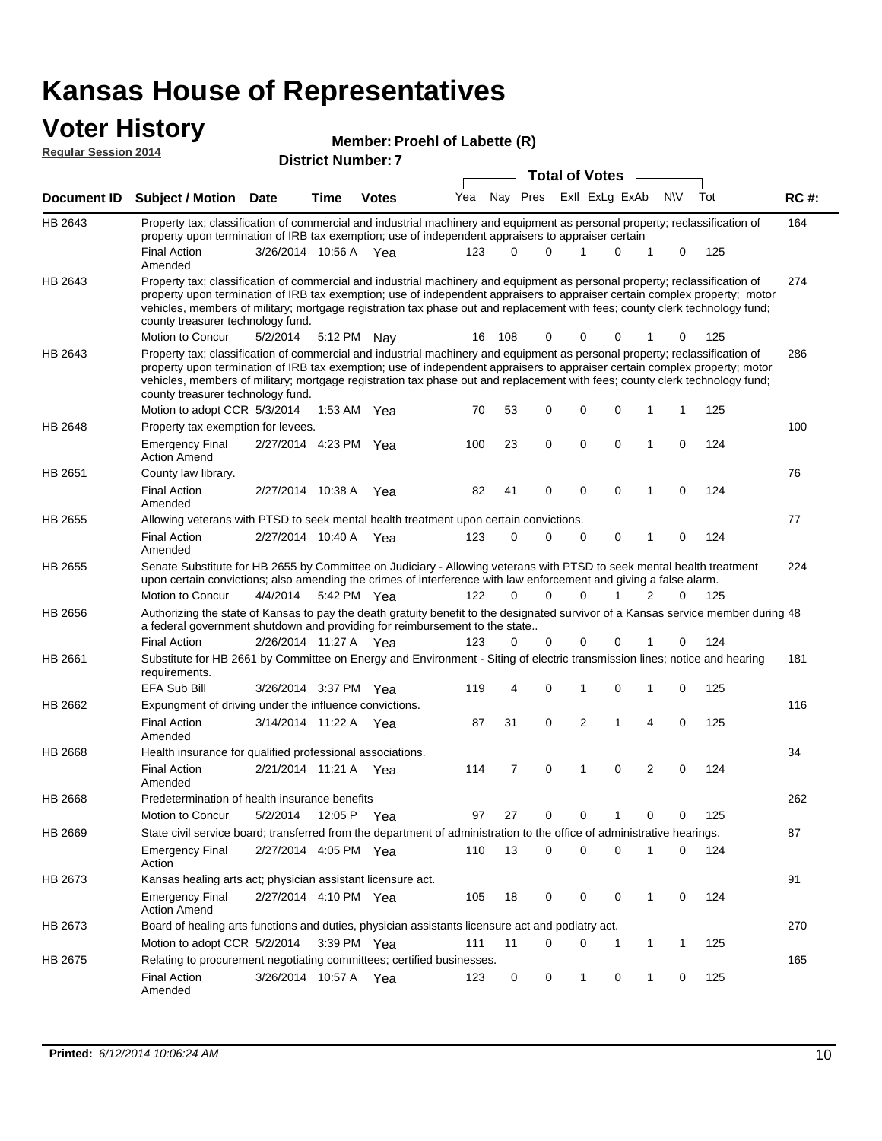### **Voter History**

| Member: Proehl of Labette (R) |
|-------------------------------|
|-------------------------------|

| <b>Regular Session 2014</b> |                                                                                                                                                                                                                                                                                                                                                                                                                                                   |                       |             |                           | <b>Member: Proem or Labette (R)</b> |             |             |                                         |             |                |              |     |                           |  |  |  |  |  |  |  |  |  |  |
|-----------------------------|---------------------------------------------------------------------------------------------------------------------------------------------------------------------------------------------------------------------------------------------------------------------------------------------------------------------------------------------------------------------------------------------------------------------------------------------------|-----------------------|-------------|---------------------------|-------------------------------------|-------------|-------------|-----------------------------------------|-------------|----------------|--------------|-----|---------------------------|--|--|--|--|--|--|--|--|--|--|
|                             |                                                                                                                                                                                                                                                                                                                                                                                                                                                   |                       |             | <b>District Number: 7</b> |                                     |             |             |                                         |             |                |              |     | <b>RC#:</b><br>164<br>274 |  |  |  |  |  |  |  |  |  |  |
| Document ID                 | Subject / Motion Date                                                                                                                                                                                                                                                                                                                                                                                                                             |                       | <b>Time</b> | <b>Votes</b>              | Yea                                 |             | Nay Pres    | <b>Total of Votes</b><br>Exll ExLg ExAb |             |                | <b>NV</b>    | Tot |                           |  |  |  |  |  |  |  |  |  |  |
|                             |                                                                                                                                                                                                                                                                                                                                                                                                                                                   |                       |             |                           |                                     |             |             |                                         |             |                |              |     |                           |  |  |  |  |  |  |  |  |  |  |
| HB 2643                     | Property tax; classification of commercial and industrial machinery and equipment as personal property; reclassification of<br>property upon termination of IRB tax exemption; use of independent appraisers to appraiser certain                                                                                                                                                                                                                 |                       |             |                           |                                     |             |             |                                         |             |                |              |     |                           |  |  |  |  |  |  |  |  |  |  |
|                             | <b>Final Action</b>                                                                                                                                                                                                                                                                                                                                                                                                                               | 3/26/2014 10:56 A Yea |             |                           | 123                                 | $\Omega$    | $\Omega$    | 1                                       | 0           | 1              | 0            | 125 |                           |  |  |  |  |  |  |  |  |  |  |
|                             | Amended                                                                                                                                                                                                                                                                                                                                                                                                                                           |                       |             |                           |                                     |             |             |                                         |             |                |              |     |                           |  |  |  |  |  |  |  |  |  |  |
| HB 2643                     | Property tax; classification of commercial and industrial machinery and equipment as personal property; reclassification of<br>property upon termination of IRB tax exemption; use of independent appraisers to appraiser certain complex property; motor<br>vehicles, members of military; mortgage registration tax phase out and replacement with fees; county clerk technology fund;<br>county treasurer technology fund.<br>Motion to Concur |                       |             |                           | 16                                  | 108         | 0           | 0                                       |             |                |              |     |                           |  |  |  |  |  |  |  |  |  |  |
| HB 2643                     | Property tax; classification of commercial and industrial machinery and equipment as personal property; reclassification of                                                                                                                                                                                                                                                                                                                       | 5/2/2014              | 5:12 PM     | Nay                       |                                     |             |             |                                         | 0           | 1              | 0            | 125 | 286                       |  |  |  |  |  |  |  |  |  |  |
|                             | property upon termination of IRB tax exemption; use of independent appraisers to appraiser certain complex property; motor<br>vehicles, members of military; mortgage registration tax phase out and replacement with fees; county clerk technology fund;<br>county treasurer technology fund.                                                                                                                                                    |                       |             |                           |                                     |             |             |                                         |             |                |              |     |                           |  |  |  |  |  |  |  |  |  |  |
|                             | Motion to adopt CCR 5/3/2014                                                                                                                                                                                                                                                                                                                                                                                                                      |                       |             | 1:53 AM Yea               | 70                                  | 53          | 0           | 0                                       | 0           | 1              | $\mathbf{1}$ | 125 |                           |  |  |  |  |  |  |  |  |  |  |
| HB 2648                     | Property tax exemption for levees.                                                                                                                                                                                                                                                                                                                                                                                                                |                       |             |                           |                                     |             |             |                                         |             |                |              |     | 100                       |  |  |  |  |  |  |  |  |  |  |
|                             | <b>Emergency Final</b><br><b>Action Amend</b>                                                                                                                                                                                                                                                                                                                                                                                                     | 2/27/2014 4:23 PM Yea |             |                           | 100                                 | 23          | 0           | $\mathbf 0$                             | 0           | 1              | 0            | 124 |                           |  |  |  |  |  |  |  |  |  |  |
| HB 2651                     | County law library.                                                                                                                                                                                                                                                                                                                                                                                                                               |                       |             |                           |                                     |             |             |                                         |             |                |              |     | 76                        |  |  |  |  |  |  |  |  |  |  |
|                             | <b>Final Action</b><br>Amended                                                                                                                                                                                                                                                                                                                                                                                                                    | 2/27/2014 10:38 A     |             | Yea                       | 82                                  | 41          | $\mathbf 0$ | 0                                       | $\mathbf 0$ | 1              | $\mathbf 0$  | 124 |                           |  |  |  |  |  |  |  |  |  |  |
| HB 2655                     | Allowing veterans with PTSD to seek mental health treatment upon certain convictions.                                                                                                                                                                                                                                                                                                                                                             |                       |             |                           |                                     |             |             |                                         |             |                |              |     | 77                        |  |  |  |  |  |  |  |  |  |  |
|                             | <b>Final Action</b><br>Amended                                                                                                                                                                                                                                                                                                                                                                                                                    | 2/27/2014 10:40 A Yea |             |                           | 123                                 | $\mathbf 0$ | 0           | 0                                       | 0           | 1              | 0            | 124 |                           |  |  |  |  |  |  |  |  |  |  |
| HB 2655                     | Senate Substitute for HB 2655 by Committee on Judiciary - Allowing veterans with PTSD to seek mental health treatment<br>upon certain convictions; also amending the crimes of interference with law enforcement and giving a false alarm.                                                                                                                                                                                                        |                       |             |                           |                                     |             |             |                                         |             |                |              |     | 224                       |  |  |  |  |  |  |  |  |  |  |
|                             | Motion to Concur                                                                                                                                                                                                                                                                                                                                                                                                                                  | 4/4/2014              |             | 5:42 PM Yea               | 122                                 | 0           | 0           | 0                                       | 1           | 2              | 0            | 125 |                           |  |  |  |  |  |  |  |  |  |  |
| HB 2656                     | Authorizing the state of Kansas to pay the death gratuity benefit to the designated survivor of a Kansas service member during 48<br>a federal government shutdown and providing for reimbursement to the state                                                                                                                                                                                                                                   |                       |             |                           |                                     |             |             |                                         |             |                |              |     |                           |  |  |  |  |  |  |  |  |  |  |
|                             | <b>Final Action</b>                                                                                                                                                                                                                                                                                                                                                                                                                               | 2/26/2014 11:27 A Yea |             |                           | 123                                 | 0           | 0           | 0                                       | $\Omega$    |                | 0            | 124 |                           |  |  |  |  |  |  |  |  |  |  |
| HB 2661                     | Substitute for HB 2661 by Committee on Energy and Environment - Siting of electric transmission lines; notice and hearing<br>requirements.                                                                                                                                                                                                                                                                                                        |                       |             |                           |                                     |             |             |                                         |             |                |              |     | 181                       |  |  |  |  |  |  |  |  |  |  |
|                             | EFA Sub Bill                                                                                                                                                                                                                                                                                                                                                                                                                                      | 3/26/2014 3:37 PM Yea |             |                           | 119                                 | 4           | 0           | 1                                       | 0           | 1              | 0            | 125 |                           |  |  |  |  |  |  |  |  |  |  |
| HB 2662                     | Expungment of driving under the influence convictions.                                                                                                                                                                                                                                                                                                                                                                                            |                       |             |                           |                                     |             |             |                                         |             |                |              |     | 116                       |  |  |  |  |  |  |  |  |  |  |
|                             | <b>Final Action</b><br>Amended                                                                                                                                                                                                                                                                                                                                                                                                                    | 3/14/2014 11:22 A Yea |             |                           | 87                                  | 31          | 0           | 2                                       | 1           | 4              | 0            | 125 |                           |  |  |  |  |  |  |  |  |  |  |
| HB 2668                     | Health insurance for qualified professional associations.                                                                                                                                                                                                                                                                                                                                                                                         |                       |             |                           |                                     |             |             |                                         |             |                |              |     | 34                        |  |  |  |  |  |  |  |  |  |  |
|                             | <b>Final Action</b><br>Amended                                                                                                                                                                                                                                                                                                                                                                                                                    | 2/21/2014 11:21 A Yea |             |                           | 114                                 | 7           | 0           | 1                                       | $\mathbf 0$ | $\overline{2}$ | 0            | 124 |                           |  |  |  |  |  |  |  |  |  |  |
| HB 2668                     | Predetermination of health insurance benefits                                                                                                                                                                                                                                                                                                                                                                                                     |                       |             |                           |                                     |             |             |                                         |             |                |              |     | 262                       |  |  |  |  |  |  |  |  |  |  |
|                             | Motion to Concur                                                                                                                                                                                                                                                                                                                                                                                                                                  | 5/2/2014              | 12:05 P Yea |                           | 97                                  | 27          | 0           | 0                                       | 1           | 0              | 0            | 125 |                           |  |  |  |  |  |  |  |  |  |  |
| HB 2669                     | State civil service board; transferred from the department of administration to the office of administrative hearings.                                                                                                                                                                                                                                                                                                                            |                       |             |                           |                                     |             |             |                                         |             |                |              |     | 87                        |  |  |  |  |  |  |  |  |  |  |
|                             | <b>Emergency Final</b><br>Action                                                                                                                                                                                                                                                                                                                                                                                                                  | 2/27/2014 4:05 PM Yea |             |                           | 110                                 | 13          | 0           | 0                                       | 0           | 1              | 0            | 124 |                           |  |  |  |  |  |  |  |  |  |  |
| HB 2673                     | Kansas healing arts act; physician assistant licensure act.                                                                                                                                                                                                                                                                                                                                                                                       |                       |             |                           |                                     |             |             |                                         |             |                |              |     | 91                        |  |  |  |  |  |  |  |  |  |  |
|                             | <b>Emergency Final</b><br><b>Action Amend</b>                                                                                                                                                                                                                                                                                                                                                                                                     | 2/27/2014 4:10 PM Yea |             |                           | 105                                 | 18          | 0           | 0                                       | 0           | $\mathbf{1}$   | 0            | 124 |                           |  |  |  |  |  |  |  |  |  |  |
| HB 2673                     | Board of healing arts functions and duties, physician assistants licensure act and podiatry act.                                                                                                                                                                                                                                                                                                                                                  |                       |             |                           |                                     |             |             |                                         |             |                |              |     | 270                       |  |  |  |  |  |  |  |  |  |  |
|                             | Motion to adopt CCR 5/2/2014                                                                                                                                                                                                                                                                                                                                                                                                                      |                       |             | 3:39 PM Yea               | 111                                 | 11          | 0           | 0                                       | 1           | 1              | 1            | 125 |                           |  |  |  |  |  |  |  |  |  |  |
| HB 2675                     | Relating to procurement negotiating committees; certified businesses.                                                                                                                                                                                                                                                                                                                                                                             |                       |             |                           |                                     |             |             |                                         |             |                |              |     | 165                       |  |  |  |  |  |  |  |  |  |  |
|                             | <b>Final Action</b><br>Amended                                                                                                                                                                                                                                                                                                                                                                                                                    | 3/26/2014 10:57 A Yea |             |                           | 123                                 | 0           | 0           | 1                                       | 0           | 1              | 0            | 125 |                           |  |  |  |  |  |  |  |  |  |  |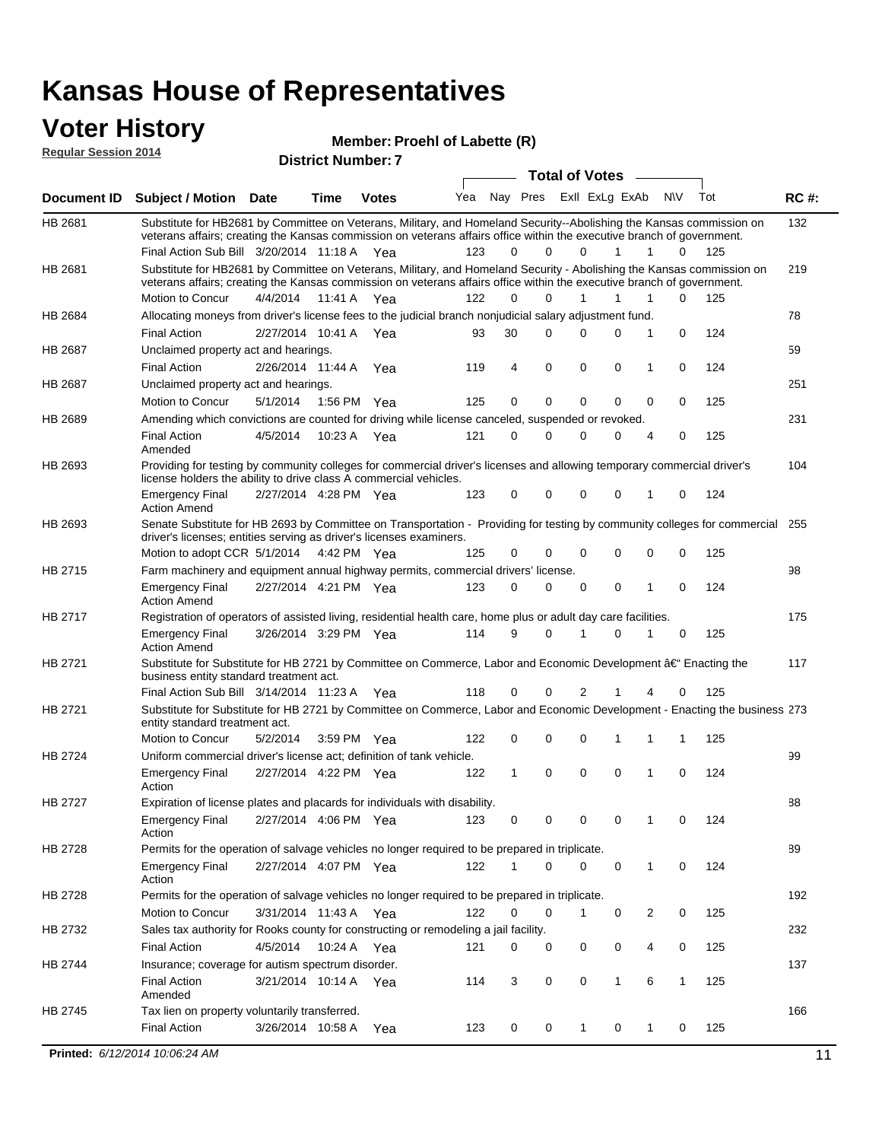#### **Voter History Regular Session 2014**

**Member: Proehl of Labette (R)** 

| <b>Total of Votes</b><br>Nay Pres<br>ExII ExLg ExAb<br>N\V<br>Tot<br>Yea<br><b>RC#:</b><br><b>Subject / Motion Date</b><br><b>Votes</b><br>Time<br>132<br>HB 2681<br>Substitute for HB2681 by Committee on Veterans, Military, and Homeland Security--Abolishing the Kansas commission on<br>veterans affairs; creating the Kansas commission on veterans affairs office within the executive branch of government.<br>Final Action Sub Bill 3/20/2014 11:18 A Yea<br>123<br>$\Omega$<br>0<br>125<br>0<br>1<br>1<br>0<br>Substitute for HB2681 by Committee on Veterans, Military, and Homeland Security - Abolishing the Kansas commission on<br>219<br>veterans affairs; creating the Kansas commission on veterans affairs office within the executive branch of government.<br>Motion to Concur<br>4/4/2014<br>11:41 A<br>122<br>0<br>$\Omega$<br>0<br>125<br>1<br>1<br>1<br>Yea<br>78<br>Allocating moneys from driver's license fees to the judicial branch nonjudicial salary adjustment fund.<br>124<br><b>Final Action</b><br>2/27/2014 10:41 A<br>30<br>$\Omega$<br>0<br>0<br>1<br>0<br>Yea<br>93<br>59<br>Unclaimed property act and hearings.<br>0<br><b>Final Action</b><br>2/26/2014 11:44 A<br>4<br>$\mathbf 0$<br>0<br>0<br>124<br>Yea<br>119<br>1<br>251<br>HB 2687<br>Unclaimed property act and hearings.<br>0<br>$\mathbf 0$<br>Motion to Concur<br>5/1/2014<br>1:56 PM<br>125<br>0<br>0<br>0<br>0<br>125<br>Yea<br>Amending which convictions are counted for driving while license canceled, suspended or revoked.<br>231<br>125<br><b>Final Action</b><br>4/5/2014<br>10:23 A<br>121<br>0<br>$\Omega$<br>0<br>0<br>4<br>0<br>Yea<br>Amended<br>Providing for testing by community colleges for commercial driver's licenses and allowing temporary commercial driver's<br>104<br>license holders the ability to drive class A commercial vehicles.<br>2/27/2014 4:28 PM Yea<br>123<br>0<br>0<br>0<br>0<br>124<br><b>Emergency Final</b><br>0<br>1<br><b>Action Amend</b><br>Senate Substitute for HB 2693 by Committee on Transportation - Providing for testing by community colleges for commercial 255<br>HB 2693<br>driver's licenses; entities serving as driver's licenses examiners.<br>Motion to adopt CCR 5/1/2014 4:42 PM Yea<br>0<br>0<br>0<br>125<br>125<br>0<br>$\Omega$<br>0<br>HB 2715<br>98<br>Farm machinery and equipment annual highway permits, commercial drivers' license.<br><b>Emergency Final</b><br>2/27/2014 4:21 PM Yea<br>123<br>0<br>0<br>0<br>0<br>124<br>1<br>0<br><b>Action Amend</b><br>HB 2717<br>Registration of operators of assisted living, residential health care, home plus or adult day care facilities.<br>175<br>3/26/2014 3:29 PM Yea<br>114<br>9<br>$\Omega$<br>0<br>125<br><b>Emergency Final</b><br>1<br>0<br><b>Action Amend</b><br>Substitute for Substitute for HB 2721 by Committee on Commerce, Labor and Economic Development †Enacting the<br>117<br>business entity standard treatment act.<br>118<br>Final Action Sub Bill 3/14/2014 11:23 A Yea<br>0<br>0<br>2<br>0<br>125<br>1<br>4<br>Substitute for Substitute for HB 2721 by Committee on Commerce, Labor and Economic Development - Enacting the business 273<br>entity standard treatment act.<br>Motion to Concur<br>122<br>0<br>0<br>125<br>5/2/2014<br>3:59 PM<br>0<br>1<br>1<br>1<br>Yea<br>HB 2724<br>99<br>Uniform commercial driver's license act; definition of tank vehicle.<br>2/27/2014 4:22 PM Yea<br>0<br>0<br>0<br>0<br>124<br><b>Emergency Final</b><br>122<br>1<br>1<br>Action<br>HB 2727<br>Expiration of license plates and placards for individuals with disability.<br>88<br><b>Emergency Final</b><br>2/27/2014 4:06 PM Yea<br>123<br>0<br>0<br>124<br>0<br>0<br>1<br>0<br>Action<br>Permits for the operation of salvage vehicles no longer required to be prepared in triplicate.<br>89<br>HB 2728<br>2/27/2014 4:07 PM Yea<br>122<br>0<br>0<br>124<br><b>Emergency Final</b><br>0<br>0<br>1<br>1<br>Action<br>192<br>HB 2728<br>Permits for the operation of salvage vehicles no longer required to be prepared in triplicate.<br>Motion to Concur<br>3/31/2014 11:43 A Yea<br>122<br>0<br>0<br>0<br>2<br>0<br>125<br>1<br>Sales tax authority for Rooks county for constructing or remodeling a jail facility.<br>232<br>HB 2732<br><b>Final Action</b><br>4/5/2014<br>10:24 A Yea<br>0<br>0<br>0<br>121<br>0<br>0<br>4<br>125<br>137<br>Insurance; coverage for autism spectrum disorder.<br><b>Final Action</b><br>3/21/2014 10:14 A Yea<br>3<br>0<br>0<br>1<br>6<br>$\mathbf{1}$<br>125<br>114<br>Amended<br>166<br>HB 2745<br>Tax lien on property voluntarily transferred.<br><b>Final Action</b><br>3/26/2014 10:58 A<br>0<br>125<br>123<br>0<br>$\mathbf{1}$<br>0<br>1<br>0<br>Yea<br>Printed: 6/12/2014 10:06:24 AM<br>11 | noguiai ocoololi zvin |  | <b>District Number: 7</b> |  |  |  |  |  |
|----------------------------------------------------------------------------------------------------------------------------------------------------------------------------------------------------------------------------------------------------------------------------------------------------------------------------------------------------------------------------------------------------------------------------------------------------------------------------------------------------------------------------------------------------------------------------------------------------------------------------------------------------------------------------------------------------------------------------------------------------------------------------------------------------------------------------------------------------------------------------------------------------------------------------------------------------------------------------------------------------------------------------------------------------------------------------------------------------------------------------------------------------------------------------------------------------------------------------------------------------------------------------------------------------------------------------------------------------------------------------------------------------------------------------------------------------------------------------------------------------------------------------------------------------------------------------------------------------------------------------------------------------------------------------------------------------------------------------------------------------------------------------------------------------------------------------------------------------------------------------------------------------------------------------------------------------------------------------------------------------------------------------------------------------------------------------------------------------------------------------------------------------------------------------------------------------------------------------------------------------------------------------------------------------------------------------------------------------------------------------------------------------------------------------------------------------------------------------------------------------------------------------------------------------------------------------------------------------------------------------------------------------------------------------------------------------------------------------------------------------------------------------------------------------------------------------------------------------------------------------------------------------------------------------------------------------------------------------------------------------------------------------------------------------------------------------------------------------------------------------------------------------------------------------------------------------------------------------------------------------------------------------------------------------------------------------------------------------------------------------------------------------------------------------------------------------------------------------------------------------------------------------------------------------------------------------------------------------------------------------------------------------------------------------------------------------------------------------------------------------------------------------------------------------------------------------------------------------------------------------------------------------------------------------------------------------------------------------------------------------------------------------------------------------------------------------------------------------------------------------------------------------------------------------------------------------------------------------------------------------------------------------------------------------------------------------------------------------------------------------------------------------------------------------------------------------------------------------------------------------------------------------------------------------------------------------------------------------------------------------------------------------------------------------------------------------------------------------------------------------------------------------------------------------|-----------------------|--|---------------------------|--|--|--|--|--|
|                                                                                                                                                                                                                                                                                                                                                                                                                                                                                                                                                                                                                                                                                                                                                                                                                                                                                                                                                                                                                                                                                                                                                                                                                                                                                                                                                                                                                                                                                                                                                                                                                                                                                                                                                                                                                                                                                                                                                                                                                                                                                                                                                                                                                                                                                                                                                                                                                                                                                                                                                                                                                                                                                                                                                                                                                                                                                                                                                                                                                                                                                                                                                                                                                                                                                                                                                                                                                                                                                                                                                                                                                                                                                                                                                                                                                                                                                                                                                                                                                                                                                                                                                                                                                                                                                                                                                                                                                                                                                                                                                                                                                                                                                                                                                                                                    |                       |  |                           |  |  |  |  |  |
|                                                                                                                                                                                                                                                                                                                                                                                                                                                                                                                                                                                                                                                                                                                                                                                                                                                                                                                                                                                                                                                                                                                                                                                                                                                                                                                                                                                                                                                                                                                                                                                                                                                                                                                                                                                                                                                                                                                                                                                                                                                                                                                                                                                                                                                                                                                                                                                                                                                                                                                                                                                                                                                                                                                                                                                                                                                                                                                                                                                                                                                                                                                                                                                                                                                                                                                                                                                                                                                                                                                                                                                                                                                                                                                                                                                                                                                                                                                                                                                                                                                                                                                                                                                                                                                                                                                                                                                                                                                                                                                                                                                                                                                                                                                                                                                                    | Document ID           |  |                           |  |  |  |  |  |
|                                                                                                                                                                                                                                                                                                                                                                                                                                                                                                                                                                                                                                                                                                                                                                                                                                                                                                                                                                                                                                                                                                                                                                                                                                                                                                                                                                                                                                                                                                                                                                                                                                                                                                                                                                                                                                                                                                                                                                                                                                                                                                                                                                                                                                                                                                                                                                                                                                                                                                                                                                                                                                                                                                                                                                                                                                                                                                                                                                                                                                                                                                                                                                                                                                                                                                                                                                                                                                                                                                                                                                                                                                                                                                                                                                                                                                                                                                                                                                                                                                                                                                                                                                                                                                                                                                                                                                                                                                                                                                                                                                                                                                                                                                                                                                                                    |                       |  |                           |  |  |  |  |  |
|                                                                                                                                                                                                                                                                                                                                                                                                                                                                                                                                                                                                                                                                                                                                                                                                                                                                                                                                                                                                                                                                                                                                                                                                                                                                                                                                                                                                                                                                                                                                                                                                                                                                                                                                                                                                                                                                                                                                                                                                                                                                                                                                                                                                                                                                                                                                                                                                                                                                                                                                                                                                                                                                                                                                                                                                                                                                                                                                                                                                                                                                                                                                                                                                                                                                                                                                                                                                                                                                                                                                                                                                                                                                                                                                                                                                                                                                                                                                                                                                                                                                                                                                                                                                                                                                                                                                                                                                                                                                                                                                                                                                                                                                                                                                                                                                    | HB 2681               |  |                           |  |  |  |  |  |
|                                                                                                                                                                                                                                                                                                                                                                                                                                                                                                                                                                                                                                                                                                                                                                                                                                                                                                                                                                                                                                                                                                                                                                                                                                                                                                                                                                                                                                                                                                                                                                                                                                                                                                                                                                                                                                                                                                                                                                                                                                                                                                                                                                                                                                                                                                                                                                                                                                                                                                                                                                                                                                                                                                                                                                                                                                                                                                                                                                                                                                                                                                                                                                                                                                                                                                                                                                                                                                                                                                                                                                                                                                                                                                                                                                                                                                                                                                                                                                                                                                                                                                                                                                                                                                                                                                                                                                                                                                                                                                                                                                                                                                                                                                                                                                                                    |                       |  |                           |  |  |  |  |  |
|                                                                                                                                                                                                                                                                                                                                                                                                                                                                                                                                                                                                                                                                                                                                                                                                                                                                                                                                                                                                                                                                                                                                                                                                                                                                                                                                                                                                                                                                                                                                                                                                                                                                                                                                                                                                                                                                                                                                                                                                                                                                                                                                                                                                                                                                                                                                                                                                                                                                                                                                                                                                                                                                                                                                                                                                                                                                                                                                                                                                                                                                                                                                                                                                                                                                                                                                                                                                                                                                                                                                                                                                                                                                                                                                                                                                                                                                                                                                                                                                                                                                                                                                                                                                                                                                                                                                                                                                                                                                                                                                                                                                                                                                                                                                                                                                    | HB 2684               |  |                           |  |  |  |  |  |
|                                                                                                                                                                                                                                                                                                                                                                                                                                                                                                                                                                                                                                                                                                                                                                                                                                                                                                                                                                                                                                                                                                                                                                                                                                                                                                                                                                                                                                                                                                                                                                                                                                                                                                                                                                                                                                                                                                                                                                                                                                                                                                                                                                                                                                                                                                                                                                                                                                                                                                                                                                                                                                                                                                                                                                                                                                                                                                                                                                                                                                                                                                                                                                                                                                                                                                                                                                                                                                                                                                                                                                                                                                                                                                                                                                                                                                                                                                                                                                                                                                                                                                                                                                                                                                                                                                                                                                                                                                                                                                                                                                                                                                                                                                                                                                                                    |                       |  |                           |  |  |  |  |  |
|                                                                                                                                                                                                                                                                                                                                                                                                                                                                                                                                                                                                                                                                                                                                                                                                                                                                                                                                                                                                                                                                                                                                                                                                                                                                                                                                                                                                                                                                                                                                                                                                                                                                                                                                                                                                                                                                                                                                                                                                                                                                                                                                                                                                                                                                                                                                                                                                                                                                                                                                                                                                                                                                                                                                                                                                                                                                                                                                                                                                                                                                                                                                                                                                                                                                                                                                                                                                                                                                                                                                                                                                                                                                                                                                                                                                                                                                                                                                                                                                                                                                                                                                                                                                                                                                                                                                                                                                                                                                                                                                                                                                                                                                                                                                                                                                    | <b>HB 2687</b>        |  |                           |  |  |  |  |  |
|                                                                                                                                                                                                                                                                                                                                                                                                                                                                                                                                                                                                                                                                                                                                                                                                                                                                                                                                                                                                                                                                                                                                                                                                                                                                                                                                                                                                                                                                                                                                                                                                                                                                                                                                                                                                                                                                                                                                                                                                                                                                                                                                                                                                                                                                                                                                                                                                                                                                                                                                                                                                                                                                                                                                                                                                                                                                                                                                                                                                                                                                                                                                                                                                                                                                                                                                                                                                                                                                                                                                                                                                                                                                                                                                                                                                                                                                                                                                                                                                                                                                                                                                                                                                                                                                                                                                                                                                                                                                                                                                                                                                                                                                                                                                                                                                    |                       |  |                           |  |  |  |  |  |
|                                                                                                                                                                                                                                                                                                                                                                                                                                                                                                                                                                                                                                                                                                                                                                                                                                                                                                                                                                                                                                                                                                                                                                                                                                                                                                                                                                                                                                                                                                                                                                                                                                                                                                                                                                                                                                                                                                                                                                                                                                                                                                                                                                                                                                                                                                                                                                                                                                                                                                                                                                                                                                                                                                                                                                                                                                                                                                                                                                                                                                                                                                                                                                                                                                                                                                                                                                                                                                                                                                                                                                                                                                                                                                                                                                                                                                                                                                                                                                                                                                                                                                                                                                                                                                                                                                                                                                                                                                                                                                                                                                                                                                                                                                                                                                                                    |                       |  |                           |  |  |  |  |  |
|                                                                                                                                                                                                                                                                                                                                                                                                                                                                                                                                                                                                                                                                                                                                                                                                                                                                                                                                                                                                                                                                                                                                                                                                                                                                                                                                                                                                                                                                                                                                                                                                                                                                                                                                                                                                                                                                                                                                                                                                                                                                                                                                                                                                                                                                                                                                                                                                                                                                                                                                                                                                                                                                                                                                                                                                                                                                                                                                                                                                                                                                                                                                                                                                                                                                                                                                                                                                                                                                                                                                                                                                                                                                                                                                                                                                                                                                                                                                                                                                                                                                                                                                                                                                                                                                                                                                                                                                                                                                                                                                                                                                                                                                                                                                                                                                    |                       |  |                           |  |  |  |  |  |
|                                                                                                                                                                                                                                                                                                                                                                                                                                                                                                                                                                                                                                                                                                                                                                                                                                                                                                                                                                                                                                                                                                                                                                                                                                                                                                                                                                                                                                                                                                                                                                                                                                                                                                                                                                                                                                                                                                                                                                                                                                                                                                                                                                                                                                                                                                                                                                                                                                                                                                                                                                                                                                                                                                                                                                                                                                                                                                                                                                                                                                                                                                                                                                                                                                                                                                                                                                                                                                                                                                                                                                                                                                                                                                                                                                                                                                                                                                                                                                                                                                                                                                                                                                                                                                                                                                                                                                                                                                                                                                                                                                                                                                                                                                                                                                                                    | HB 2689               |  |                           |  |  |  |  |  |
|                                                                                                                                                                                                                                                                                                                                                                                                                                                                                                                                                                                                                                                                                                                                                                                                                                                                                                                                                                                                                                                                                                                                                                                                                                                                                                                                                                                                                                                                                                                                                                                                                                                                                                                                                                                                                                                                                                                                                                                                                                                                                                                                                                                                                                                                                                                                                                                                                                                                                                                                                                                                                                                                                                                                                                                                                                                                                                                                                                                                                                                                                                                                                                                                                                                                                                                                                                                                                                                                                                                                                                                                                                                                                                                                                                                                                                                                                                                                                                                                                                                                                                                                                                                                                                                                                                                                                                                                                                                                                                                                                                                                                                                                                                                                                                                                    |                       |  |                           |  |  |  |  |  |
|                                                                                                                                                                                                                                                                                                                                                                                                                                                                                                                                                                                                                                                                                                                                                                                                                                                                                                                                                                                                                                                                                                                                                                                                                                                                                                                                                                                                                                                                                                                                                                                                                                                                                                                                                                                                                                                                                                                                                                                                                                                                                                                                                                                                                                                                                                                                                                                                                                                                                                                                                                                                                                                                                                                                                                                                                                                                                                                                                                                                                                                                                                                                                                                                                                                                                                                                                                                                                                                                                                                                                                                                                                                                                                                                                                                                                                                                                                                                                                                                                                                                                                                                                                                                                                                                                                                                                                                                                                                                                                                                                                                                                                                                                                                                                                                                    | HB 2693               |  |                           |  |  |  |  |  |
|                                                                                                                                                                                                                                                                                                                                                                                                                                                                                                                                                                                                                                                                                                                                                                                                                                                                                                                                                                                                                                                                                                                                                                                                                                                                                                                                                                                                                                                                                                                                                                                                                                                                                                                                                                                                                                                                                                                                                                                                                                                                                                                                                                                                                                                                                                                                                                                                                                                                                                                                                                                                                                                                                                                                                                                                                                                                                                                                                                                                                                                                                                                                                                                                                                                                                                                                                                                                                                                                                                                                                                                                                                                                                                                                                                                                                                                                                                                                                                                                                                                                                                                                                                                                                                                                                                                                                                                                                                                                                                                                                                                                                                                                                                                                                                                                    |                       |  |                           |  |  |  |  |  |
|                                                                                                                                                                                                                                                                                                                                                                                                                                                                                                                                                                                                                                                                                                                                                                                                                                                                                                                                                                                                                                                                                                                                                                                                                                                                                                                                                                                                                                                                                                                                                                                                                                                                                                                                                                                                                                                                                                                                                                                                                                                                                                                                                                                                                                                                                                                                                                                                                                                                                                                                                                                                                                                                                                                                                                                                                                                                                                                                                                                                                                                                                                                                                                                                                                                                                                                                                                                                                                                                                                                                                                                                                                                                                                                                                                                                                                                                                                                                                                                                                                                                                                                                                                                                                                                                                                                                                                                                                                                                                                                                                                                                                                                                                                                                                                                                    |                       |  |                           |  |  |  |  |  |
|                                                                                                                                                                                                                                                                                                                                                                                                                                                                                                                                                                                                                                                                                                                                                                                                                                                                                                                                                                                                                                                                                                                                                                                                                                                                                                                                                                                                                                                                                                                                                                                                                                                                                                                                                                                                                                                                                                                                                                                                                                                                                                                                                                                                                                                                                                                                                                                                                                                                                                                                                                                                                                                                                                                                                                                                                                                                                                                                                                                                                                                                                                                                                                                                                                                                                                                                                                                                                                                                                                                                                                                                                                                                                                                                                                                                                                                                                                                                                                                                                                                                                                                                                                                                                                                                                                                                                                                                                                                                                                                                                                                                                                                                                                                                                                                                    |                       |  |                           |  |  |  |  |  |
|                                                                                                                                                                                                                                                                                                                                                                                                                                                                                                                                                                                                                                                                                                                                                                                                                                                                                                                                                                                                                                                                                                                                                                                                                                                                                                                                                                                                                                                                                                                                                                                                                                                                                                                                                                                                                                                                                                                                                                                                                                                                                                                                                                                                                                                                                                                                                                                                                                                                                                                                                                                                                                                                                                                                                                                                                                                                                                                                                                                                                                                                                                                                                                                                                                                                                                                                                                                                                                                                                                                                                                                                                                                                                                                                                                                                                                                                                                                                                                                                                                                                                                                                                                                                                                                                                                                                                                                                                                                                                                                                                                                                                                                                                                                                                                                                    |                       |  |                           |  |  |  |  |  |
|                                                                                                                                                                                                                                                                                                                                                                                                                                                                                                                                                                                                                                                                                                                                                                                                                                                                                                                                                                                                                                                                                                                                                                                                                                                                                                                                                                                                                                                                                                                                                                                                                                                                                                                                                                                                                                                                                                                                                                                                                                                                                                                                                                                                                                                                                                                                                                                                                                                                                                                                                                                                                                                                                                                                                                                                                                                                                                                                                                                                                                                                                                                                                                                                                                                                                                                                                                                                                                                                                                                                                                                                                                                                                                                                                                                                                                                                                                                                                                                                                                                                                                                                                                                                                                                                                                                                                                                                                                                                                                                                                                                                                                                                                                                                                                                                    |                       |  |                           |  |  |  |  |  |
|                                                                                                                                                                                                                                                                                                                                                                                                                                                                                                                                                                                                                                                                                                                                                                                                                                                                                                                                                                                                                                                                                                                                                                                                                                                                                                                                                                                                                                                                                                                                                                                                                                                                                                                                                                                                                                                                                                                                                                                                                                                                                                                                                                                                                                                                                                                                                                                                                                                                                                                                                                                                                                                                                                                                                                                                                                                                                                                                                                                                                                                                                                                                                                                                                                                                                                                                                                                                                                                                                                                                                                                                                                                                                                                                                                                                                                                                                                                                                                                                                                                                                                                                                                                                                                                                                                                                                                                                                                                                                                                                                                                                                                                                                                                                                                                                    |                       |  |                           |  |  |  |  |  |
|                                                                                                                                                                                                                                                                                                                                                                                                                                                                                                                                                                                                                                                                                                                                                                                                                                                                                                                                                                                                                                                                                                                                                                                                                                                                                                                                                                                                                                                                                                                                                                                                                                                                                                                                                                                                                                                                                                                                                                                                                                                                                                                                                                                                                                                                                                                                                                                                                                                                                                                                                                                                                                                                                                                                                                                                                                                                                                                                                                                                                                                                                                                                                                                                                                                                                                                                                                                                                                                                                                                                                                                                                                                                                                                                                                                                                                                                                                                                                                                                                                                                                                                                                                                                                                                                                                                                                                                                                                                                                                                                                                                                                                                                                                                                                                                                    | HB 2721               |  |                           |  |  |  |  |  |
|                                                                                                                                                                                                                                                                                                                                                                                                                                                                                                                                                                                                                                                                                                                                                                                                                                                                                                                                                                                                                                                                                                                                                                                                                                                                                                                                                                                                                                                                                                                                                                                                                                                                                                                                                                                                                                                                                                                                                                                                                                                                                                                                                                                                                                                                                                                                                                                                                                                                                                                                                                                                                                                                                                                                                                                                                                                                                                                                                                                                                                                                                                                                                                                                                                                                                                                                                                                                                                                                                                                                                                                                                                                                                                                                                                                                                                                                                                                                                                                                                                                                                                                                                                                                                                                                                                                                                                                                                                                                                                                                                                                                                                                                                                                                                                                                    |                       |  |                           |  |  |  |  |  |
|                                                                                                                                                                                                                                                                                                                                                                                                                                                                                                                                                                                                                                                                                                                                                                                                                                                                                                                                                                                                                                                                                                                                                                                                                                                                                                                                                                                                                                                                                                                                                                                                                                                                                                                                                                                                                                                                                                                                                                                                                                                                                                                                                                                                                                                                                                                                                                                                                                                                                                                                                                                                                                                                                                                                                                                                                                                                                                                                                                                                                                                                                                                                                                                                                                                                                                                                                                                                                                                                                                                                                                                                                                                                                                                                                                                                                                                                                                                                                                                                                                                                                                                                                                                                                                                                                                                                                                                                                                                                                                                                                                                                                                                                                                                                                                                                    | HB 2721               |  |                           |  |  |  |  |  |
|                                                                                                                                                                                                                                                                                                                                                                                                                                                                                                                                                                                                                                                                                                                                                                                                                                                                                                                                                                                                                                                                                                                                                                                                                                                                                                                                                                                                                                                                                                                                                                                                                                                                                                                                                                                                                                                                                                                                                                                                                                                                                                                                                                                                                                                                                                                                                                                                                                                                                                                                                                                                                                                                                                                                                                                                                                                                                                                                                                                                                                                                                                                                                                                                                                                                                                                                                                                                                                                                                                                                                                                                                                                                                                                                                                                                                                                                                                                                                                                                                                                                                                                                                                                                                                                                                                                                                                                                                                                                                                                                                                                                                                                                                                                                                                                                    |                       |  |                           |  |  |  |  |  |
|                                                                                                                                                                                                                                                                                                                                                                                                                                                                                                                                                                                                                                                                                                                                                                                                                                                                                                                                                                                                                                                                                                                                                                                                                                                                                                                                                                                                                                                                                                                                                                                                                                                                                                                                                                                                                                                                                                                                                                                                                                                                                                                                                                                                                                                                                                                                                                                                                                                                                                                                                                                                                                                                                                                                                                                                                                                                                                                                                                                                                                                                                                                                                                                                                                                                                                                                                                                                                                                                                                                                                                                                                                                                                                                                                                                                                                                                                                                                                                                                                                                                                                                                                                                                                                                                                                                                                                                                                                                                                                                                                                                                                                                                                                                                                                                                    |                       |  |                           |  |  |  |  |  |
|                                                                                                                                                                                                                                                                                                                                                                                                                                                                                                                                                                                                                                                                                                                                                                                                                                                                                                                                                                                                                                                                                                                                                                                                                                                                                                                                                                                                                                                                                                                                                                                                                                                                                                                                                                                                                                                                                                                                                                                                                                                                                                                                                                                                                                                                                                                                                                                                                                                                                                                                                                                                                                                                                                                                                                                                                                                                                                                                                                                                                                                                                                                                                                                                                                                                                                                                                                                                                                                                                                                                                                                                                                                                                                                                                                                                                                                                                                                                                                                                                                                                                                                                                                                                                                                                                                                                                                                                                                                                                                                                                                                                                                                                                                                                                                                                    |                       |  |                           |  |  |  |  |  |
|                                                                                                                                                                                                                                                                                                                                                                                                                                                                                                                                                                                                                                                                                                                                                                                                                                                                                                                                                                                                                                                                                                                                                                                                                                                                                                                                                                                                                                                                                                                                                                                                                                                                                                                                                                                                                                                                                                                                                                                                                                                                                                                                                                                                                                                                                                                                                                                                                                                                                                                                                                                                                                                                                                                                                                                                                                                                                                                                                                                                                                                                                                                                                                                                                                                                                                                                                                                                                                                                                                                                                                                                                                                                                                                                                                                                                                                                                                                                                                                                                                                                                                                                                                                                                                                                                                                                                                                                                                                                                                                                                                                                                                                                                                                                                                                                    |                       |  |                           |  |  |  |  |  |
|                                                                                                                                                                                                                                                                                                                                                                                                                                                                                                                                                                                                                                                                                                                                                                                                                                                                                                                                                                                                                                                                                                                                                                                                                                                                                                                                                                                                                                                                                                                                                                                                                                                                                                                                                                                                                                                                                                                                                                                                                                                                                                                                                                                                                                                                                                                                                                                                                                                                                                                                                                                                                                                                                                                                                                                                                                                                                                                                                                                                                                                                                                                                                                                                                                                                                                                                                                                                                                                                                                                                                                                                                                                                                                                                                                                                                                                                                                                                                                                                                                                                                                                                                                                                                                                                                                                                                                                                                                                                                                                                                                                                                                                                                                                                                                                                    |                       |  |                           |  |  |  |  |  |
|                                                                                                                                                                                                                                                                                                                                                                                                                                                                                                                                                                                                                                                                                                                                                                                                                                                                                                                                                                                                                                                                                                                                                                                                                                                                                                                                                                                                                                                                                                                                                                                                                                                                                                                                                                                                                                                                                                                                                                                                                                                                                                                                                                                                                                                                                                                                                                                                                                                                                                                                                                                                                                                                                                                                                                                                                                                                                                                                                                                                                                                                                                                                                                                                                                                                                                                                                                                                                                                                                                                                                                                                                                                                                                                                                                                                                                                                                                                                                                                                                                                                                                                                                                                                                                                                                                                                                                                                                                                                                                                                                                                                                                                                                                                                                                                                    |                       |  |                           |  |  |  |  |  |
|                                                                                                                                                                                                                                                                                                                                                                                                                                                                                                                                                                                                                                                                                                                                                                                                                                                                                                                                                                                                                                                                                                                                                                                                                                                                                                                                                                                                                                                                                                                                                                                                                                                                                                                                                                                                                                                                                                                                                                                                                                                                                                                                                                                                                                                                                                                                                                                                                                                                                                                                                                                                                                                                                                                                                                                                                                                                                                                                                                                                                                                                                                                                                                                                                                                                                                                                                                                                                                                                                                                                                                                                                                                                                                                                                                                                                                                                                                                                                                                                                                                                                                                                                                                                                                                                                                                                                                                                                                                                                                                                                                                                                                                                                                                                                                                                    |                       |  |                           |  |  |  |  |  |
|                                                                                                                                                                                                                                                                                                                                                                                                                                                                                                                                                                                                                                                                                                                                                                                                                                                                                                                                                                                                                                                                                                                                                                                                                                                                                                                                                                                                                                                                                                                                                                                                                                                                                                                                                                                                                                                                                                                                                                                                                                                                                                                                                                                                                                                                                                                                                                                                                                                                                                                                                                                                                                                                                                                                                                                                                                                                                                                                                                                                                                                                                                                                                                                                                                                                                                                                                                                                                                                                                                                                                                                                                                                                                                                                                                                                                                                                                                                                                                                                                                                                                                                                                                                                                                                                                                                                                                                                                                                                                                                                                                                                                                                                                                                                                                                                    |                       |  |                           |  |  |  |  |  |
|                                                                                                                                                                                                                                                                                                                                                                                                                                                                                                                                                                                                                                                                                                                                                                                                                                                                                                                                                                                                                                                                                                                                                                                                                                                                                                                                                                                                                                                                                                                                                                                                                                                                                                                                                                                                                                                                                                                                                                                                                                                                                                                                                                                                                                                                                                                                                                                                                                                                                                                                                                                                                                                                                                                                                                                                                                                                                                                                                                                                                                                                                                                                                                                                                                                                                                                                                                                                                                                                                                                                                                                                                                                                                                                                                                                                                                                                                                                                                                                                                                                                                                                                                                                                                                                                                                                                                                                                                                                                                                                                                                                                                                                                                                                                                                                                    |                       |  |                           |  |  |  |  |  |
|                                                                                                                                                                                                                                                                                                                                                                                                                                                                                                                                                                                                                                                                                                                                                                                                                                                                                                                                                                                                                                                                                                                                                                                                                                                                                                                                                                                                                                                                                                                                                                                                                                                                                                                                                                                                                                                                                                                                                                                                                                                                                                                                                                                                                                                                                                                                                                                                                                                                                                                                                                                                                                                                                                                                                                                                                                                                                                                                                                                                                                                                                                                                                                                                                                                                                                                                                                                                                                                                                                                                                                                                                                                                                                                                                                                                                                                                                                                                                                                                                                                                                                                                                                                                                                                                                                                                                                                                                                                                                                                                                                                                                                                                                                                                                                                                    |                       |  |                           |  |  |  |  |  |
|                                                                                                                                                                                                                                                                                                                                                                                                                                                                                                                                                                                                                                                                                                                                                                                                                                                                                                                                                                                                                                                                                                                                                                                                                                                                                                                                                                                                                                                                                                                                                                                                                                                                                                                                                                                                                                                                                                                                                                                                                                                                                                                                                                                                                                                                                                                                                                                                                                                                                                                                                                                                                                                                                                                                                                                                                                                                                                                                                                                                                                                                                                                                                                                                                                                                                                                                                                                                                                                                                                                                                                                                                                                                                                                                                                                                                                                                                                                                                                                                                                                                                                                                                                                                                                                                                                                                                                                                                                                                                                                                                                                                                                                                                                                                                                                                    | HB 2744               |  |                           |  |  |  |  |  |
|                                                                                                                                                                                                                                                                                                                                                                                                                                                                                                                                                                                                                                                                                                                                                                                                                                                                                                                                                                                                                                                                                                                                                                                                                                                                                                                                                                                                                                                                                                                                                                                                                                                                                                                                                                                                                                                                                                                                                                                                                                                                                                                                                                                                                                                                                                                                                                                                                                                                                                                                                                                                                                                                                                                                                                                                                                                                                                                                                                                                                                                                                                                                                                                                                                                                                                                                                                                                                                                                                                                                                                                                                                                                                                                                                                                                                                                                                                                                                                                                                                                                                                                                                                                                                                                                                                                                                                                                                                                                                                                                                                                                                                                                                                                                                                                                    |                       |  |                           |  |  |  |  |  |
|                                                                                                                                                                                                                                                                                                                                                                                                                                                                                                                                                                                                                                                                                                                                                                                                                                                                                                                                                                                                                                                                                                                                                                                                                                                                                                                                                                                                                                                                                                                                                                                                                                                                                                                                                                                                                                                                                                                                                                                                                                                                                                                                                                                                                                                                                                                                                                                                                                                                                                                                                                                                                                                                                                                                                                                                                                                                                                                                                                                                                                                                                                                                                                                                                                                                                                                                                                                                                                                                                                                                                                                                                                                                                                                                                                                                                                                                                                                                                                                                                                                                                                                                                                                                                                                                                                                                                                                                                                                                                                                                                                                                                                                                                                                                                                                                    |                       |  |                           |  |  |  |  |  |
|                                                                                                                                                                                                                                                                                                                                                                                                                                                                                                                                                                                                                                                                                                                                                                                                                                                                                                                                                                                                                                                                                                                                                                                                                                                                                                                                                                                                                                                                                                                                                                                                                                                                                                                                                                                                                                                                                                                                                                                                                                                                                                                                                                                                                                                                                                                                                                                                                                                                                                                                                                                                                                                                                                                                                                                                                                                                                                                                                                                                                                                                                                                                                                                                                                                                                                                                                                                                                                                                                                                                                                                                                                                                                                                                                                                                                                                                                                                                                                                                                                                                                                                                                                                                                                                                                                                                                                                                                                                                                                                                                                                                                                                                                                                                                                                                    |                       |  |                           |  |  |  |  |  |
|                                                                                                                                                                                                                                                                                                                                                                                                                                                                                                                                                                                                                                                                                                                                                                                                                                                                                                                                                                                                                                                                                                                                                                                                                                                                                                                                                                                                                                                                                                                                                                                                                                                                                                                                                                                                                                                                                                                                                                                                                                                                                                                                                                                                                                                                                                                                                                                                                                                                                                                                                                                                                                                                                                                                                                                                                                                                                                                                                                                                                                                                                                                                                                                                                                                                                                                                                                                                                                                                                                                                                                                                                                                                                                                                                                                                                                                                                                                                                                                                                                                                                                                                                                                                                                                                                                                                                                                                                                                                                                                                                                                                                                                                                                                                                                                                    |                       |  |                           |  |  |  |  |  |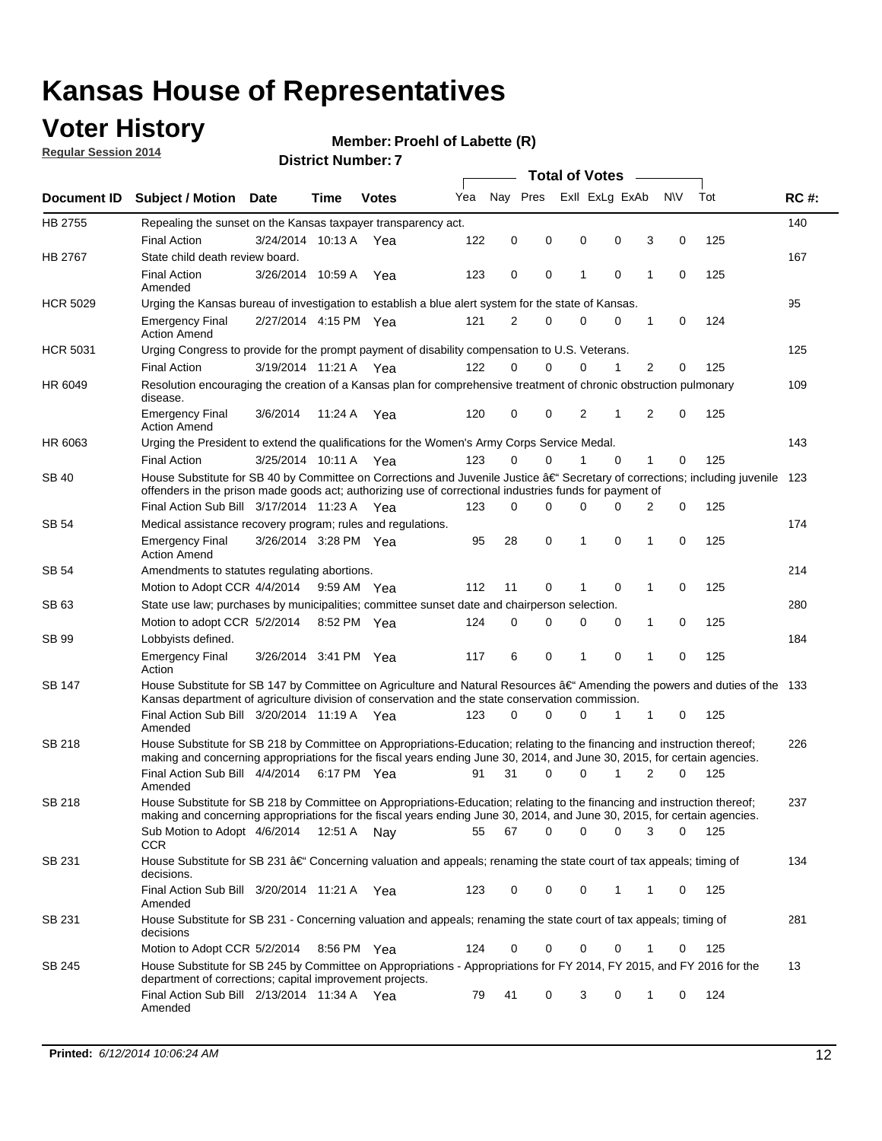### **Voter History**

**Regular Session 2014**

#### **Member: Proehl of Labette (R)**

|                    |                                                                                                                                                                                                                                      |                       |             |              |     |          |          | <b>Total of Votes</b> |                |             |                |             |     |             |
|--------------------|--------------------------------------------------------------------------------------------------------------------------------------------------------------------------------------------------------------------------------------|-----------------------|-------------|--------------|-----|----------|----------|-----------------------|----------------|-------------|----------------|-------------|-----|-------------|
| <b>Document ID</b> | <b>Subject / Motion Date</b>                                                                                                                                                                                                         |                       | Time        | <b>Votes</b> | Yea | Nav Pres |          |                       | Exll ExLg ExAb |             | <b>NV</b>      |             | Tot | <b>RC#:</b> |
| HB 2755            | Repealing the sunset on the Kansas taxpayer transparency act.                                                                                                                                                                        |                       |             |              |     |          |          |                       |                |             |                |             |     | 140         |
|                    | <b>Final Action</b>                                                                                                                                                                                                                  | 3/24/2014 10:13 A     |             | Yea          | 122 | 0        | 0        | 0                     |                | 0           | 3              | 0           | 125 |             |
| HB 2767            | State child death review board.                                                                                                                                                                                                      |                       |             |              |     |          |          |                       |                |             |                |             |     | 167         |
|                    | <b>Final Action</b><br>Amended                                                                                                                                                                                                       | 3/26/2014 10:59 A     |             | Yea          | 123 | 0        | 0        | 1                     |                | $\mathbf 0$ | 1              | 0           | 125 |             |
| <b>HCR 5029</b>    | Urging the Kansas bureau of investigation to establish a blue alert system for the state of Kansas.                                                                                                                                  |                       |             |              |     |          |          |                       |                |             |                |             |     | 95          |
|                    | <b>Emergency Final</b><br><b>Action Amend</b>                                                                                                                                                                                        | 2/27/2014 4:15 PM Yea |             |              | 121 | 2        | 0        | 0                     |                | 0           | 1              | 0           | 124 |             |
| <b>HCR 5031</b>    | Urging Congress to provide for the prompt payment of disability compensation to U.S. Veterans.                                                                                                                                       |                       |             |              |     |          |          |                       |                |             |                |             |     | 125         |
|                    | <b>Final Action</b>                                                                                                                                                                                                                  | 3/19/2014 11:21 A Yea |             |              | 122 | $\Omega$ | $\Omega$ | 0                     |                | 1           | 2              | 0           | 125 |             |
| HR 6049            | Resolution encouraging the creation of a Kansas plan for comprehensive treatment of chronic obstruction pulmonary<br>disease.                                                                                                        |                       |             |              |     |          |          |                       |                |             |                |             |     | 109         |
|                    | <b>Emergency Final</b><br><b>Action Amend</b>                                                                                                                                                                                        | 3/6/2014              | 11:24 A     | Yea          | 120 | 0        | 0        | $\overline{2}$        |                | 1           | $\overline{2}$ | $\mathbf 0$ | 125 |             |
| HR 6063            | Urging the President to extend the qualifications for the Women's Army Corps Service Medal.                                                                                                                                          |                       |             |              |     |          |          |                       |                |             |                |             |     | 143         |
|                    | <b>Final Action</b>                                                                                                                                                                                                                  | 3/25/2014 10:11 A Yea |             |              | 123 | $\Omega$ | $\Omega$ | 1                     |                | $\Omega$    | 1              | 0           | 125 |             |
| SB 40              | House Substitute for SB 40 by Committee on Corrections and Juvenile Justice †Secretary of corrections; including juvenile<br>offenders in the prison made goods act; authorizing use of correctional industries funds for payment of |                       |             |              |     |          |          |                       |                |             |                |             |     | 123         |
|                    | Final Action Sub Bill 3/17/2014 11:23 A Yea                                                                                                                                                                                          |                       |             |              | 123 | 0        | 0        | 0                     |                | $\Omega$    | 2              | 0           | 125 |             |
| SB 54              | Medical assistance recovery program; rules and regulations.                                                                                                                                                                          |                       |             |              |     |          |          |                       |                |             |                |             |     | 174         |
|                    | <b>Emergency Final</b><br><b>Action Amend</b>                                                                                                                                                                                        | 3/26/2014 3:28 PM Yea |             |              | 95  | 28       | 0        | 1                     |                | 0           | 1              | 0           | 125 |             |
| SB 54              | Amendments to statutes regulating abortions.                                                                                                                                                                                         |                       |             |              |     |          |          |                       |                |             |                |             |     | 214         |
|                    | Motion to Adopt CCR 4/4/2014                                                                                                                                                                                                         |                       | 9:59 AM Yea |              | 112 | 11       | 0        |                       |                | $\mathbf 0$ | 1              | 0           | 125 |             |
| SB 63              | State use law; purchases by municipalities; committee sunset date and chairperson selection.                                                                                                                                         |                       |             |              |     |          |          |                       |                |             |                |             |     | 280         |
|                    | Motion to adopt CCR 5/2/2014                                                                                                                                                                                                         |                       |             | 8:52 PM Yea  | 124 | 0        | 0        | 0                     |                | 0           | 1              | 0           | 125 |             |
| SB 99              | Lobbyists defined.                                                                                                                                                                                                                   |                       |             |              |     |          |          |                       |                |             |                |             |     | 184         |
|                    | <b>Emergency Final</b><br>Action                                                                                                                                                                                                     | 3/26/2014 3:41 PM Yea |             |              | 117 | 6        | 0        | 1                     |                | 0           | 1              | 0           | 125 |             |
| SB 147             | House Substitute for SB 147 by Committee on Agriculture and Natural Resources †Amending the powers and duties of the 133<br>Kansas department of agriculture division of conservation and the state conservation commission.         |                       |             |              |     |          |          |                       |                |             |                |             |     |             |
|                    | Final Action Sub Bill 3/20/2014 11:19 A Yea<br>Amended                                                                                                                                                                               |                       |             |              | 123 | 0        | $\Omega$ | 0                     |                | 1           | 1              | 0           | 125 |             |
| <b>SB 218</b>      | House Substitute for SB 218 by Committee on Appropriations-Education; relating to the financing and instruction thereof;                                                                                                             |                       |             |              |     |          |          |                       |                |             |                |             |     | 226         |
|                    | making and concerning appropriations for the fiscal years ending June 30, 2014, and June 30, 2015, for certain agencies.<br>Final Action Sub Bill 4/4/2014                                                                           |                       |             | 6:17 PM Yea  | 91  | 31       | $\Omega$ | 0                     |                | 1           | $\overline{2}$ | $\Omega$    | 125 |             |
|                    | Amended                                                                                                                                                                                                                              |                       |             |              |     |          |          |                       |                |             |                |             |     |             |
| <b>SB 218</b>      | House Substitute for SB 218 by Committee on Appropriations-Education; relating to the financing and instruction thereof;                                                                                                             |                       |             |              |     |          |          |                       |                |             |                |             |     | 237         |
|                    | making and concerning appropriations for the fiscal years ending June 30, 2014, and June 30, 2015, for certain agencies.                                                                                                             |                       |             |              |     |          |          |                       |                |             |                |             |     |             |
|                    | Sub Motion to Adopt 4/6/2014 12:51 A Nay<br><b>CCR</b>                                                                                                                                                                               |                       |             |              | 55  | 67       | 0        | 0                     |                | 0           | 3              | 0           | 125 |             |
| SB 231             | House Substitute for SB 231 †Concerning valuation and appeals; renaming the state court of tax appeals; timing of<br>decisions.                                                                                                      |                       |             |              |     |          |          |                       |                |             |                |             |     | 134         |
|                    | Final Action Sub Bill 3/20/2014 11:21 A Yea<br>Amended                                                                                                                                                                               |                       |             |              | 123 | 0        | 0        | 0                     |                | 1           | 1              | 0           | 125 |             |
| SB 231             | House Substitute for SB 231 - Concerning valuation and appeals; renaming the state court of tax appeals; timing of<br>decisions                                                                                                      |                       |             |              |     |          |          |                       |                |             |                |             |     | 281         |
|                    | Motion to Adopt CCR 5/2/2014                                                                                                                                                                                                         |                       |             | 8:56 PM Yea  | 124 | 0        | 0        | 0                     |                | $\mathbf 0$ | 1              | 0           | 125 |             |
| SB 245             | House Substitute for SB 245 by Committee on Appropriations - Appropriations for FY 2014, FY 2015, and FY 2016 for the<br>department of corrections; capital improvement projects.                                                    |                       |             |              |     |          |          |                       |                |             |                |             |     | 13          |
|                    | Final Action Sub Bill 2/13/2014 11:34 A Yea<br>Amended                                                                                                                                                                               |                       |             |              | 79  | 41       | 0        | 3                     |                | 0           | 1              | 0           | 124 |             |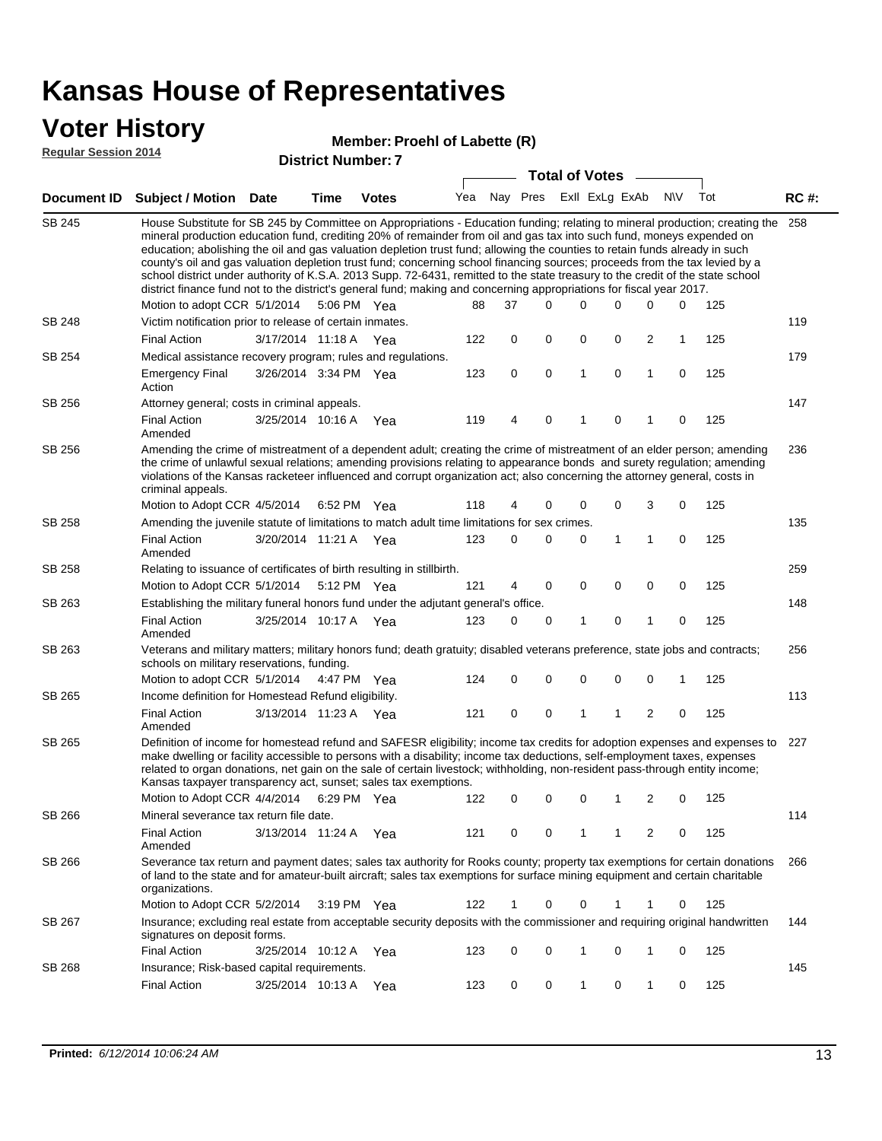#### **Voter History**

#### **Member: Proehl of Labette (R)**

**Regular Session 2014**

| דו טב ווטופסטט ומושטחו |                                                                                                                                                                                                                                                                                                                                                                                                                                                                                                                                                                                                                                                                                                                                                                                                                           |                       |      | <b>District Number: 7</b> |     |    |                         |              |         |                         |             |            |             |
|------------------------|---------------------------------------------------------------------------------------------------------------------------------------------------------------------------------------------------------------------------------------------------------------------------------------------------------------------------------------------------------------------------------------------------------------------------------------------------------------------------------------------------------------------------------------------------------------------------------------------------------------------------------------------------------------------------------------------------------------------------------------------------------------------------------------------------------------------------|-----------------------|------|---------------------------|-----|----|-------------------------|--------------|---------|-------------------------|-------------|------------|-------------|
|                        |                                                                                                                                                                                                                                                                                                                                                                                                                                                                                                                                                                                                                                                                                                                                                                                                                           |                       |      |                           |     |    | <b>Total of Votes</b>   |              |         |                         |             |            |             |
| Document ID            | <b>Subject / Motion Date</b>                                                                                                                                                                                                                                                                                                                                                                                                                                                                                                                                                                                                                                                                                                                                                                                              |                       | Time | <b>Votes</b>              | Yea |    | Nay Pres Exll ExLg ExAb |              |         |                         | <b>NV</b>   | Tot        | <b>RC#:</b> |
| SB 245                 | House Substitute for SB 245 by Committee on Appropriations - Education funding; relating to mineral production; creating the<br>mineral production education fund, crediting 20% of remainder from oil and gas tax into such fund, moneys expended on<br>education; abolishing the oil and gas valuation depletion trust fund; allowing the counties to retain funds already in such<br>county's oil and gas valuation depletion trust fund; concerning school financing sources; proceeds from the tax levied by a<br>school district under authority of K.S.A. 2013 Supp. 72-6431, remitted to the state treasury to the credit of the state school<br>district finance fund not to the district's general fund; making and concerning appropriations for fiscal year 2017.<br>Motion to adopt CCR 5/1/2014 5:06 PM Yea |                       |      |                           | 88  | 37 | 0                       | 0            | 0       | 0                       | 0           | 125        | 258         |
| SB 248                 | Victim notification prior to release of certain inmates.                                                                                                                                                                                                                                                                                                                                                                                                                                                                                                                                                                                                                                                                                                                                                                  |                       |      |                           |     |    |                         |              |         |                         |             |            | 119         |
|                        | <b>Final Action</b>                                                                                                                                                                                                                                                                                                                                                                                                                                                                                                                                                                                                                                                                                                                                                                                                       | 3/17/2014 11:18 A Yea |      |                           | 122 | 0  | 0                       | 0            | 0       | $\overline{\mathbf{c}}$ | 1           | 125        |             |
| SB 254                 | Medical assistance recovery program; rules and regulations.                                                                                                                                                                                                                                                                                                                                                                                                                                                                                                                                                                                                                                                                                                                                                               |                       |      |                           |     |    |                         |              |         |                         |             |            | 179         |
|                        | <b>Emergency Final</b><br>Action                                                                                                                                                                                                                                                                                                                                                                                                                                                                                                                                                                                                                                                                                                                                                                                          | 3/26/2014 3:34 PM Yea |      |                           | 123 | 0  | 0                       | 1            | 0       | $\mathbf{1}$            | $\mathbf 0$ | 125        |             |
| SB 256                 | Attorney general; costs in criminal appeals.                                                                                                                                                                                                                                                                                                                                                                                                                                                                                                                                                                                                                                                                                                                                                                              |                       |      |                           |     |    |                         |              |         |                         |             |            | 147         |
|                        | <b>Final Action</b><br>Amended                                                                                                                                                                                                                                                                                                                                                                                                                                                                                                                                                                                                                                                                                                                                                                                            | 3/25/2014 10:16 A     |      | Yea                       | 119 | 4  | 0                       | 1            | 0       | 1                       | 0           | 125        |             |
| SB 256                 | Amending the crime of mistreatment of a dependent adult; creating the crime of mistreatment of an elder person; amending<br>the crime of unlawful sexual relations; amending provisions relating to appearance bonds and surety regulation; amending<br>violations of the Kansas racketeer influenced and corrupt organization act; also concerning the attorney general, costs in<br>criminal appeals.                                                                                                                                                                                                                                                                                                                                                                                                                   |                       |      |                           |     |    |                         |              |         |                         |             |            | 236         |
|                        | Motion to Adopt CCR 4/5/2014                                                                                                                                                                                                                                                                                                                                                                                                                                                                                                                                                                                                                                                                                                                                                                                              |                       |      | 6:52 PM Yea               | 118 | 4  | 0                       | 0            | 0       | 3                       | 0           | 125        |             |
| <b>SB 258</b>          | Amending the juvenile statute of limitations to match adult time limitations for sex crimes.                                                                                                                                                                                                                                                                                                                                                                                                                                                                                                                                                                                                                                                                                                                              |                       |      |                           |     |    |                         |              |         |                         |             |            | 135         |
|                        | <b>Final Action</b><br>Amended                                                                                                                                                                                                                                                                                                                                                                                                                                                                                                                                                                                                                                                                                                                                                                                            | 3/20/2014 11:21 A Yea |      |                           | 123 | 0  | 0                       | 0            | 1       | $\mathbf{1}$            | $\mathbf 0$ | 125        |             |
| SB 258                 | Relating to issuance of certificates of birth resulting in stillbirth.                                                                                                                                                                                                                                                                                                                                                                                                                                                                                                                                                                                                                                                                                                                                                    |                       |      |                           |     |    |                         |              |         |                         |             |            | 259         |
|                        | Motion to Adopt CCR 5/1/2014                                                                                                                                                                                                                                                                                                                                                                                                                                                                                                                                                                                                                                                                                                                                                                                              |                       |      | 5:12 PM Yea               | 121 | 4  | 0                       | 0            | 0       | 0                       | 0           | 125        |             |
| SB 263                 | Establishing the military funeral honors fund under the adjutant general's office.                                                                                                                                                                                                                                                                                                                                                                                                                                                                                                                                                                                                                                                                                                                                        |                       |      |                           |     |    |                         |              |         |                         |             |            | 148         |
|                        | <b>Final Action</b><br>Amended                                                                                                                                                                                                                                                                                                                                                                                                                                                                                                                                                                                                                                                                                                                                                                                            | 3/25/2014 10:17 A Yea |      |                           | 123 | 0  | 0                       | 1            | 0       | 1                       | 0           | 125        |             |
| SB 263                 | Veterans and military matters; military honors fund; death gratuity; disabled veterans preference, state jobs and contracts;<br>schools on military reservations, funding.                                                                                                                                                                                                                                                                                                                                                                                                                                                                                                                                                                                                                                                |                       |      |                           |     |    |                         |              |         |                         |             |            | 256         |
|                        | Motion to adopt CCR 5/1/2014                                                                                                                                                                                                                                                                                                                                                                                                                                                                                                                                                                                                                                                                                                                                                                                              |                       |      | 4:47 PM Yea               | 124 | 0  | 0                       | 0            | 0       | 0                       | 1           | 125        |             |
| SB 265                 | Income definition for Homestead Refund eligibility.                                                                                                                                                                                                                                                                                                                                                                                                                                                                                                                                                                                                                                                                                                                                                                       |                       |      |                           |     |    |                         |              |         |                         |             |            | 113         |
|                        | <b>Final Action</b><br>Amended                                                                                                                                                                                                                                                                                                                                                                                                                                                                                                                                                                                                                                                                                                                                                                                            | 3/13/2014 11:23 A Yea |      |                           | 121 | 0  | 0                       | 1            | 1       | $\overline{2}$          | $\mathbf 0$ | 125        |             |
| SB 265                 | Definition of income for homestead refund and SAFESR eligibility; income tax credits for adoption expenses and expenses to<br>make dwelling or facility accessible to persons with a disability; income tax deductions, self-employment taxes, expenses<br>related to organ donations, net gain on the sale of certain livestock; withholding, non-resident pass-through entity income;<br>Kansas taxpayer transparency act, sunset; sales tax exemptions.<br>Motion to Adopt CCR 4/4/2014 6:29 PM Yea                                                                                                                                                                                                                                                                                                                    |                       |      |                           | 122 |    | $\mathbf{0}$            |              | 0 0 1 2 |                         |             | $0 \t 125$ | 227         |
| SB 266                 | Mineral severance tax return file date.                                                                                                                                                                                                                                                                                                                                                                                                                                                                                                                                                                                                                                                                                                                                                                                   |                       |      |                           |     |    |                         |              |         |                         |             |            | 114         |
|                        | <b>Final Action</b><br>Amended                                                                                                                                                                                                                                                                                                                                                                                                                                                                                                                                                                                                                                                                                                                                                                                            | 3/13/2014 11:24 A Yea |      |                           | 121 | 0  | 0                       | 1            | 1       | 2                       | 0           | 125        |             |
| SB 266                 | Severance tax return and payment dates; sales tax authority for Rooks county; property tax exemptions for certain donations<br>of land to the state and for amateur-built aircraft; sales tax exemptions for surface mining equipment and certain charitable<br>organizations.                                                                                                                                                                                                                                                                                                                                                                                                                                                                                                                                            |                       |      |                           |     |    |                         |              |         |                         |             |            | 266         |
|                        | Motion to Adopt CCR 5/2/2014                                                                                                                                                                                                                                                                                                                                                                                                                                                                                                                                                                                                                                                                                                                                                                                              |                       |      | $3:19$ PM Yea             | 122 | 1  | 0                       | 0            | 1       | 1                       | 0           | 125        |             |
| SB 267                 | Insurance; excluding real estate from acceptable security deposits with the commissioner and requiring original handwritten<br>signatures on deposit forms.                                                                                                                                                                                                                                                                                                                                                                                                                                                                                                                                                                                                                                                               |                       |      |                           |     |    |                         |              |         |                         |             |            | 144         |
|                        | <b>Final Action</b>                                                                                                                                                                                                                                                                                                                                                                                                                                                                                                                                                                                                                                                                                                                                                                                                       | 3/25/2014 10:12 A     |      | - Yea                     | 123 | 0  | 0                       | 1            | 0       | 1                       | 0           | 125        |             |
| SB 268                 | Insurance; Risk-based capital requirements.                                                                                                                                                                                                                                                                                                                                                                                                                                                                                                                                                                                                                                                                                                                                                                               |                       |      |                           |     |    |                         |              |         |                         |             |            | 145         |
|                        | Final Action                                                                                                                                                                                                                                                                                                                                                                                                                                                                                                                                                                                                                                                                                                                                                                                                              | 3/25/2014 10:13 A Yea |      |                           | 123 | 0  | 0                       | $\mathbf{1}$ | 0       | 1                       | 0           | 125        |             |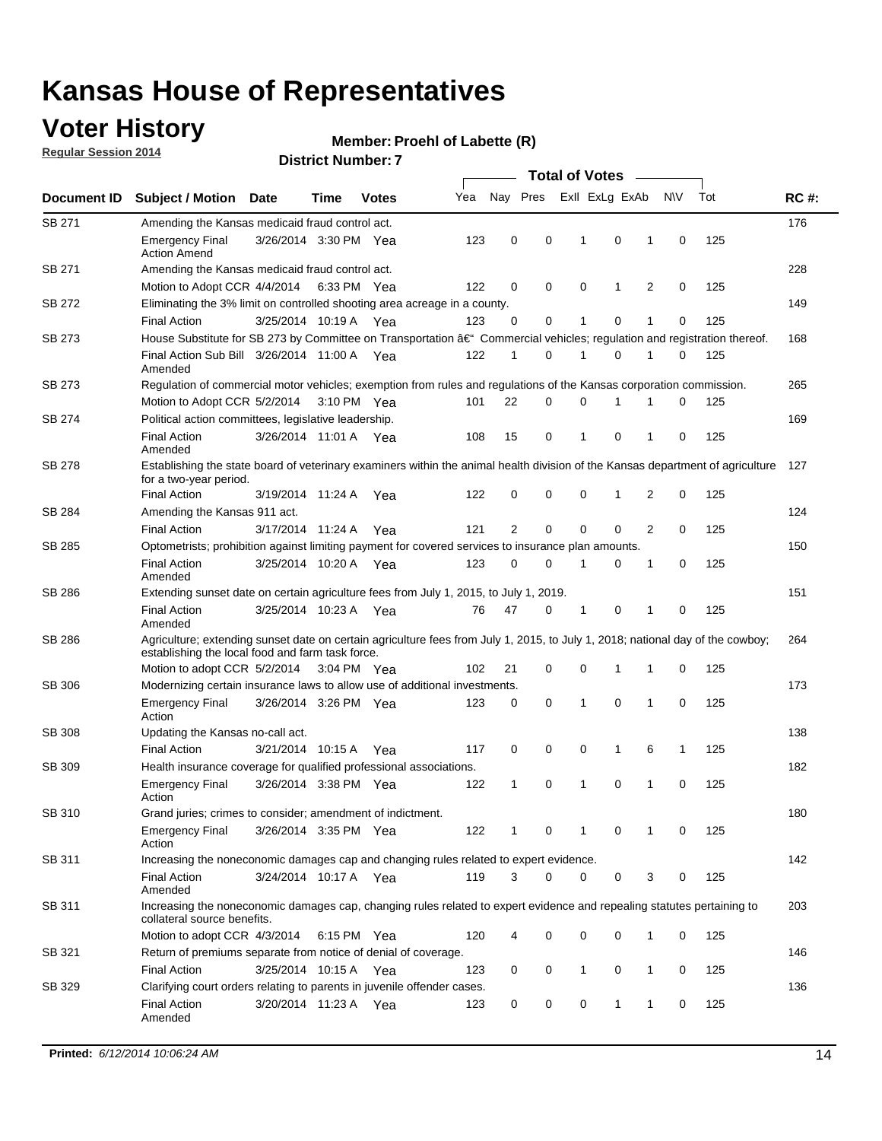### **Voter History**

**Regular Session 2014**

#### **Member: Proehl of Labette (R)**

|                    |                                                                                                                                                                                    |                       |      |              |     |              |             | <b>Total of Votes</b> |             |   |             |     |             |
|--------------------|------------------------------------------------------------------------------------------------------------------------------------------------------------------------------------|-----------------------|------|--------------|-----|--------------|-------------|-----------------------|-------------|---|-------------|-----|-------------|
| <b>Document ID</b> | <b>Subject / Motion Date</b>                                                                                                                                                       |                       | Time | <b>Votes</b> | Yea | Nay Pres     |             | Exll ExLg ExAb        |             |   | N\V         | Tot | <b>RC#:</b> |
| <b>SB 271</b>      | Amending the Kansas medicaid fraud control act.                                                                                                                                    |                       |      |              |     |              |             |                       |             |   |             |     | 176         |
|                    | <b>Emergency Final</b><br><b>Action Amend</b>                                                                                                                                      | 3/26/2014 3:30 PM Yea |      |              | 123 | 0            | 0           | 1                     | $\mathbf 0$ | 1 | 0           | 125 |             |
| SB 271             | Amending the Kansas medicaid fraud control act.                                                                                                                                    |                       |      |              |     |              |             |                       |             |   |             |     | 228         |
|                    | Motion to Adopt CCR 4/4/2014 6:33 PM Yea                                                                                                                                           |                       |      |              | 122 | 0            | 0           | 0                     | 1           | 2 | 0           | 125 |             |
| SB 272             | Eliminating the 3% limit on controlled shooting area acreage in a county.                                                                                                          |                       |      |              |     |              |             |                       |             |   |             |     | 149         |
|                    | <b>Final Action</b>                                                                                                                                                                | 3/25/2014 10:19 A Yea |      |              | 123 | $\Omega$     | 0           | 1                     | 0           | 1 | 0           | 125 |             |
| SB 273             | House Substitute for SB 273 by Committee on Transportation â€ <sup>4</sup> Commercial vehicles; regulation and registration thereof.                                               |                       |      |              |     |              |             |                       |             |   |             |     | 168         |
|                    | Final Action Sub Bill 3/26/2014 11:00 A Yea<br>Amended                                                                                                                             |                       |      |              | 122 | $\mathbf 1$  | 0           | -1                    | 0           | 1 | 0           | 125 |             |
| SB 273             | Regulation of commercial motor vehicles; exemption from rules and regulations of the Kansas corporation commission.                                                                |                       |      |              |     |              |             |                       |             |   |             |     | 265         |
|                    | Motion to Adopt CCR 5/2/2014 3:10 PM Yea                                                                                                                                           |                       |      |              | 101 | 22           | 0           | 0                     | 1           | 1 | 0           | 125 |             |
| SB 274             | Political action committees, legislative leadership.                                                                                                                               |                       |      |              |     |              |             |                       |             |   |             |     | 169         |
|                    | <b>Final Action</b><br>Amended                                                                                                                                                     | 3/26/2014 11:01 A Yea |      |              | 108 | 15           | 0           | $\mathbf{1}$          | 0           | 1 | 0           | 125 |             |
| SB 278             | Establishing the state board of veterinary examiners within the animal health division of the Kansas department of agriculture<br>for a two-year period.                           |                       |      |              |     |              |             |                       |             |   |             |     | 127         |
|                    | <b>Final Action</b>                                                                                                                                                                | 3/19/2014 11:24 A     |      | Yea          | 122 | 0            | 0           | 0                     | $\mathbf 1$ | 2 | 0           | 125 |             |
| SB 284             | Amending the Kansas 911 act.                                                                                                                                                       |                       |      |              |     |              |             |                       |             |   |             |     | 124         |
|                    | <b>Final Action</b>                                                                                                                                                                | 3/17/2014 11:24 A     |      | Yea          | 121 | 2            | $\mathbf 0$ | $\mathbf 0$           | 0           | 2 | $\Omega$    | 125 |             |
| SB 285             | Optometrists; prohibition against limiting payment for covered services to insurance plan amounts.                                                                                 |                       |      |              |     |              |             |                       |             |   |             |     | 150         |
|                    | <b>Final Action</b><br>Amended                                                                                                                                                     | 3/25/2014 10:20 A     |      | Yea          | 123 | 0            | 0           | 1                     | 0           | 1 | 0           | 125 |             |
| SB 286             | Extending sunset date on certain agriculture fees from July 1, 2015, to July 1, 2019.                                                                                              |                       |      |              |     |              |             |                       |             |   |             |     | 151         |
|                    | <b>Final Action</b><br>Amended                                                                                                                                                     | 3/25/2014 10:23 A Yea |      |              | 76  | 47           | 0           | $\mathbf 1$           | 0           | 1 | 0           | 125 |             |
| SB 286             | Agriculture; extending sunset date on certain agriculture fees from July 1, 2015, to July 1, 2018; national day of the cowboy;<br>establishing the local food and farm task force. |                       |      |              |     |              |             |                       |             |   |             |     | 264         |
|                    | Motion to adopt CCR 5/2/2014 3:04 PM Yea                                                                                                                                           |                       |      |              | 102 | 21           | 0           | 0                     | $\mathbf 1$ | 1 | 0           | 125 |             |
| SB 306             | Modernizing certain insurance laws to allow use of additional investments.                                                                                                         |                       |      |              |     |              |             |                       |             |   |             |     | 173         |
|                    | <b>Emergency Final</b><br>Action                                                                                                                                                   | 3/26/2014 3:26 PM Yea |      |              | 123 | 0            | 0           | $\mathbf{1}$          | 0           | 1 | 0           | 125 |             |
| <b>SB 308</b>      | Updating the Kansas no-call act.                                                                                                                                                   |                       |      |              |     |              |             |                       |             |   |             |     | 138         |
|                    | <b>Final Action</b>                                                                                                                                                                | 3/21/2014 10:15 A     |      | Yea          | 117 | 0            | 0           | 0                     | 1           | 6 | 1           | 125 |             |
| SB 309             | Health insurance coverage for qualified professional associations.                                                                                                                 |                       |      |              |     |              |             |                       |             |   |             |     | 182         |
|                    | <b>Emergency Final</b><br>Action                                                                                                                                                   | 3/26/2014 3:38 PM Yea |      |              | 122 | $\mathbf{1}$ | 0           | 1                     | 0           | 1 | $\mathbf 0$ | 125 |             |
| SB 310             | Grand juries; crimes to consider; amendment of indictment.                                                                                                                         |                       |      |              |     |              |             |                       |             |   |             |     | 180         |
|                    | <b>Emergency Final</b><br>Action                                                                                                                                                   | 3/26/2014 3:35 PM Yea |      |              | 122 | 1            | 0           | -1                    | 0           | 1 | 0           | 125 |             |
| SB 311             | Increasing the noneconomic damages cap and changing rules related to expert evidence.                                                                                              |                       |      |              |     |              |             |                       |             |   |             |     | 142         |
|                    | <b>Final Action</b><br>Amended                                                                                                                                                     | 3/24/2014 10:17 A Yea |      |              | 119 | 3            | 0           | 0                     | 0           | 3 | 0           | 125 |             |
| SB 311             | Increasing the noneconomic damages cap, changing rules related to expert evidence and repealing statutes pertaining to<br>collateral source benefits.                              |                       |      |              |     |              |             |                       |             |   |             |     | 203         |
|                    | Motion to adopt CCR 4/3/2014 6:15 PM Yea                                                                                                                                           |                       |      |              | 120 | 4            | 0           | 0                     | 0           | 1 | 0           | 125 |             |
| SB 321             | Return of premiums separate from notice of denial of coverage.                                                                                                                     |                       |      |              |     |              |             |                       |             |   |             |     | 146         |
|                    | <b>Final Action</b>                                                                                                                                                                | 3/25/2014 10:15 A Yea |      |              | 123 | 0            | 0           | $\mathbf{1}$          | 0           | 1 | 0           | 125 |             |
| SB 329             | Clarifying court orders relating to parents in juvenile offender cases.<br><b>Final Action</b><br>Amended                                                                          | 3/20/2014 11:23 A Yea |      |              | 123 | 0            | 0           | 0                     | 1           | 1 | 0           | 125 | 136         |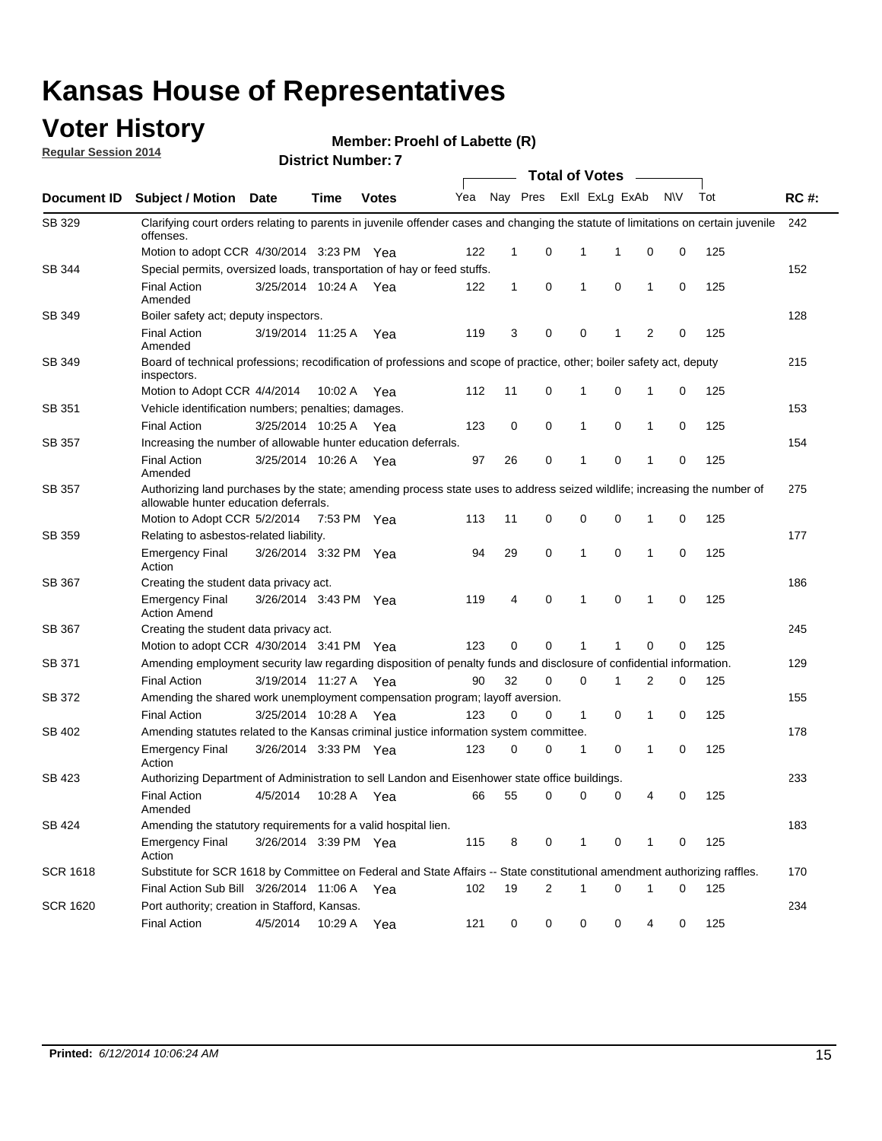### **Voter History**

**Regular Session 2014**

#### **Member: Proehl of Labette (R)**

|                 |                                                                                                                                                                    | <b>Total of Votes</b> |             |              |     |          |   |                |             |              |             |     |             |
|-----------------|--------------------------------------------------------------------------------------------------------------------------------------------------------------------|-----------------------|-------------|--------------|-----|----------|---|----------------|-------------|--------------|-------------|-----|-------------|
| Document ID     | <b>Subject / Motion</b>                                                                                                                                            | Date                  | <b>Time</b> | <b>Votes</b> | Yea | Nay Pres |   | Exll ExLg ExAb |             |              | N\V         | Tot | <b>RC#:</b> |
| SB 329          | Clarifying court orders relating to parents in juvenile offender cases and changing the statute of limitations on certain juvenile<br>offenses.                    |                       |             |              |     |          |   |                |             |              |             |     | 242         |
|                 | Motion to adopt CCR 4/30/2014 3:23 PM Yea                                                                                                                          |                       |             |              | 122 | 1        | 0 | 1              | 1           | 0            | 0           | 125 |             |
| SB 344          | Special permits, oversized loads, transportation of hay or feed stuffs.                                                                                            |                       |             |              |     |          |   |                |             |              |             |     | 152         |
|                 | <b>Final Action</b><br>Amended                                                                                                                                     | 3/25/2014 10:24 A     |             | Yea          | 122 | 1        | 0 | 1              | 0           | $\mathbf{1}$ | 0           | 125 |             |
| SB 349          | Boiler safety act; deputy inspectors.                                                                                                                              |                       |             |              |     |          |   |                |             |              |             |     | 128         |
|                 | <b>Final Action</b><br>Amended                                                                                                                                     | 3/19/2014 11:25 A     |             | Yea          | 119 | 3        | 0 | 0              | 1           | 2            | 0           | 125 |             |
| SB 349          | Board of technical professions; recodification of professions and scope of practice, other; boiler safety act, deputy<br>inspectors.                               |                       |             |              |     |          |   |                |             |              |             |     | 215         |
|                 | Motion to Adopt CCR 4/4/2014                                                                                                                                       |                       | 10:02 A     | Yea          | 112 | 11       | 0 | 1              | $\mathbf 0$ | 1            | 0           | 125 |             |
| SB 351          | Vehicle identification numbers; penalties; damages.                                                                                                                |                       |             |              |     |          |   |                |             |              |             |     | 153         |
|                 | <b>Final Action</b>                                                                                                                                                | 3/25/2014 10:25 A     |             | Yea          | 123 | 0        | 0 | 1              | 0           | $\mathbf{1}$ | 0           | 125 |             |
| SB 357          | Increasing the number of allowable hunter education deferrals.                                                                                                     |                       |             |              |     |          |   |                |             |              |             |     | 154         |
|                 | <b>Final Action</b><br>Amended                                                                                                                                     | 3/25/2014 10:26 A     |             | Yea          | 97  | 26       | 0 | 1              | $\mathbf 0$ | 1            | 0           | 125 |             |
| SB 357          | Authorizing land purchases by the state; amending process state uses to address seized wildlife; increasing the number of<br>allowable hunter education deferrals. |                       |             |              |     |          |   |                |             |              |             |     | 275         |
|                 | Motion to Adopt CCR 5/2/2014                                                                                                                                       |                       | 7:53 PM Yea |              | 113 | 11       | 0 | 0              | 0           | -1           | 0           | 125 |             |
| SB 359          | Relating to asbestos-related liability.                                                                                                                            |                       |             |              |     |          |   |                |             |              |             |     | 177         |
|                 | <b>Emergency Final</b><br>Action                                                                                                                                   | 3/26/2014 3:32 PM Yea |             |              | 94  | 29       | 0 | 1              | 0           | -1           | 0           | 125 |             |
| SB 367          | Creating the student data privacy act.                                                                                                                             |                       |             |              |     |          |   |                |             |              |             |     | 186         |
|                 | <b>Emergency Final</b><br><b>Action Amend</b>                                                                                                                      | 3/26/2014 3:43 PM Yea |             |              | 119 | 4        | 0 | 1              | 0           | $\mathbf{1}$ | $\mathbf 0$ | 125 |             |
| SB 367          | Creating the student data privacy act.                                                                                                                             |                       |             |              |     |          |   |                |             |              |             |     | 245         |
|                 | Motion to adopt CCR 4/30/2014 3:41 PM Yea                                                                                                                          |                       |             |              | 123 | 0        | 0 | 1              | 1           | $\mathbf 0$  | 0           | 125 |             |
| SB 371          | Amending employment security law regarding disposition of penalty funds and disclosure of confidential information.                                                |                       |             |              |     |          |   |                |             |              |             |     | 129         |
|                 | <b>Final Action</b>                                                                                                                                                | 3/19/2014 11:27 A Yea |             |              | 90  | 32       | 0 | 0              | 1           | 2            | 0           | 125 |             |
| SB 372          | Amending the shared work unemployment compensation program; layoff aversion.                                                                                       |                       |             |              |     |          |   |                |             |              |             |     | 155         |
|                 | <b>Final Action</b>                                                                                                                                                | 3/25/2014 10:28 A     |             | Yea          | 123 | 0        | 0 | $\mathbf{1}$   | 0           | 1            | 0           | 125 |             |
| SB 402          | Amending statutes related to the Kansas criminal justice information system committee.                                                                             |                       |             |              |     |          |   |                |             |              |             |     | 178         |
|                 | <b>Emergency Final</b><br>Action                                                                                                                                   | 3/26/2014 3:33 PM Yea |             |              | 123 | 0        | 0 | 1              | 0           | $\mathbf{1}$ | 0           | 125 |             |
| SB 423          | Authorizing Department of Administration to sell Landon and Eisenhower state office buildings.                                                                     |                       |             |              |     |          |   |                |             |              |             |     | 233         |
|                 | <b>Final Action</b><br>Amended                                                                                                                                     | 4/5/2014              | 10:28 A     | Yea          | 66  | 55       | 0 | 0              | 0           | 4            | 0           | 125 |             |
| SB 424          | Amending the statutory requirements for a valid hospital lien.                                                                                                     |                       |             |              |     |          |   |                |             |              |             |     | 183         |
|                 | <b>Emergency Final</b><br>Action                                                                                                                                   | 3/26/2014 3:39 PM Yea |             |              | 115 | 8        | 0 | 1              | 0           | 1            | 0           | 125 |             |
| SCR 1618        | Substitute for SCR 1618 by Committee on Federal and State Affairs -- State constitutional amendment authorizing raffles.                                           |                       |             |              |     |          |   |                |             |              |             |     | 170         |
|                 | Final Action Sub Bill 3/26/2014 11:06 A Yea                                                                                                                        |                       |             |              | 102 | 19       | 2 | 1              | 0           | 1            | 0           | 125 |             |
| <b>SCR 1620</b> | Port authority; creation in Stafford, Kansas.                                                                                                                      |                       |             |              |     |          |   |                |             |              |             |     | 234         |
|                 | <b>Final Action</b>                                                                                                                                                | 4/5/2014              | 10:29 A     | Yea          | 121 | 0        | 0 | 0              | 0           | 4            | 0           | 125 |             |